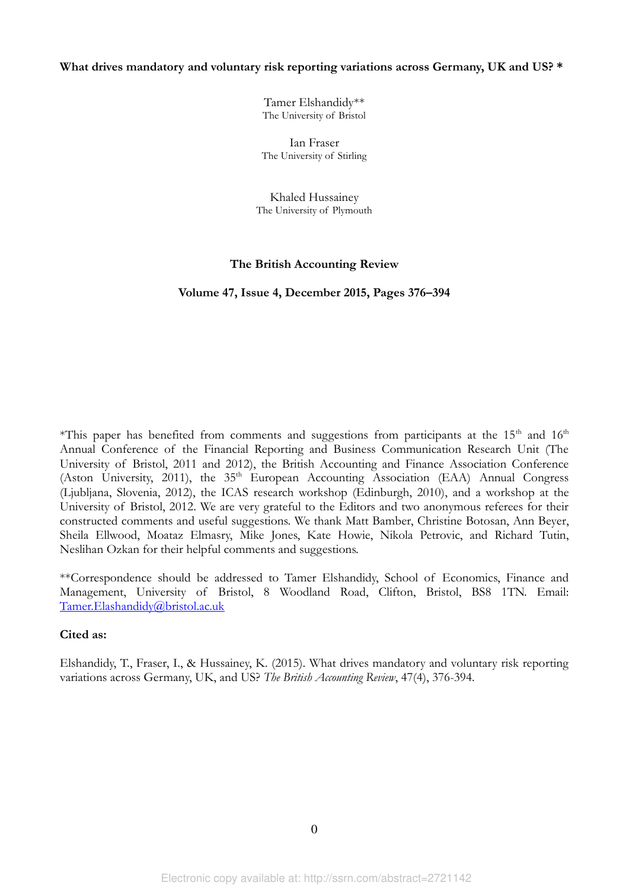## What drives mandatory and voluntary risk reporting variations across Germany, UK and US? \*

Tamer Elshandidy\*\* The University of Bristol

Ian Fraser The University of Stirling

Khaled Hussainey The University of Plymouth

# **The British Accounting Review**

# **Volume 47, Issue 4, December 2015, Pages 376–394**

\*This paper has benefited from comments and suggestions from participants at the 15<sup>th</sup> and 16<sup>th</sup> Annual Conference of the Financial Reporting and Business Communication Research Unit (The University of Bristol, 2011 and 2012), the British Accounting and Finance Association Conference (Aston University, 2011), the  $35<sup>th</sup>$  European Accounting Association (EAA) Annual Congress (Ljubljana, Slovenia, 2012), the ICAS research workshop (Edinburgh, 2010), and a workshop at the University of Bristol, 2012. We are very grateful to the Editors and two anonymous referees for their constructed comments and useful suggestions. We thank Matt Bamber, Christine Botosan, Ann Beyer, Sheila Ellwood, Moataz Elmasry, Mike Jones, Kate Howie, Nikola Petrovic, and Richard Tutin, Neslihan Ozkan for their helpful comments and suggestions.

\*\*Correspondence should be addressed to Tamer Elshandidy, School of Economics, Finance and Management, University of Bristol, 8 Woodland Road, Clifton, Bristol, BS8 1TN. Email: [Tamer.Elashandidy@bristol.ac.uk](mailto:Tamer.Elashandidy@bristol.ac.uk)

## **Cited as:**

Elshandidy, T., Fraser, I., & Hussainey, K. (2015). What drives mandatory and voluntary risk reporting variations across Germany, UK, and US? *The British Accounting Review*, 47(4), 376-394.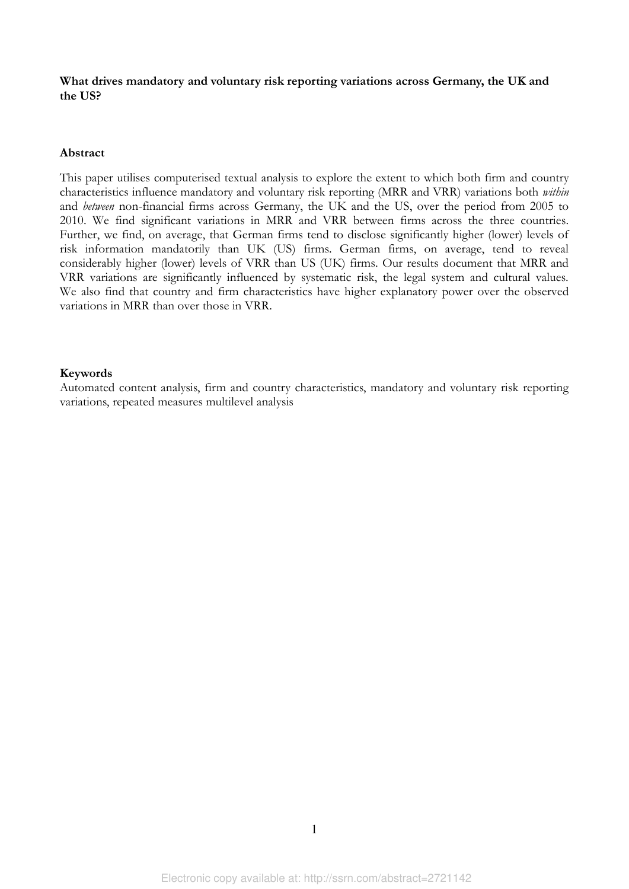**What drives mandatory and voluntary risk reporting variations across Germany, the UK and the US?** 

## **Abstract**

This paper utilises computerised textual analysis to explore the extent to which both firm and country characteristics influence mandatory and voluntary risk reporting (MRR and VRR) variations both *within* and *between* non-financial firms across Germany, the UK and the US, over the period from 2005 to 2010. We find significant variations in MRR and VRR between firms across the three countries. Further, we find, on average, that German firms tend to disclose significantly higher (lower) levels of risk information mandatorily than UK (US) firms. German firms, on average, tend to reveal considerably higher (lower) levels of VRR than US (UK) firms. Our results document that MRR and VRR variations are significantly influenced by systematic risk, the legal system and cultural values. We also find that country and firm characteristics have higher explanatory power over the observed variations in MRR than over those in VRR.

#### **Keywords**

Automated content analysis, firm and country characteristics, mandatory and voluntary risk reporting variations, repeated measures multilevel analysis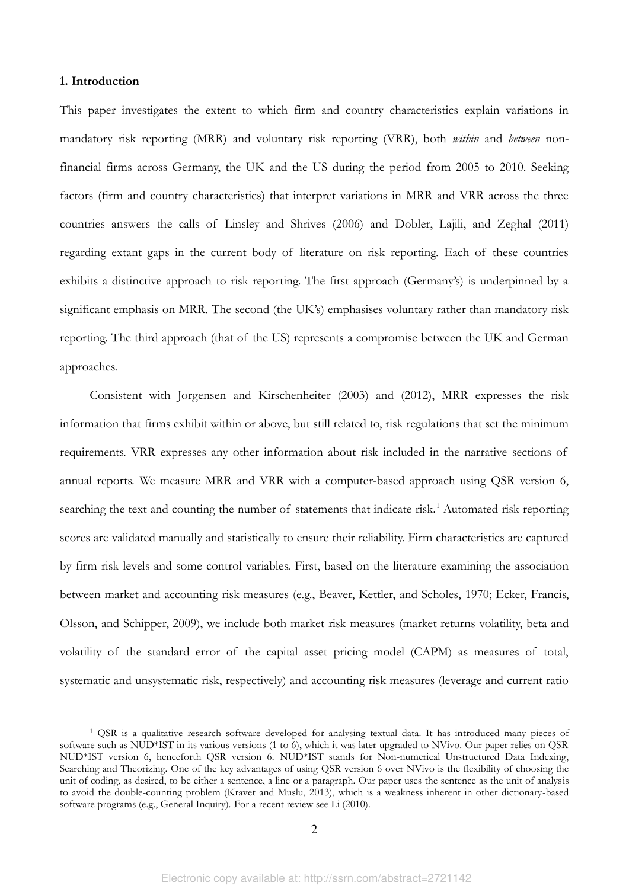### **1. Introduction**

1

This paper investigates the extent to which firm and country characteristics explain variations in mandatory risk reporting (MRR) and voluntary risk reporting (VRR), both *within* and *between* nonfinancial firms across Germany, the UK and the US during the period from 2005 to 2010. Seeking factors (firm and country characteristics) that interpret variations in MRR and VRR across the three countries answers the calls of Linsley and Shrives (2006) and Dobler, Lajili, and Zeghal (2011) regarding extant gaps in the current body of literature on risk reporting. Each of these countries exhibits a distinctive approach to risk reporting. The first approach (Germany's) is underpinned by a significant emphasis on MRR. The second (the UK's) emphasises voluntary rather than mandatory risk reporting. The third approach (that of the US) represents a compromise between the UK and German approaches.

Consistent with Jorgensen and Kirschenheiter (2003) and (2012), MRR expresses the risk information that firms exhibit within or above, but still related to, risk regulations that set the minimum requirements. VRR expresses any other information about risk included in the narrative sections of annual reports. We measure MRR and VRR with a computer-based approach using QSR version 6, searching the text and counting the number of statements that indicate risk.<sup>1</sup> Automated risk reporting scores are validated manually and statistically to ensure their reliability. Firm characteristics are captured by firm risk levels and some control variables. First, based on the literature examining the association between market and accounting risk measures (e.g., Beaver, Kettler, and Scholes, 1970; Ecker, Francis, Olsson, and Schipper, 2009), we include both market risk measures (market returns volatility, beta and volatility of the standard error of the capital asset pricing model (CAPM) as measures of total, systematic and unsystematic risk, respectively) and accounting risk measures (leverage and current ratio

<sup>1</sup> QSR is a qualitative research software developed for analysing textual data. It has introduced many pieces of software such as NUD\*IST in its various versions (1 to 6), which it was later upgraded to NVivo. Our paper relies on QSR NUD\*IST version 6, henceforth QSR version 6*.* NUD\*IST stands for Non-numerical Unstructured Data Indexing, Searching and Theorizing. One of the key advantages of using QSR version 6 over NVivo is the flexibility of choosing the unit of coding, as desired, to be either a sentence, a line or a paragraph. Our paper uses the sentence as the unit of analysis to avoid the double-counting problem (Kravet and Muslu, 2013), which is a weakness inherent in other dictionary-based software programs (e.g., General Inquiry). For a recent review see Li (2010).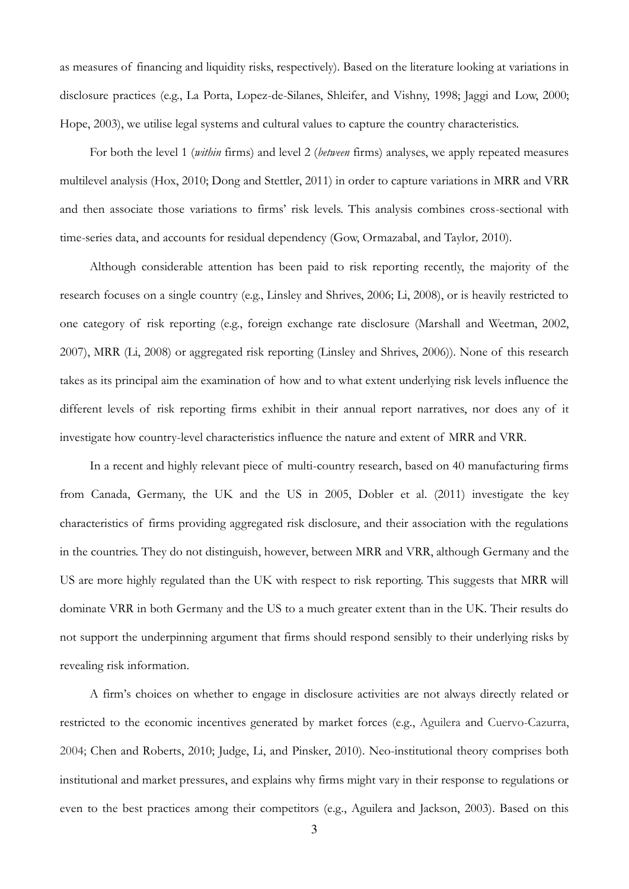as measures of financing and liquidity risks, respectively). Based on the literature looking at variations in disclosure practices (e.g., La Porta, Lopez-de-Silanes, Shleifer, and Vishny, 1998; Jaggi and Low, 2000; Hope, 2003), we utilise legal systems and cultural values to capture the country characteristics.

For both the level 1 (*within* firms) and level 2 (*between* firms) analyses, we apply repeated measures multilevel analysis (Hox, 2010; Dong and Stettler, 2011) in order to capture variations in MRR and VRR and then associate those variations to firms' risk levels. This analysis combines cross-sectional with time-series data, and accounts for residual dependency (Gow, Ormazabal, and Taylor*,* 2010).

Although considerable attention has been paid to risk reporting recently, the majority of the research focuses on a single country (e.g., Linsley and Shrives, 2006; Li, 2008), or is heavily restricted to one category of risk reporting (e.g., foreign exchange rate disclosure (Marshall and Weetman, 2002, 2007), MRR (Li, 2008) or aggregated risk reporting (Linsley and Shrives, 2006)). None of this research takes as its principal aim the examination of how and to what extent underlying risk levels influence the different levels of risk reporting firms exhibit in their annual report narratives, nor does any of it investigate how country-level characteristics influence the nature and extent of MRR and VRR.

In a recent and highly relevant piece of multi-country research, based on 40 manufacturing firms from Canada, Germany, the UK and the US in 2005, Dobler et al. (2011) investigate the key characteristics of firms providing aggregated risk disclosure, and their association with the regulations in the countries. They do not distinguish, however, between MRR and VRR, although Germany and the US are more highly regulated than the UK with respect to risk reporting. This suggests that MRR will dominate VRR in both Germany and the US to a much greater extent than in the UK. Their results do not support the underpinning argument that firms should respond sensibly to their underlying risks by revealing risk information.

A firm's choices on whether to engage in disclosure activities are not always directly related or restricted to the economic incentives generated by market forces (e.g., Aguilera and Cuervo-Cazurra, 2004; Chen and Roberts, 2010; Judge, Li, and Pinsker, 2010). Neo-institutional theory comprises both institutional and market pressures, and explains why firms might vary in their response to regulations or even to the best practices among their competitors (e.g., Aguilera and Jackson, 2003). Based on this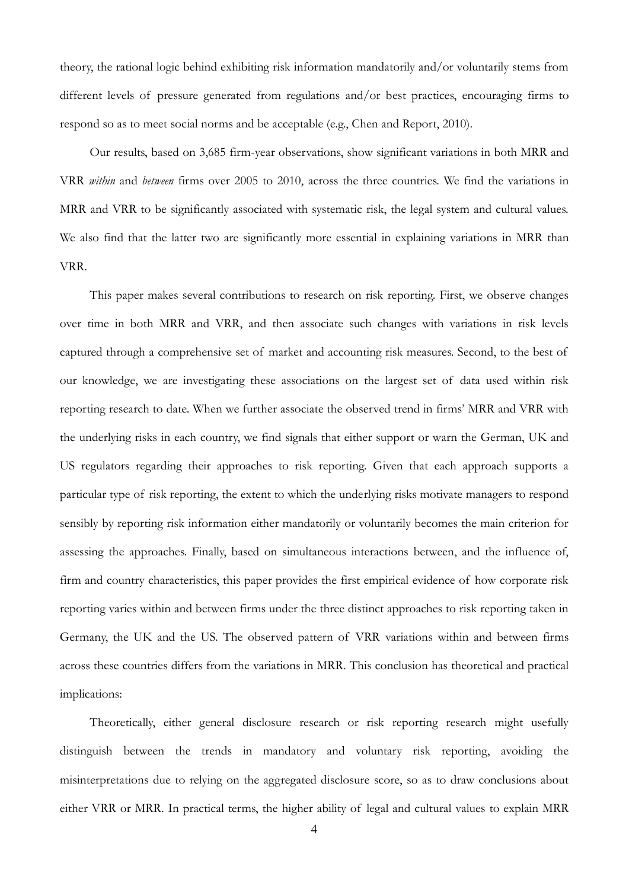theory, the rational logic behind exhibiting risk information mandatorily and/or voluntarily stems from different levels of pressure generated from regulations and/or best practices, encouraging firms to respond so as to meet social norms and be acceptable (e.g., Chen and Report, 2010).

Our results, based on 3,685 firm-year observations, show significant variations in both MRR and VRR *within* and *between* firms over 2005 to 2010, across the three countries. We find the variations in MRR and VRR to be significantly associated with systematic risk, the legal system and cultural values. We also find that the latter two are significantly more essential in explaining variations in MRR than VRR.

This paper makes several contributions to research on risk reporting. First, we observe changes over time in both MRR and VRR, and then associate such changes with variations in risk levels captured through a comprehensive set of market and accounting risk measures. Second, to the best of our knowledge, we are investigating these associations on the largest set of data used within risk reporting research to date. When we further associate the observed trend in firms' MRR and VRR with the underlying risks in each country, we find signals that either support or warn the German, UK and US regulators regarding their approaches to risk reporting. Given that each approach supports a particular type of risk reporting, the extent to which the underlying risks motivate managers to respond sensibly by reporting risk information either mandatorily or voluntarily becomes the main criterion for assessing the approaches. Finally, based on simultaneous interactions between, and the influence of, firm and country characteristics, this paper provides the first empirical evidence of how corporate risk reporting varies within and between firms under the three distinct approaches to risk reporting taken in Germany, the UK and the US. The observed pattern of VRR variations within and between firms across these countries differs from the variations in MRR. This conclusion has theoretical and practical implications:

Theoretically, either general disclosure research or risk reporting research might usefully distinguish between the trends in mandatory and voluntary risk reporting, avoiding the misinterpretations due to relying on the aggregated disclosure score, so as to draw conclusions about either VRR or MRR. In practical terms, the higher ability of legal and cultural values to explain MRR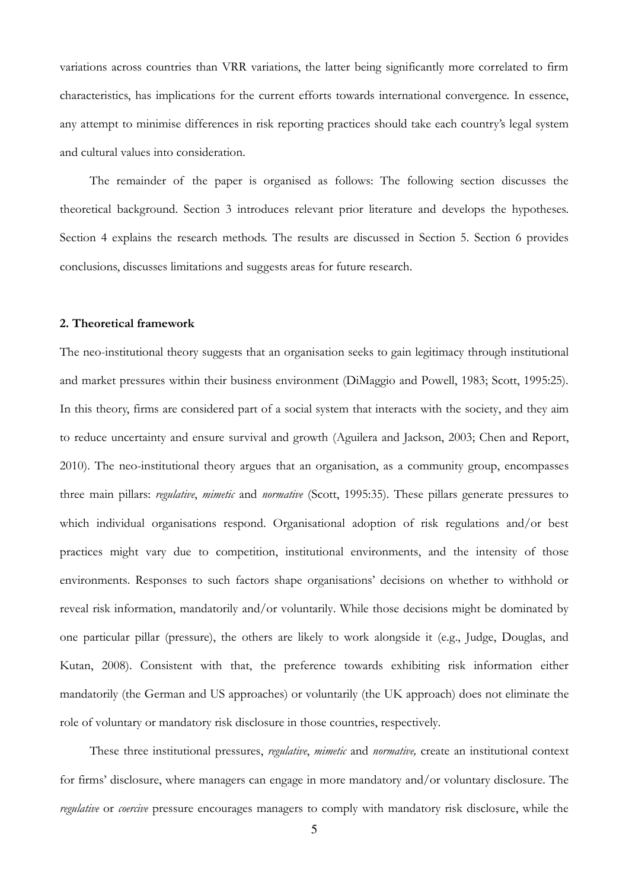variations across countries than VRR variations, the latter being significantly more correlated to firm characteristics, has implications for the current efforts towards international convergence. In essence, any attempt to minimise differences in risk reporting practices should take each country's legal system and cultural values into consideration.

The remainder of the paper is organised as follows: The following section discusses the theoretical background. Section 3 introduces relevant prior literature and develops the hypotheses. Section 4 explains the research methods. The results are discussed in Section 5. Section 6 provides conclusions, discusses limitations and suggests areas for future research.

#### **2. Theoretical framework**

The neo-institutional theory suggests that an organisation seeks to gain legitimacy through institutional and market pressures within their business environment (DiMaggio and Powell, 1983; Scott, 1995:25). In this theory, firms are considered part of a social system that interacts with the society, and they aim to reduce uncertainty and ensure survival and growth (Aguilera and Jackson, 2003; Chen and Report, 2010). The neo-institutional theory argues that an organisation, as a community group, encompasses three main pillars: *regulative*, *mimetic* and *normative* (Scott, 1995:35). These pillars generate pressures to which individual organisations respond. Organisational adoption of risk regulations and/or best practices might vary due to competition, institutional environments, and the intensity of those environments. Responses to such factors shape organisations' decisions on whether to withhold or reveal risk information, mandatorily and/or voluntarily. While those decisions might be dominated by one particular pillar (pressure), the others are likely to work alongside it (e.g., Judge, Douglas, and Kutan, 2008). Consistent with that, the preference towards exhibiting risk information either mandatorily (the German and US approaches) or voluntarily (the UK approach) does not eliminate the role of voluntary or mandatory risk disclosure in those countries, respectively.

These three institutional pressures, *regulative*, *mimetic* and *normative,* create an institutional context for firms' disclosure, where managers can engage in more mandatory and/or voluntary disclosure. The *regulative* or *coercive* pressure encourages managers to comply with mandatory risk disclosure, while the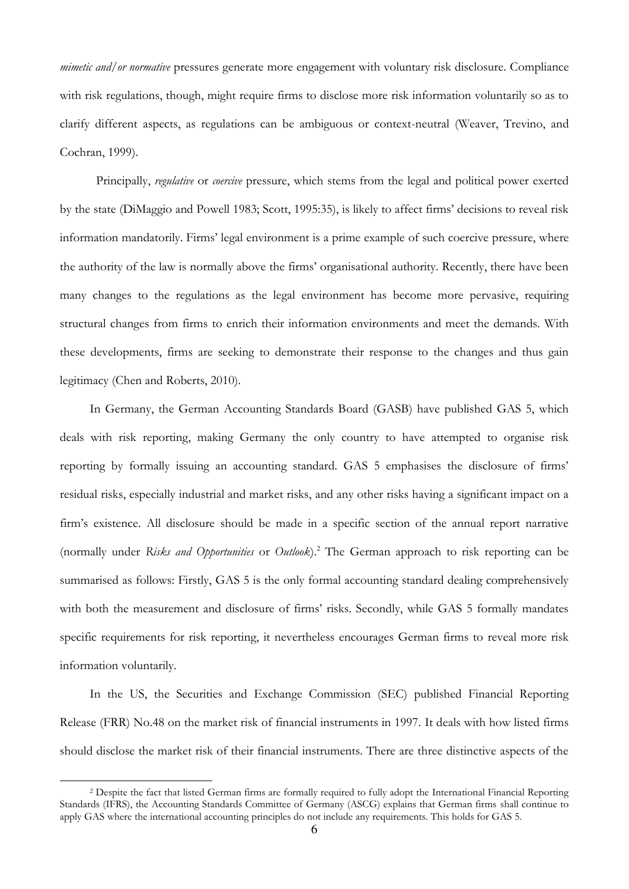*mimetic and/or normative* pressures generate more engagement with voluntary risk disclosure. Compliance with risk regulations, though, might require firms to disclose more risk information voluntarily so as to clarify different aspects, as regulations can be ambiguous or context-neutral (Weaver, Trevino, and Cochran, 1999).

 Principally, *regulative* or *coercive* pressure, which stems from the legal and political power exerted by the state (DiMaggio and Powell 1983; Scott, 1995:35), is likely to affect firms' decisions to reveal risk information mandatorily. Firms' legal environment is a prime example of such coercive pressure, where the authority of the law is normally above the firms' organisational authority. Recently, there have been many changes to the regulations as the legal environment has become more pervasive, requiring structural changes from firms to enrich their information environments and meet the demands. With these developments, firms are seeking to demonstrate their response to the changes and thus gain legitimacy (Chen and Roberts, 2010).

In Germany, the German Accounting Standards Board (GASB) have published GAS 5, which deals with risk reporting, making Germany the only country to have attempted to organise risk reporting by formally issuing an accounting standard. GAS 5 emphasises the disclosure of firms' residual risks, especially industrial and market risks, and any other risks having a significant impact on a firm's existence. All disclosure should be made in a specific section of the annual report narrative (normally under *Risks and Opportunities* or *Outlook*).<sup>2</sup> The German approach to risk reporting can be summarised as follows: Firstly, GAS 5 is the only formal accounting standard dealing comprehensively with both the measurement and disclosure of firms' risks. Secondly, while GAS 5 formally mandates specific requirements for risk reporting, it nevertheless encourages German firms to reveal more risk information voluntarily.

In the US, the Securities and Exchange Commission (SEC) published Financial Reporting Release (FRR) No.48 on the market risk of financial instruments in 1997. It deals with how listed firms should disclose the market risk of their financial instruments. There are three distinctive aspects of the

<u>.</u>

<sup>&</sup>lt;sup>2</sup> Despite the fact that listed German firms are formally required to fully adopt the International Financial Reporting Standards (IFRS), the Accounting Standards Committee of Germany (ASCG) explains that German firms shall continue to apply GAS where the international accounting principles do not include any requirements. This holds for GAS 5.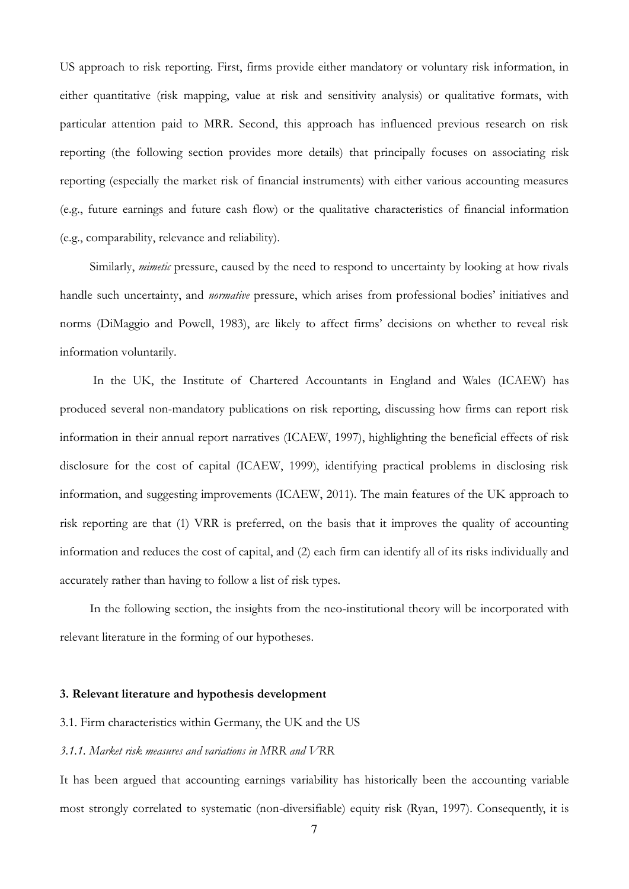US approach to risk reporting. First, firms provide either mandatory or voluntary risk information, in either quantitative (risk mapping, value at risk and sensitivity analysis) or qualitative formats, with particular attention paid to MRR. Second, this approach has influenced previous research on risk reporting (the following section provides more details) that principally focuses on associating risk reporting (especially the market risk of financial instruments) with either various accounting measures (e.g., future earnings and future cash flow) or the qualitative characteristics of financial information (e.g., comparability, relevance and reliability).

Similarly, *mimetic* pressure, caused by the need to respond to uncertainty by looking at how rivals handle such uncertainty, and *normative* pressure, which arises from professional bodies' initiatives and norms (DiMaggio and Powell, 1983), are likely to affect firms' decisions on whether to reveal risk information voluntarily.

 In the UK, the Institute of Chartered Accountants in England and Wales (ICAEW) has produced several non-mandatory publications on risk reporting, discussing how firms can report risk information in their annual report narratives (ICAEW, 1997), highlighting the beneficial effects of risk disclosure for the cost of capital (ICAEW, 1999), identifying practical problems in disclosing risk information, and suggesting improvements (ICAEW, 2011). The main features of the UK approach to risk reporting are that (1) VRR is preferred, on the basis that it improves the quality of accounting information and reduces the cost of capital, and (2) each firm can identify all of its risks individually and accurately rather than having to follow a list of risk types.

In the following section, the insights from the neo-institutional theory will be incorporated with relevant literature in the forming of our hypotheses.

### **3. Relevant literature and hypothesis development**

### 3.1. Firm characteristics within Germany, the UK and the US

#### *3.1.1. Market risk measures and variations in MRR and VRR*

It has been argued that accounting earnings variability has historically been the accounting variable most strongly correlated to systematic (non-diversifiable) equity risk (Ryan, 1997). Consequently, it is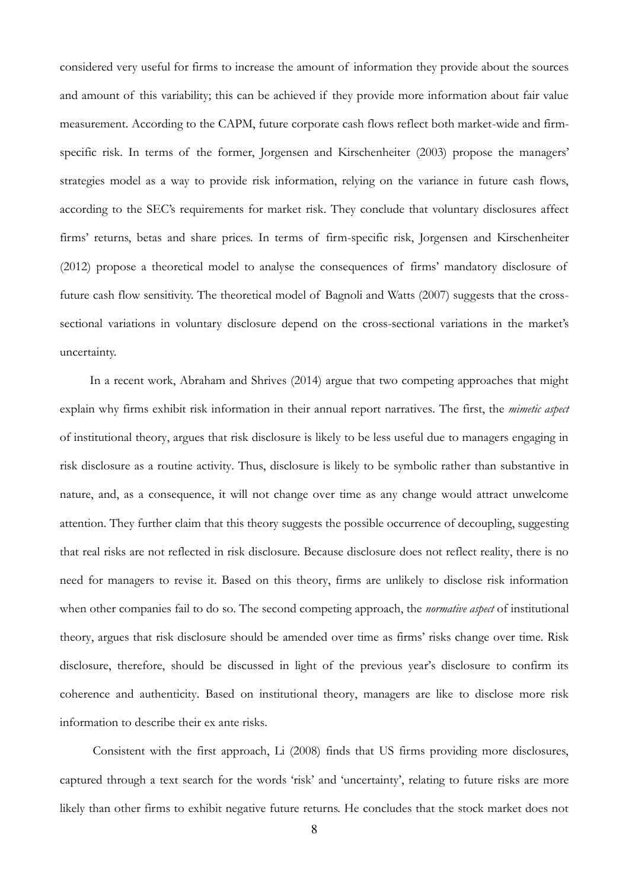considered very useful for firms to increase the amount of information they provide about the sources and amount of this variability; this can be achieved if they provide more information about fair value measurement. According to the CAPM, future corporate cash flows reflect both market-wide and firmspecific risk. In terms of the former, Jorgensen and Kirschenheiter (2003) propose the managers' strategies model as a way to provide risk information, relying on the variance in future cash flows, according to the SEC's requirements for market risk. They conclude that voluntary disclosures affect firms' returns, betas and share prices. In terms of firm-specific risk, Jorgensen and Kirschenheiter (2012) propose a theoretical model to analyse the consequences of firms' mandatory disclosure of future cash flow sensitivity. The theoretical model of Bagnoli and Watts (2007) suggests that the crosssectional variations in voluntary disclosure depend on the cross-sectional variations in the market's uncertainty.

In a recent work, Abraham and Shrives (2014) argue that two competing approaches that might explain why firms exhibit risk information in their annual report narratives. The first, the *mimetic aspect*  of institutional theory, argues that risk disclosure is likely to be less useful due to managers engaging in risk disclosure as a routine activity. Thus, disclosure is likely to be symbolic rather than substantive in nature, and, as a consequence, it will not change over time as any change would attract unwelcome attention. They further claim that this theory suggests the possible occurrence of decoupling, suggesting that real risks are not reflected in risk disclosure. Because disclosure does not reflect reality, there is no need for managers to revise it. Based on this theory, firms are unlikely to disclose risk information when other companies fail to do so. The second competing approach, the *normative aspect* of institutional theory, argues that risk disclosure should be amended over time as firms' risks change over time. Risk disclosure, therefore, should be discussed in light of the previous year's disclosure to confirm its coherence and authenticity. Based on institutional theory, managers are like to disclose more risk information to describe their ex ante risks.

Consistent with the first approach, Li (2008) finds that US firms providing more disclosures, captured through a text search for the words 'risk' and 'uncertainty', relating to future risks are more likely than other firms to exhibit negative future returns. He concludes that the stock market does not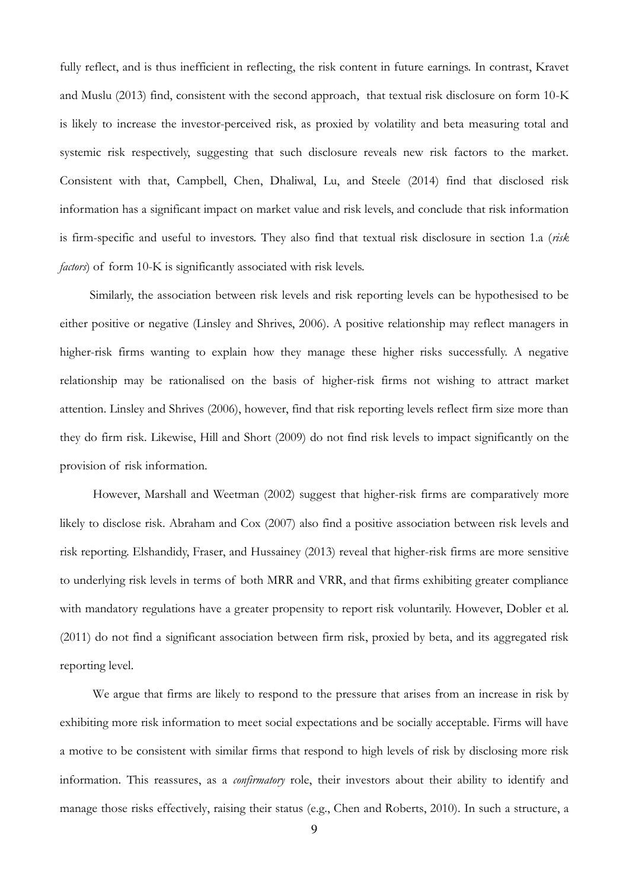fully reflect, and is thus inefficient in reflecting, the risk content in future earnings. In contrast, Kravet and Muslu (2013) find, consistent with the second approach, that textual risk disclosure on form 10-K is likely to increase the investor-perceived risk, as proxied by volatility and beta measuring total and systemic risk respectively, suggesting that such disclosure reveals new risk factors to the market*.* Consistent with that, Campbell, Chen, Dhaliwal, Lu, and Steele (2014) find that disclosed risk information has a significant impact on market value and risk levels, and conclude that risk information is firm-specific and useful to investors. They also find that textual risk disclosure in section 1.a (*risk factors*) of form 10-K is significantly associated with risk levels.

Similarly, the association between risk levels and risk reporting levels can be hypothesised to be either positive or negative (Linsley and Shrives, 2006). A positive relationship may reflect managers in higher-risk firms wanting to explain how they manage these higher risks successfully. A negative relationship may be rationalised on the basis of higher-risk firms not wishing to attract market attention. Linsley and Shrives (2006), however, find that risk reporting levels reflect firm size more than they do firm risk. Likewise, Hill and Short (2009) do not find risk levels to impact significantly on the provision of risk information.

However, Marshall and Weetman (2002) suggest that higher-risk firms are comparatively more likely to disclose risk. Abraham and Cox (2007) also find a positive association between risk levels and risk reporting. Elshandidy, Fraser, and Hussainey (2013) reveal that higher-risk firms are more sensitive to underlying risk levels in terms of both MRR and VRR, and that firms exhibiting greater compliance with mandatory regulations have a greater propensity to report risk voluntarily. However, Dobler et al*.* (2011) do not find a significant association between firm risk, proxied by beta, and its aggregated risk reporting level.

We argue that firms are likely to respond to the pressure that arises from an increase in risk by exhibiting more risk information to meet social expectations and be socially acceptable. Firms will have a motive to be consistent with similar firms that respond to high levels of risk by disclosing more risk information. This reassures, as a *confirmatory* role, their investors about their ability to identify and manage those risks effectively, raising their status (e.g., Chen and Roberts, 2010). In such a structure, a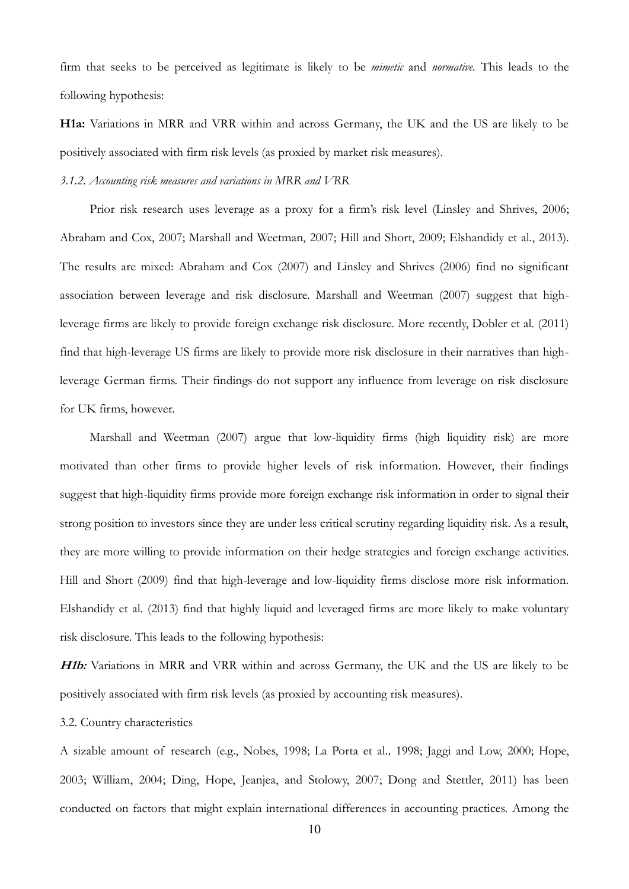firm that seeks to be perceived as legitimate is likely to be *mimetic* and *normative.* This leads to the following hypothesis:

**H1a:** Variations in MRR and VRR within and across Germany, the UK and the US are likely to be positively associated with firm risk levels (as proxied by market risk measures).

#### *3.1.2. Accounting risk measures and variations in MRR and VRR*

Prior risk research uses leverage as a proxy for a firm's risk level (Linsley and Shrives, 2006; Abraham and Cox, 2007; Marshall and Weetman, 2007; Hill and Short, 2009; Elshandidy et al*.*, 2013). The results are mixed: Abraham and Cox (2007) and Linsley and Shrives (2006) find no significant association between leverage and risk disclosure. Marshall and Weetman (2007) suggest that highleverage firms are likely to provide foreign exchange risk disclosure. More recently, Dobler et al*.* (2011) find that high-leverage US firms are likely to provide more risk disclosure in their narratives than highleverage German firms. Their findings do not support any influence from leverage on risk disclosure for UK firms, however.

Marshall and Weetman (2007) argue that low-liquidity firms (high liquidity risk) are more motivated than other firms to provide higher levels of risk information. However, their findings suggest that high-liquidity firms provide more foreign exchange risk information in order to signal their strong position to investors since they are under less critical scrutiny regarding liquidity risk. As a result, they are more willing to provide information on their hedge strategies and foreign exchange activities. Hill and Short (2009) find that high-leverage and low-liquidity firms disclose more risk information. Elshandidy et al*.* (2013) find that highly liquid and leveraged firms are more likely to make voluntary risk disclosure. This leads to the following hypothesis:

H1b: Variations in MRR and VRR within and across Germany, the UK and the US are likely to be positively associated with firm risk levels (as proxied by accounting risk measures).

### 3.2. Country characteristics

A sizable amount of research (e.g., Nobes, 1998; La Porta et al*.,* 1998; Jaggi and Low, 2000; Hope, 2003; William, 2004; Ding, Hope, Jeanjea, and Stolowy, 2007; Dong and Stettler, 2011) has been conducted on factors that might explain international differences in accounting practices. Among the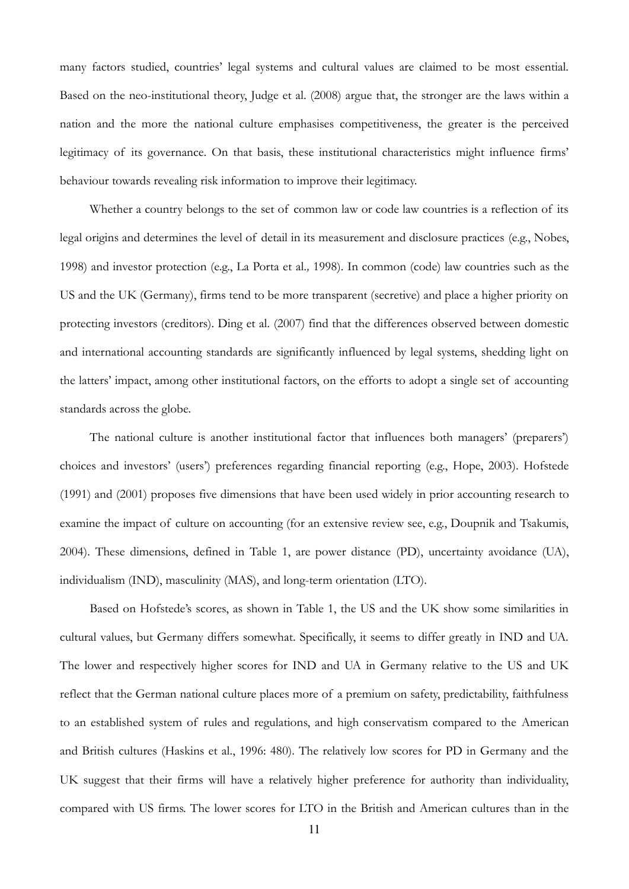many factors studied, countries' legal systems and cultural values are claimed to be most essential. Based on the neo-institutional theory, Judge et al. (2008) argue that, the stronger are the laws within a nation and the more the national culture emphasises competitiveness, the greater is the perceived legitimacy of its governance. On that basis, these institutional characteristics might influence firms' behaviour towards revealing risk information to improve their legitimacy.

Whether a country belongs to the set of common law or code law countries is a reflection of its legal origins and determines the level of detail in its measurement and disclosure practices (e.g., Nobes, 1998) and investor protection (e.g., La Porta et al*.,* 1998). In common (code) law countries such as the US and the UK (Germany), firms tend to be more transparent (secretive) and place a higher priority on protecting investors (creditors). Ding et al*.* (2007) find that the differences observed between domestic and international accounting standards are significantly influenced by legal systems, shedding light on the latters' impact, among other institutional factors, on the efforts to adopt a single set of accounting standards across the globe.

The national culture is another institutional factor that influences both managers' (preparers') choices and investors' (users') preferences regarding financial reporting (e.g., Hope, 2003). Hofstede (1991) and (2001) proposes five dimensions that have been used widely in prior accounting research to examine the impact of culture on accounting (for an extensive review see, e.g., Doupnik and Tsakumis, 2004). These dimensions, defined in Table 1, are power distance (PD), uncertainty avoidance (UA), individualism (IND), masculinity (MAS), and long-term orientation (LTO).

Based on Hofstede's scores, as shown in Table 1, the US and the UK show some similarities in cultural values, but Germany differs somewhat. Specifically, it seems to differ greatly in IND and UA. The lower and respectively higher scores for IND and UA in Germany relative to the US and UK reflect that the German national culture places more of a premium on safety, predictability, faithfulness to an established system of rules and regulations, and high conservatism compared to the American and British cultures (Haskins et al., 1996: 480). The relatively low scores for PD in Germany and the UK suggest that their firms will have a relatively higher preference for authority than individuality, compared with US firms. The lower scores for LTO in the British and American cultures than in the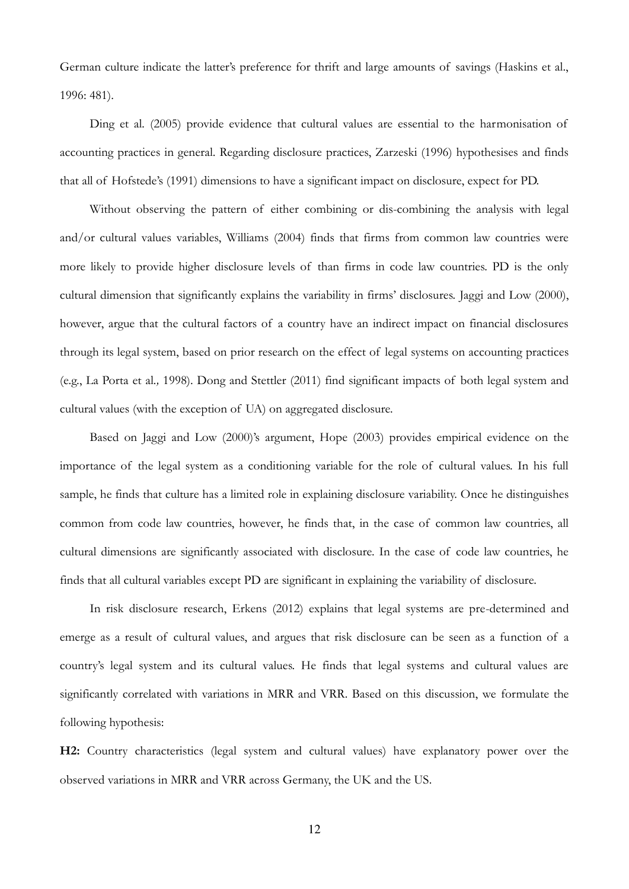German culture indicate the latter's preference for thrift and large amounts of savings (Haskins et al., 1996: 481).

Ding et al*.* (2005) provide evidence that cultural values are essential to the harmonisation of accounting practices in general. Regarding disclosure practices, Zarzeski (1996) hypothesises and finds that all of Hofstede's (1991) dimensions to have a significant impact on disclosure, expect for PD.

Without observing the pattern of either combining or dis-combining the analysis with legal and/or cultural values variables, Williams (2004) finds that firms from common law countries were more likely to provide higher disclosure levels of than firms in code law countries. PD is the only cultural dimension that significantly explains the variability in firms' disclosures. Jaggi and Low (2000), however, argue that the cultural factors of a country have an indirect impact on financial disclosures through its legal system, based on prior research on the effect of legal systems on accounting practices (e.g., La Porta et al*.,* 1998). Dong and Stettler (2011) find significant impacts of both legal system and cultural values (with the exception of UA) on aggregated disclosure.

Based on Jaggi and Low (2000)'s argument, Hope (2003) provides empirical evidence on the importance of the legal system as a conditioning variable for the role of cultural values. In his full sample, he finds that culture has a limited role in explaining disclosure variability. Once he distinguishes common from code law countries, however, he finds that, in the case of common law countries, all cultural dimensions are significantly associated with disclosure. In the case of code law countries, he finds that all cultural variables except PD are significant in explaining the variability of disclosure.

In risk disclosure research, Erkens (2012) explains that legal systems are pre-determined and emerge as a result of cultural values, and argues that risk disclosure can be seen as a function of a country's legal system and its cultural values. He finds that legal systems and cultural values are significantly correlated with variations in MRR and VRR. Based on this discussion, we formulate the following hypothesis:

**H2:** Country characteristics (legal system and cultural values) have explanatory power over the observed variations in MRR and VRR across Germany, the UK and the US.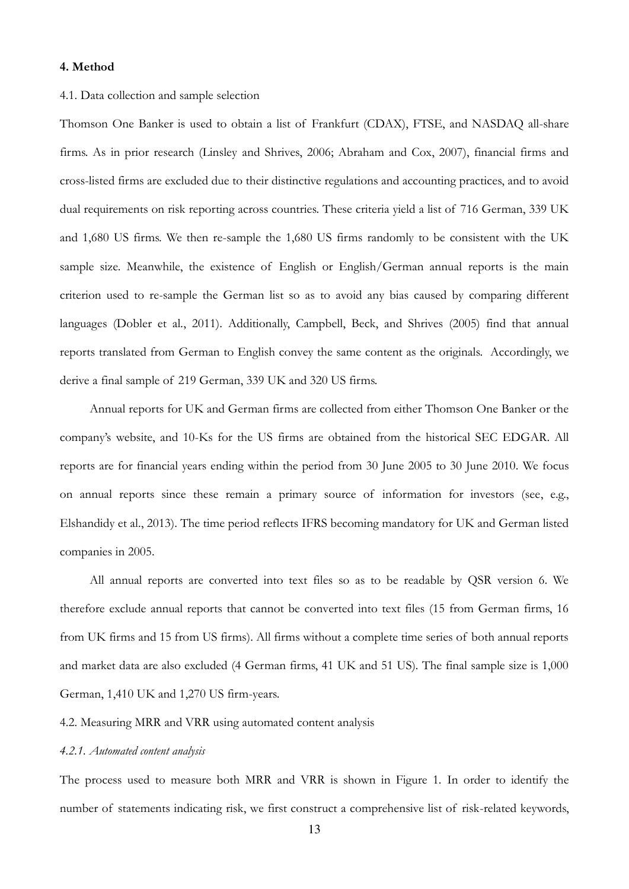### **4. Method**

### 4.1. Data collection and sample selection

Thomson One Banker is used to obtain a list of Frankfurt (CDAX), FTSE, and NASDAQ all-share firms. As in prior research (Linsley and Shrives, 2006; Abraham and Cox, 2007), financial firms and cross-listed firms are excluded due to their distinctive regulations and accounting practices, and to avoid dual requirements on risk reporting across countries. These criteria yield a list of 716 German, 339 UK and 1,680 US firms. We then re-sample the 1,680 US firms randomly to be consistent with the UK sample size. Meanwhile, the existence of English or English/German annual reports is the main criterion used to re-sample the German list so as to avoid any bias caused by comparing different languages (Dobler et al*.*, 2011). Additionally, Campbell, Beck, and Shrives (2005) find that annual reports translated from German to English convey the same content as the originals. Accordingly, we derive a final sample of 219 German, 339 UK and 320 US firms.

Annual reports for UK and German firms are collected from either Thomson One Banker or the company's website, and 10-Ks for the US firms are obtained from the historical SEC EDGAR. All reports are for financial years ending within the period from 30 June 2005 to 30 June 2010. We focus on annual reports since these remain a primary source of information for investors (see, e.g., Elshandidy et al., 2013). The time period reflects IFRS becoming mandatory for UK and German listed companies in 2005.

All annual reports are converted into text files so as to be readable by QSR version 6. We therefore exclude annual reports that cannot be converted into text files (15 from German firms, 16 from UK firms and 15 from US firms). All firms without a complete time series of both annual reports and market data are also excluded (4 German firms, 41 UK and 51 US). The final sample size is 1,000 German, 1,410 UK and 1,270 US firm-years.

## 4.2. Measuring MRR and VRR using automated content analysis

### *4.2.1. Automated content analysis*

The process used to measure both MRR and VRR is shown in Figure 1. In order to identify the number of statements indicating risk, we first construct a comprehensive list of risk-related keywords,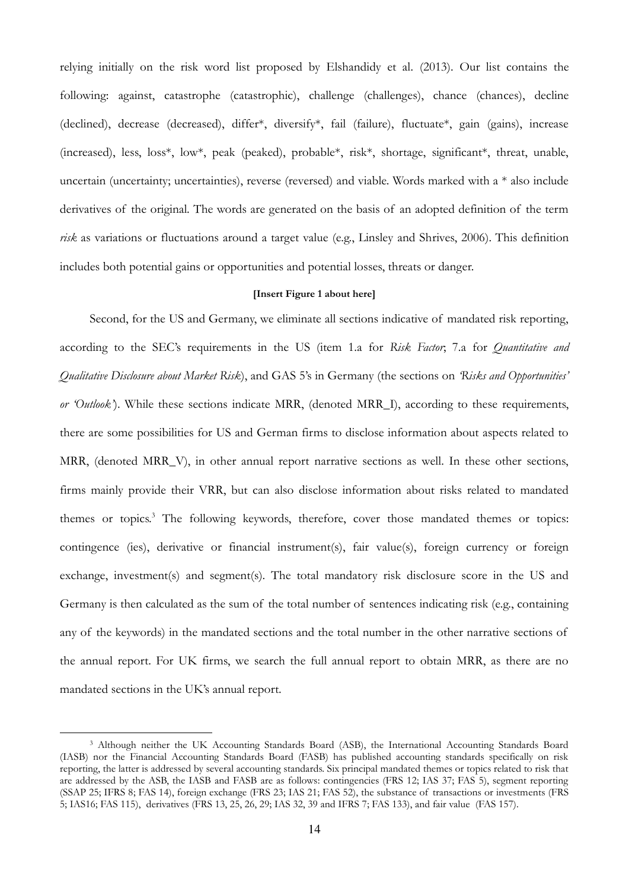relying initially on the risk word list proposed by Elshandidy et al*.* (2013). Our list contains the following: against, catastrophe (catastrophic), challenge (challenges), chance (chances), decline (declined), decrease (decreased), differ\*, diversify\*, fail (failure), fluctuate\*, gain (gains), increase (increased), less, loss\*, low\*, peak (peaked), probable\*, risk\*, shortage, significant\*, threat, unable, uncertain (uncertainty; uncertainties), reverse (reversed) and viable. Words marked with a \* also include derivatives of the original. The words are generated on the basis of an adopted definition of the term *risk* as variations or fluctuations around a target value (e.g., Linsley and Shrives, 2006). This definition includes both potential gains or opportunities and potential losses, threats or danger.

### **[Insert Figure 1 about here]**

Second, for the US and Germany, we eliminate all sections indicative of mandated risk reporting, according to the SEC's requirements in the US (item 1.a for *Risk Factor*; 7.a for *Quantitative and Qualitative Disclosure about Market Risk*), and GAS 5's in Germany (the sections on *'Risks and Opportunities' or 'Outlook'*). While these sections indicate MRR, (denoted MRR\_I), according to these requirements, there are some possibilities for US and German firms to disclose information about aspects related to MRR, (denoted MRR\_V), in other annual report narrative sections as well. In these other sections, firms mainly provide their VRR, but can also disclose information about risks related to mandated themes or topics.<sup>3</sup> The following keywords, therefore, cover those mandated themes or topics: contingence (ies), derivative or financial instrument(s), fair value(s), foreign currency or foreign exchange, investment(s) and segment(s). The total mandatory risk disclosure score in the US and Germany is then calculated as the sum of the total number of sentences indicating risk (e.g., containing any of the keywords) in the mandated sections and the total number in the other narrative sections of the annual report. For UK firms, we search the full annual report to obtain MRR, as there are no mandated sections in the UK's annual report.

1

<sup>3</sup> Although neither the UK Accounting Standards Board (ASB), the International Accounting Standards Board (IASB) nor the Financial Accounting Standards Board (FASB) has published accounting standards specifically on risk reporting, the latter is addressed by several accounting standards. Six principal mandated themes or topics related to risk that are addressed by the ASB, the IASB and FASB are as follows: contingencies (FRS 12; IAS 37; FAS 5), segment reporting (SSAP 25; IFRS 8; FAS 14), foreign exchange (FRS 23; IAS 21; FAS 52), the substance of transactions or investments (FRS 5; IAS16; FAS 115), derivatives (FRS 13, 25, 26, 29; IAS 32, 39 and IFRS 7; FAS 133), and fair value (FAS 157).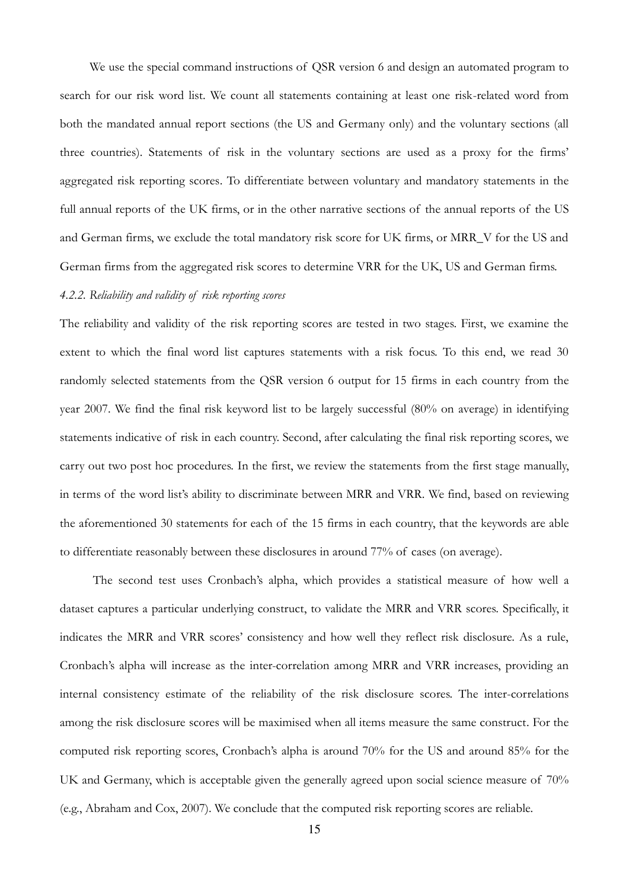We use the special command instructions of QSR version 6 and design an automated program to search for our risk word list. We count all statements containing at least one risk-related word from both the mandated annual report sections (the US and Germany only) and the voluntary sections (all three countries). Statements of risk in the voluntary sections are used as a proxy for the firms' aggregated risk reporting scores. To differentiate between voluntary and mandatory statements in the full annual reports of the UK firms, or in the other narrative sections of the annual reports of the US and German firms, we exclude the total mandatory risk score for UK firms, or MRR\_V for the US and German firms from the aggregated risk scores to determine VRR for the UK, US and German firms.

# *4.2.2. Reliability and validity of risk reporting scores*

The reliability and validity of the risk reporting scores are tested in two stages. First, we examine the extent to which the final word list captures statements with a risk focus. To this end, we read 30 randomly selected statements from the QSR version 6 output for 15 firms in each country from the year 2007. We find the final risk keyword list to be largely successful (80% on average) in identifying statements indicative of risk in each country. Second, after calculating the final risk reporting scores, we carry out two post hoc procedures. In the first, we review the statements from the first stage manually, in terms of the word list's ability to discriminate between MRR and VRR. We find, based on reviewing the aforementioned 30 statements for each of the 15 firms in each country, that the keywords are able to differentiate reasonably between these disclosures in around 77% of cases (on average).

 The second test uses Cronbach's alpha, which provides a statistical measure of how well a dataset captures a particular underlying construct, to validate the MRR and VRR scores. Specifically, it indicates the MRR and VRR scores' consistency and how well they reflect risk disclosure. As a rule, Cronbach's alpha will increase as the inter-correlation among MRR and VRR increases, providing an internal consistency estimate of the reliability of the risk disclosure scores. The inter-correlations among the risk disclosure scores will be maximised when all items measure the same construct. For the computed risk reporting scores, Cronbach's alpha is around 70% for the US and around 85% for the UK and Germany, which is acceptable given the generally agreed upon social science measure of 70% (e.g., Abraham and Cox, 2007). We conclude that the computed risk reporting scores are reliable.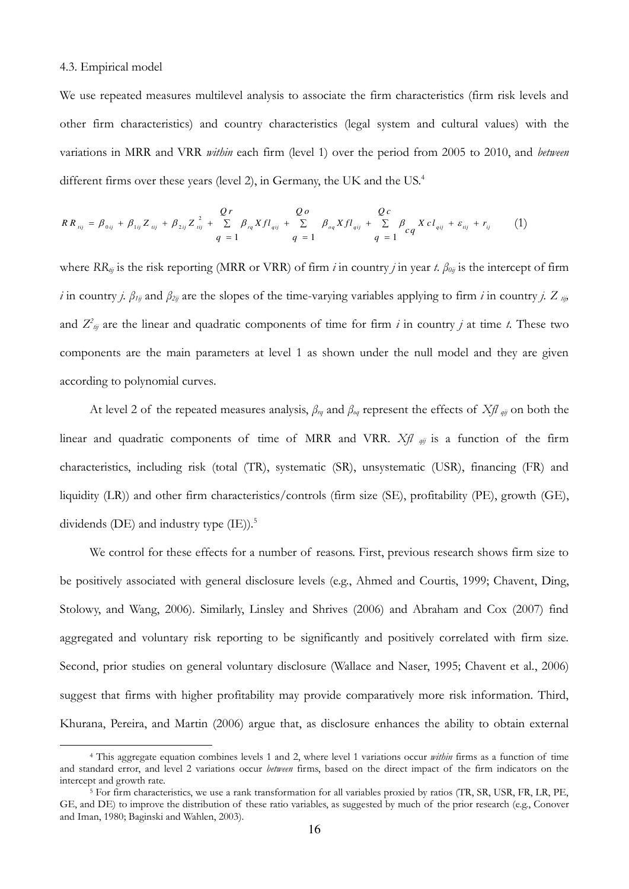#### 4.3. Empirical model

<u>.</u>

We use repeated measures multilevel analysis to associate the firm characteristics (firm risk levels and other firm characteristics) and country characteristics (legal system and cultural values) with the variations in MRR and VRR *within* each firm (level 1) over the period from 2005 to 2010, and *between* different firms over these years (level 2), in Germany, the UK and the US.<sup>4</sup>

$$
RR_{ij} = \beta_{0ij} + \beta_{1ij} Z_{ij} + \beta_{2ij} Z_{ij}^2 + \sum_{q=1}^{2} \beta_{rq} Xf l_{qij} + \sum_{q=1}^{2} \beta_{qq} Xf l_{qij} + \sum_{q=1}^{2} \beta_{cq} Xc l_{qij} + \varepsilon_{ij} + r_{ij}
$$
 (1)

where *RRtij* is the risk reporting (MRR or VRR) of firm *i* in country *j* in year *t*. *β0ij* is the intercept of firm *i* in country *j.*  $\beta_{1ij}$  and  $\beta_{2ij}$  are the slopes of the time-varying variables applying to firm *i* in country *j.* Z  $_{ij}$ , and  $Z^2_{ij}$  are the linear and quadratic components of time for firm *i* in country *j* at time *t*. These two components are the main parameters at level 1 as shown under the null model and they are given according to polynomial curves.

At level 2 of the repeated measures analysis, *βrq* and *βoq* represent the effects of *Xfl qij* on both the linear and quadratic components of time of MRR and VRR. *Xfl qij* is a function of the firm characteristics, including risk (total (TR), systematic (SR), unsystematic (USR), financing (FR) and liquidity (LR)) and other firm characteristics/controls (firm size (SE), profitability (PE), growth (GE), dividends (DE) and industry type (IE)).<sup>5</sup>

We control for these effects for a number of reasons. First, previous research shows firm size to be positively associated with general disclosure levels (e.g., Ahmed and Courtis, 1999; Chavent, Ding, Stolowy, and Wang, 2006). Similarly, Linsley and Shrives (2006) and Abraham and Cox (2007) find aggregated and voluntary risk reporting to be significantly and positively correlated with firm size. Second, prior studies on general voluntary disclosure (Wallace and Naser, 1995; Chavent et al*.*, 2006) suggest that firms with higher profitability may provide comparatively more risk information. Third, Khurana, Pereira, and Martin (2006) argue that, as disclosure enhances the ability to obtain external

<sup>4</sup> This aggregate equation combines levels 1 and 2, where level 1 variations occur *within* firms as a function of time and standard error, and level 2 variations occur *between* firms, based on the direct impact of the firm indicators on the intercept and growth rate.

<sup>5</sup> For firm characteristics, we use a rank transformation for all variables proxied by ratios (TR, SR, USR, FR, LR, PE, GE, and DE) to improve the distribution of these ratio variables, as suggested by much of the prior research (e.g., Conover and Iman, 1980; Baginski and Wahlen, 2003).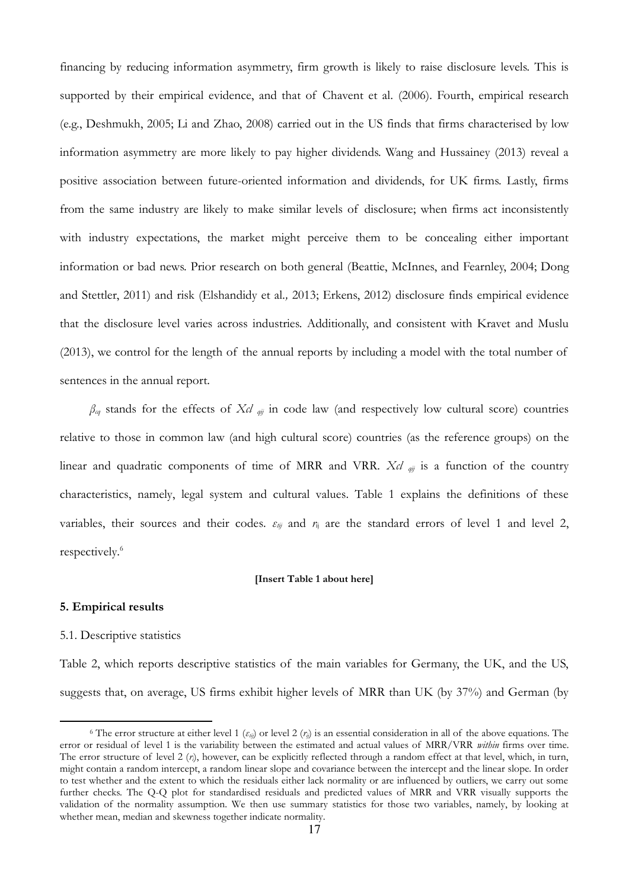financing by reducing information asymmetry, firm growth is likely to raise disclosure levels. This is supported by their empirical evidence, and that of Chavent et al*.* (2006). Fourth, empirical research (e.g., Deshmukh, 2005; Li and Zhao, 2008) carried out in the US finds that firms characterised by low information asymmetry are more likely to pay higher dividends. Wang and Hussainey (2013) reveal a positive association between future-oriented information and dividends, for UK firms. Lastly, firms from the same industry are likely to make similar levels of disclosure; when firms act inconsistently with industry expectations, the market might perceive them to be concealing either important information or bad news. Prior research on both general (Beattie, McInnes, and Fearnley, 2004; Dong and Stettler, 2011) and risk (Elshandidy et al*.,* 2013; Erkens, 2012) disclosure finds empirical evidence that the disclosure level varies across industries. Additionally, and consistent with Kravet and Muslu (2013), we control for the length of the annual reports by including a model with the total number of sentences in the annual report.

 $\beta_{cq}$  stands for the effects of *Xcl qij* in code law (and respectively low cultural score) countries relative to those in common law (and high cultural score) countries (as the reference groups) on the linear and quadratic components of time of MRR and VRR. *Xcl qij* is a function of the country characteristics, namely, legal system and cultural values. Table 1 explains the definitions of these variables, their sources and their codes.  $\varepsilon_{tij}$  and  $r_{ij}$  are the standard errors of level 1 and level 2, respectively.<sup>6</sup>

#### **[Insert Table 1 about here]**

### **5. Empirical results**

<u>.</u>

### 5.1. Descriptive statistics

Table 2, which reports descriptive statistics of the main variables for Germany, the UK, and the US, suggests that, on average, US firms exhibit higher levels of MRR than UK (by 37%) and German (by

<sup>&</sup>lt;sup>6</sup> The error structure at either level 1 ( $\varepsilon_{ij}$ ) or level 2 ( $r_{ij}$ ) is an essential consideration in all of the above equations. The error or residual of level 1 is the variability between the estimated and actual values of MRR/VRR *within* firms over time. The error structure of level 2 (*ri*), however, can be explicitly reflected through a random effect at that level, which, in turn, might contain a random intercept, a random linear slope and covariance between the intercept and the linear slope. In order to test whether and the extent to which the residuals either lack normality or are influenced by outliers, we carry out some further checks. The Q-Q plot for standardised residuals and predicted values of MRR and VRR visually supports the validation of the normality assumption. We then use summary statistics for those two variables, namely, by looking at whether mean, median and skewness together indicate normality.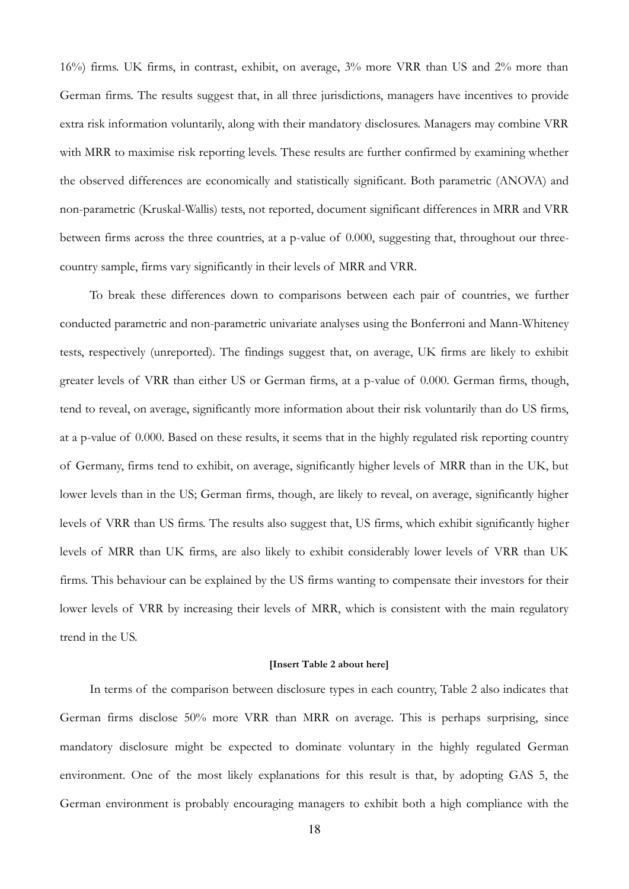16%) firms. UK firms, in contrast, exhibit, on average, 3% more VRR than US and 2% more than German firms. The results suggest that, in all three jurisdictions, managers have incentives to provide extra risk information voluntarily, along with their mandatory disclosures. Managers may combine VRR with MRR to maximise risk reporting levels. These results are further confirmed by examining whether the observed differences are economically and statistically significant. Both parametric (ANOVA) and non-parametric (Kruskal-Wallis) tests, not reported, document significant differences in MRR and VRR between firms across the three countries, at a p-value of 0.000, suggesting that, throughout our threecountry sample, firms vary significantly in their levels of MRR and VRR.

To break these differences down to comparisons between each pair of countries, we further conducted parametric and non-parametric univariate analyses using the Bonferroni and Mann-Whiteney tests, respectively (unreported). The findings suggest that, on average, UK firms are likely to exhibit greater levels of VRR than either US or German firms, at a p-value of 0.000. German firms, though, tend to reveal, on average, significantly more information about their risk voluntarily than do US firms, at a p-value of 0.000. Based on these results, it seems that in the highly regulated risk reporting country of Germany, firms tend to exhibit, on average, significantly higher levels of MRR than in the UK, but lower levels than in the US; German firms, though, are likely to reveal, on average, significantly higher levels of VRR than US firms. The results also suggest that, US firms, which exhibit significantly higher levels of MRR than UK firms, are also likely to exhibit considerably lower levels of VRR than UK firms. This behaviour can be explained by the US firms wanting to compensate their investors for their lower levels of VRR by increasing their levels of MRR, which is consistent with the main regulatory trend in the US.

### **[Insert Table 2 about here]**

In terms of the comparison between disclosure types in each country, Table 2 also indicates that German firms disclose 50% more VRR than MRR on average. This is perhaps surprising, since mandatory disclosure might be expected to dominate voluntary in the highly regulated German environment. One of the most likely explanations for this result is that, by adopting GAS 5, the German environment is probably encouraging managers to exhibit both a high compliance with the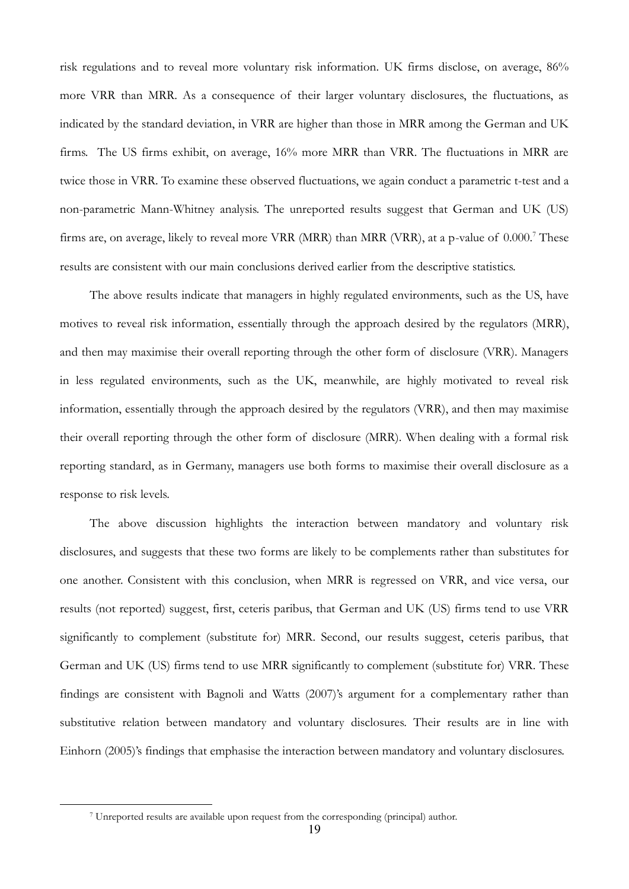risk regulations and to reveal more voluntary risk information. UK firms disclose, on average, 86% more VRR than MRR. As a consequence of their larger voluntary disclosures, the fluctuations, as indicated by the standard deviation, in VRR are higher than those in MRR among the German and UK firms. The US firms exhibit, on average, 16% more MRR than VRR. The fluctuations in MRR are twice those in VRR. To examine these observed fluctuations, we again conduct a parametric t-test and a non-parametric Mann-Whitney analysis. The unreported results suggest that German and UK (US) firms are, on average, likely to reveal more VRR (MRR) than MRR (VRR), at a p-value of 0.000.<sup>7</sup> These results are consistent with our main conclusions derived earlier from the descriptive statistics.

The above results indicate that managers in highly regulated environments, such as the US, have motives to reveal risk information, essentially through the approach desired by the regulators (MRR), and then may maximise their overall reporting through the other form of disclosure (VRR). Managers in less regulated environments, such as the UK, meanwhile, are highly motivated to reveal risk information, essentially through the approach desired by the regulators (VRR), and then may maximise their overall reporting through the other form of disclosure (MRR). When dealing with a formal risk reporting standard, as in Germany, managers use both forms to maximise their overall disclosure as a response to risk levels.

The above discussion highlights the interaction between mandatory and voluntary risk disclosures, and suggests that these two forms are likely to be complements rather than substitutes for one another. Consistent with this conclusion, when MRR is regressed on VRR, and vice versa, our results (not reported) suggest, first, ceteris paribus, that German and UK (US) firms tend to use VRR significantly to complement (substitute for) MRR. Second, our results suggest, ceteris paribus, that German and UK (US) firms tend to use MRR significantly to complement (substitute for) VRR. These findings are consistent with Bagnoli and Watts (2007)'s argument for a complementary rather than substitutive relation between mandatory and voluntary disclosures. Their results are in line with Einhorn (2005)'s findings that emphasise the interaction between mandatory and voluntary disclosures.

1

<sup>7</sup> Unreported results are available upon request from the corresponding (principal) author.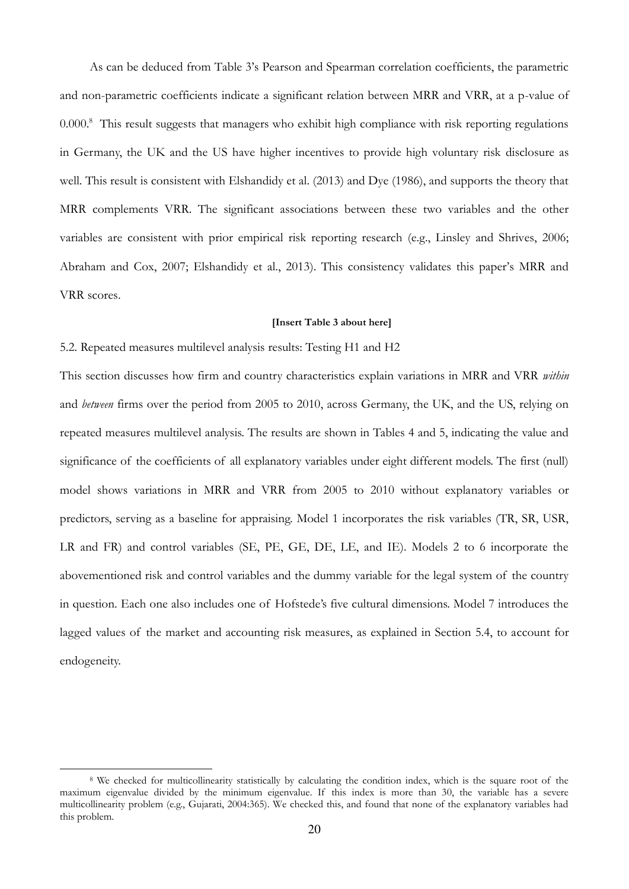As can be deduced from Table 3's Pearson and Spearman correlation coefficients, the parametric and non-parametric coefficients indicate a significant relation between MRR and VRR, at a p-value of 0.000.<sup>8</sup> This result suggests that managers who exhibit high compliance with risk reporting regulations in Germany, the UK and the US have higher incentives to provide high voluntary risk disclosure as well. This result is consistent with Elshandidy et al. (2013) and Dye (1986), and supports the theory that MRR complements VRR. The significant associations between these two variables and the other variables are consistent with prior empirical risk reporting research (e.g., Linsley and Shrives, 2006; Abraham and Cox, 2007; Elshandidy et al., 2013). This consistency validates this paper's MRR and VRR scores.

#### **[Insert Table 3 about here]**

5.2. Repeated measures multilevel analysis results: Testing H1 and H2

<u>.</u>

This section discusses how firm and country characteristics explain variations in MRR and VRR *within* and *between* firms over the period from 2005 to 2010, across Germany, the UK, and the US, relying on repeated measures multilevel analysis. The results are shown in Tables 4 and 5, indicating the value and significance of the coefficients of all explanatory variables under eight different models. The first (null) model shows variations in MRR and VRR from 2005 to 2010 without explanatory variables or predictors, serving as a baseline for appraising. Model 1 incorporates the risk variables (TR, SR, USR, LR and FR) and control variables (SE, PE, GE, DE, LE, and IE). Models 2 to 6 incorporate the abovementioned risk and control variables and the dummy variable for the legal system of the country in question. Each one also includes one of Hofstede's five cultural dimensions. Model 7 introduces the lagged values of the market and accounting risk measures, as explained in Section 5.4, to account for endogeneity.

<sup>&</sup>lt;sup>8</sup> We checked for multicollinearity statistically by calculating the condition index, which is the square root of the maximum eigenvalue divided by the minimum eigenvalue. If this index is more than 30, the variable has a severe multicollinearity problem (e.g., Gujarati, 2004:365). We checked this, and found that none of the explanatory variables had this problem.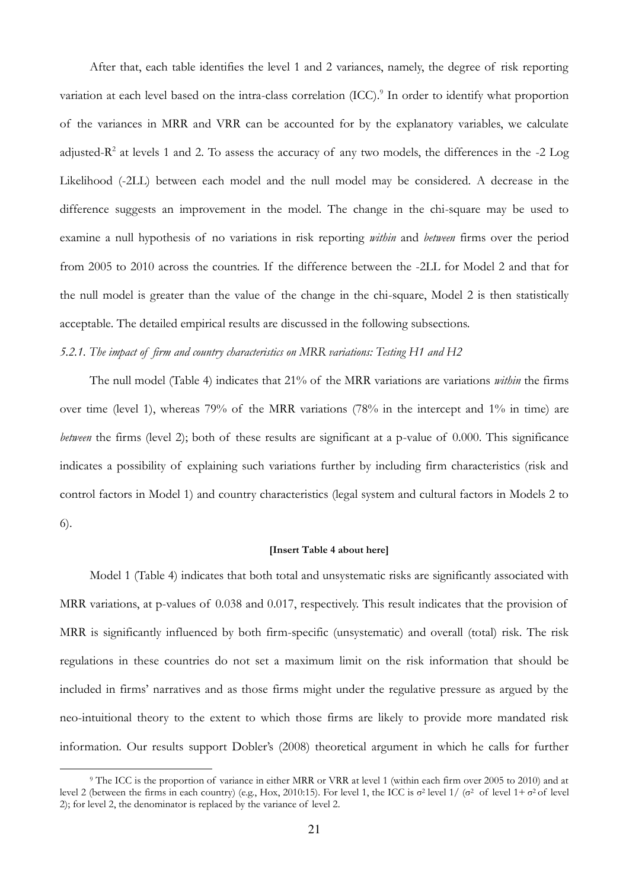After that, each table identifies the level 1 and 2 variances, namely, the degree of risk reporting variation at each level based on the intra-class correlation (ICC).<sup>9</sup> In order to identify what proportion of the variances in MRR and VRR can be accounted for by the explanatory variables, we calculate adjusted- $R^2$  at levels 1 and 2. To assess the accuracy of any two models, the differences in the -2 Log Likelihood (-2LL) between each model and the null model may be considered. A decrease in the difference suggests an improvement in the model. The change in the chi-square may be used to examine a null hypothesis of no variations in risk reporting *within* and *between* firms over the period from 2005 to 2010 across the countries. If the difference between the -2LL for Model 2 and that for the null model is greater than the value of the change in the chi-square, Model 2 is then statistically acceptable. The detailed empirical results are discussed in the following subsections.

## *5.2.1. The impact of firm and country characteristics on MRR variations: Testing H1 and H2*

The null model (Table 4) indicates that 21% of the MRR variations are variations *within* the firms over time (level 1), whereas 79% of the MRR variations (78% in the intercept and 1% in time) are *between* the firms (level 2); both of these results are significant at a p-value of 0.000. This significance indicates a possibility of explaining such variations further by including firm characteristics (risk and control factors in Model 1) and country characteristics (legal system and cultural factors in Models 2 to 6).

### **[Insert Table 4 about here]**

Model 1 (Table 4) indicates that both total and unsystematic risks are significantly associated with MRR variations, at p-values of 0.038 and 0.017, respectively. This result indicates that the provision of MRR is significantly influenced by both firm-specific (unsystematic) and overall (total) risk. The risk regulations in these countries do not set a maximum limit on the risk information that should be included in firms' narratives and as those firms might under the regulative pressure as argued by the neo-intuitional theory to the extent to which those firms are likely to provide more mandated risk information. Our results support Dobler's (2008) theoretical argument in which he calls for further

<u>.</u>

<sup>9</sup> The ICC is the proportion of variance in either MRR or VRR at level 1 (within each firm over 2005 to 2010) and at level 2 (between the firms in each country) (e.g., Hox, 2010:15). For level 1, the ICC is  $\sigma^2$  level  $1/(\sigma^2$  of level  $1+\sigma^2$  of level 2); for level 2, the denominator is replaced by the variance of level 2.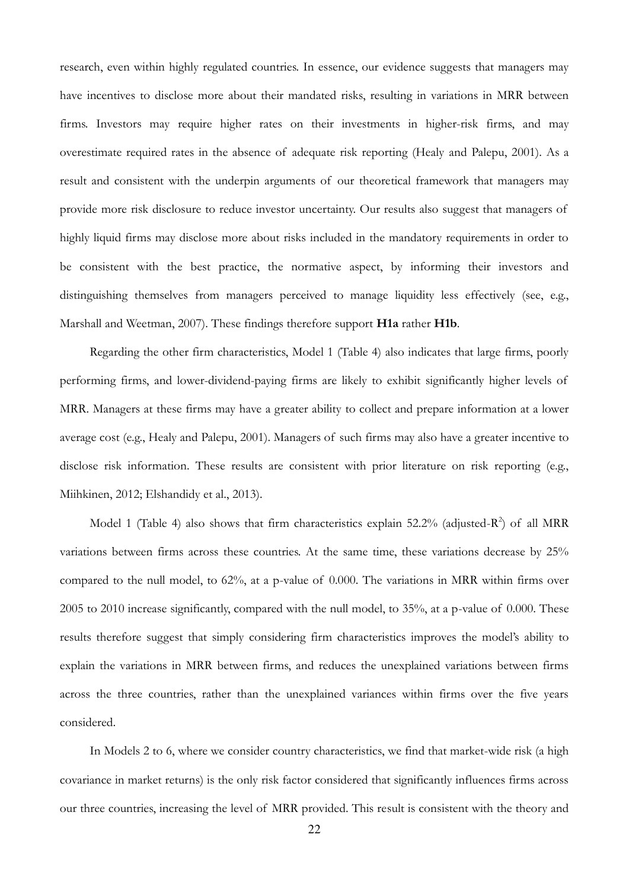research, even within highly regulated countries. In essence, our evidence suggests that managers may have incentives to disclose more about their mandated risks, resulting in variations in MRR between firms. Investors may require higher rates on their investments in higher-risk firms, and may overestimate required rates in the absence of adequate risk reporting (Healy and Palepu, 2001). As a result and consistent with the underpin arguments of our theoretical framework that managers may provide more risk disclosure to reduce investor uncertainty. Our results also suggest that managers of highly liquid firms may disclose more about risks included in the mandatory requirements in order to be consistent with the best practice, the normative aspect, by informing their investors and distinguishing themselves from managers perceived to manage liquidity less effectively (see, e.g., Marshall and Weetman, 2007). These findings therefore support **H1a** rather **H1b**.

Regarding the other firm characteristics, Model 1 (Table 4) also indicates that large firms, poorly performing firms, and lower-dividend-paying firms are likely to exhibit significantly higher levels of MRR. Managers at these firms may have a greater ability to collect and prepare information at a lower average cost (e.g., Healy and Palepu, 2001). Managers of such firms may also have a greater incentive to disclose risk information. These results are consistent with prior literature on risk reporting (e.g., Miihkinen, 2012; Elshandidy et al., 2013).

Model 1 (Table 4) also shows that firm characteristics explain  $52.2\%$  (adjusted-R<sup>2</sup>) of all MRR variations between firms across these countries. At the same time, these variations decrease by 25% compared to the null model, to 62%, at a p-value of 0.000. The variations in MRR within firms over 2005 to 2010 increase significantly, compared with the null model, to 35%, at a p-value of 0.000. These results therefore suggest that simply considering firm characteristics improves the model's ability to explain the variations in MRR between firms, and reduces the unexplained variations between firms across the three countries, rather than the unexplained variances within firms over the five years considered.

In Models 2 to 6, where we consider country characteristics, we find that market-wide risk (a high covariance in market returns) is the only risk factor considered that significantly influences firms across our three countries, increasing the level of MRR provided. This result is consistent with the theory and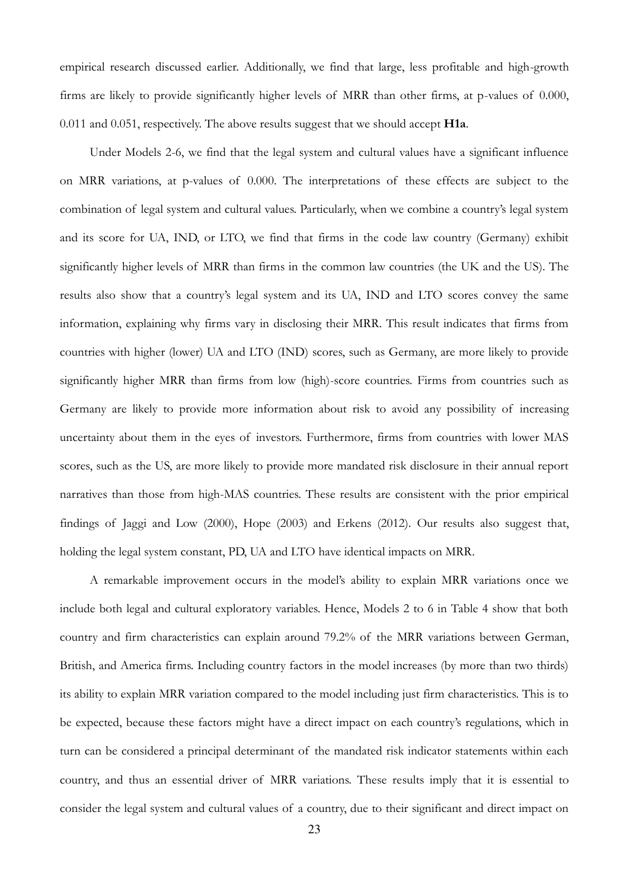empirical research discussed earlier. Additionally, we find that large, less profitable and high-growth firms are likely to provide significantly higher levels of MRR than other firms, at p-values of 0.000, 0.011 and 0.051, respectively. The above results suggest that we should accept **H1a**.

Under Models 2-6, we find that the legal system and cultural values have a significant influence on MRR variations, at p-values of 0.000. The interpretations of these effects are subject to the combination of legal system and cultural values. Particularly, when we combine a country's legal system and its score for UA, IND, or LTO, we find that firms in the code law country (Germany) exhibit significantly higher levels of MRR than firms in the common law countries (the UK and the US). The results also show that a country's legal system and its UA, IND and LTO scores convey the same information, explaining why firms vary in disclosing their MRR. This result indicates that firms from countries with higher (lower) UA and LTO (IND) scores, such as Germany, are more likely to provide significantly higher MRR than firms from low (high)-score countries. Firms from countries such as Germany are likely to provide more information about risk to avoid any possibility of increasing uncertainty about them in the eyes of investors. Furthermore, firms from countries with lower MAS scores, such as the US, are more likely to provide more mandated risk disclosure in their annual report narratives than those from high-MAS countries. These results are consistent with the prior empirical findings of Jaggi and Low (2000), Hope (2003) and Erkens (2012). Our results also suggest that, holding the legal system constant, PD, UA and LTO have identical impacts on MRR.

A remarkable improvement occurs in the model's ability to explain MRR variations once we include both legal and cultural exploratory variables. Hence, Models 2 to 6 in Table 4 show that both country and firm characteristics can explain around 79.2% of the MRR variations between German, British, and America firms. Including country factors in the model increases (by more than two thirds) its ability to explain MRR variation compared to the model including just firm characteristics. This is to be expected, because these factors might have a direct impact on each country's regulations, which in turn can be considered a principal determinant of the mandated risk indicator statements within each country, and thus an essential driver of MRR variations. These results imply that it is essential to consider the legal system and cultural values of a country, due to their significant and direct impact on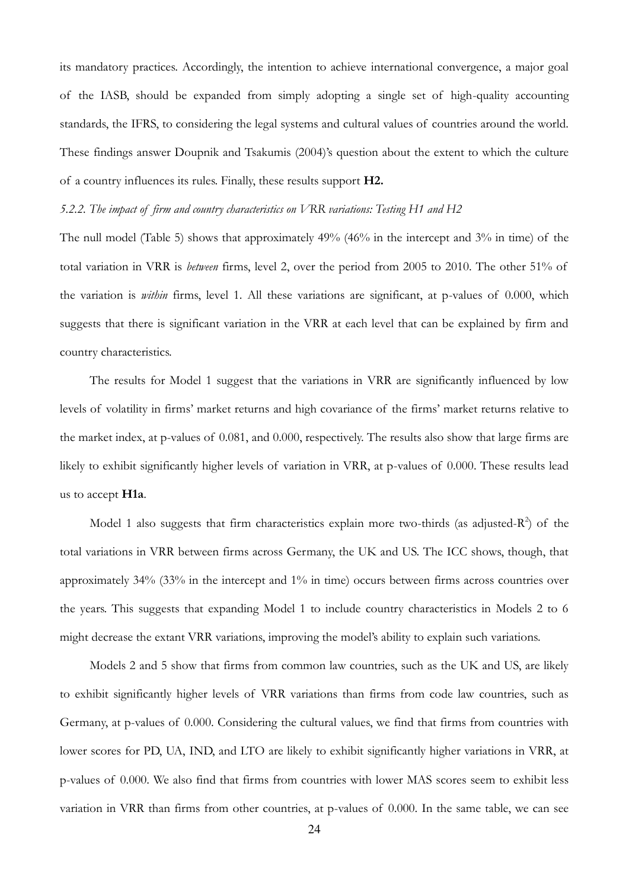its mandatory practices. Accordingly, the intention to achieve international convergence, a major goal of the IASB, should be expanded from simply adopting a single set of high-quality accounting standards, the IFRS, to considering the legal systems and cultural values of countries around the world. These findings answer Doupnik and Tsakumis (2004)'s question about the extent to which the culture of a country influences its rules. Finally, these results support **H2.**

#### *5.2.2. The impact of firm and country characteristics on VRR variations: Testing H1 and H2*

The null model (Table 5) shows that approximately 49% (46% in the intercept and 3% in time) of the total variation in VRR is *between* firms, level 2, over the period from 2005 to 2010. The other 51% of the variation is *within* firms, level 1. All these variations are significant, at p-values of 0.000, which suggests that there is significant variation in the VRR at each level that can be explained by firm and country characteristics.

The results for Model 1 suggest that the variations in VRR are significantly influenced by low levels of volatility in firms' market returns and high covariance of the firms' market returns relative to the market index, at p-values of 0.081, and 0.000, respectively. The results also show that large firms are likely to exhibit significantly higher levels of variation in VRR, at p-values of 0.000. These results lead us to accept **H1a**.

Model 1 also suggests that firm characteristics explain more two-thirds (as adjusted- $R^2$ ) of the total variations in VRR between firms across Germany, the UK and US. The ICC shows, though, that approximately 34% (33% in the intercept and 1% in time) occurs between firms across countries over the years. This suggests that expanding Model 1 to include country characteristics in Models 2 to 6 might decrease the extant VRR variations, improving the model's ability to explain such variations.

Models 2 and 5 show that firms from common law countries, such as the UK and US, are likely to exhibit significantly higher levels of VRR variations than firms from code law countries, such as Germany, at p-values of 0.000. Considering the cultural values, we find that firms from countries with lower scores for PD, UA, IND, and LTO are likely to exhibit significantly higher variations in VRR, at p-values of 0.000. We also find that firms from countries with lower MAS scores seem to exhibit less variation in VRR than firms from other countries, at p-values of 0.000. In the same table, we can see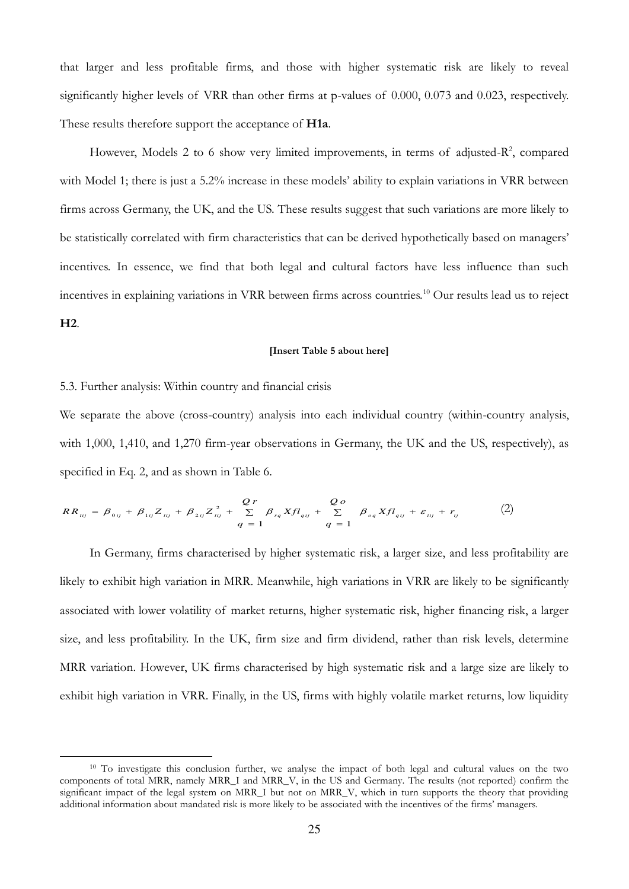that larger and less profitable firms, and those with higher systematic risk are likely to reveal significantly higher levels of VRR than other firms at p-values of 0.000, 0.073 and 0.023, respectively. These results therefore support the acceptance of **H1a**.

However, Models 2 to 6 show very limited improvements, in terms of adjusted- $R^2$ , compared with Model 1; there is just a 5.2% increase in these models' ability to explain variations in VRR between firms across Germany, the UK, and the US. These results suggest that such variations are more likely to be statistically correlated with firm characteristics that can be derived hypothetically based on managers' incentives. In essence, we find that both legal and cultural factors have less influence than such incentives in explaining variations in VRR between firms across countries.<sup>10</sup> Our results lead us to reject **H2**.

#### **[Insert Table 5 about here]**

### 5.3. Further analysis: Within country and financial crisis

1

We separate the above (cross-country) analysis into each individual country (within-country analysis, with 1,000, 1,410, and 1,270 firm-year observations in Germany, the UK and the US, respectively), as specified in Eq. 2, and as shown in Table 6.

$$
RR_{ij} = \beta_{0ij} + \beta_{1ij} Z_{ij} + \beta_{2ij} Z_{ij}^2 + \sum_{q=1}^{Qr} \beta_{rq} Xf l_{qij} + \sum_{q=1}^{Qo} \beta_{oq} Xf l_{qij} + \varepsilon_{ij} + r_{ij}
$$
 (2)

In Germany, firms characterised by higher systematic risk, a larger size, and less profitability are likely to exhibit high variation in MRR. Meanwhile, high variations in VRR are likely to be significantly associated with lower volatility of market returns, higher systematic risk, higher financing risk, a larger size, and less profitability. In the UK, firm size and firm dividend, rather than risk levels, determine MRR variation. However, UK firms characterised by high systematic risk and a large size are likely to exhibit high variation in VRR. Finally, in the US, firms with highly volatile market returns, low liquidity

<sup>&</sup>lt;sup>10</sup> To investigate this conclusion further, we analyse the impact of both legal and cultural values on the two components of total MRR, namely MRR\_I and MRR\_V, in the US and Germany. The results (not reported) confirm the significant impact of the legal system on MRR\_I but not on MRR\_V, which in turn supports the theory that providing additional information about mandated risk is more likely to be associated with the incentives of the firms' managers.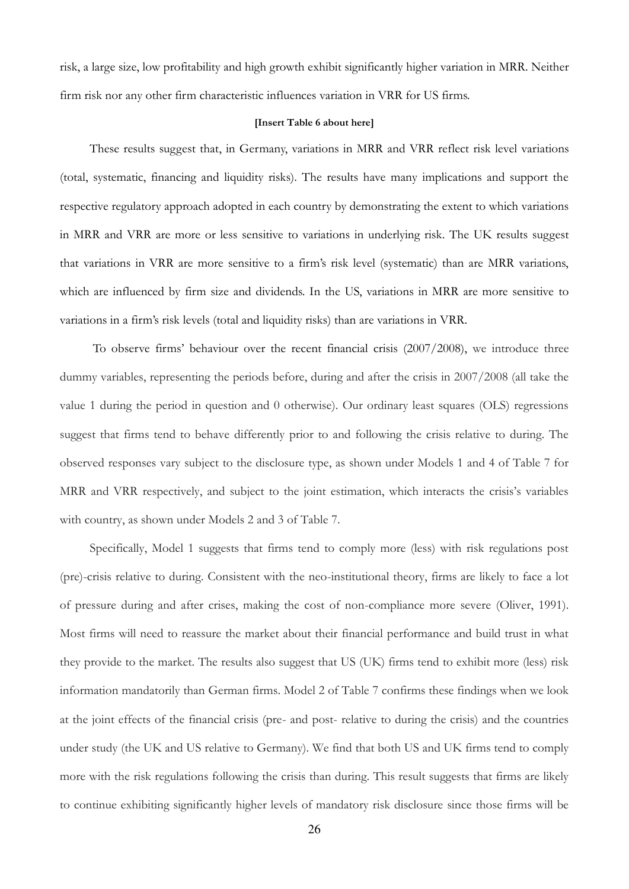risk, a large size, low profitability and high growth exhibit significantly higher variation in MRR. Neither firm risk nor any other firm characteristic influences variation in VRR for US firms.

### **[Insert Table 6 about here]**

These results suggest that, in Germany, variations in MRR and VRR reflect risk level variations (total, systematic, financing and liquidity risks). The results have many implications and support the respective regulatory approach adopted in each country by demonstrating the extent to which variations in MRR and VRR are more or less sensitive to variations in underlying risk. The UK results suggest that variations in VRR are more sensitive to a firm's risk level (systematic) than are MRR variations, which are influenced by firm size and dividends. In the US, variations in MRR are more sensitive to variations in a firm's risk levels (total and liquidity risks) than are variations in VRR.

To observe firms' behaviour over the recent financial crisis (2007/2008), we introduce three dummy variables, representing the periods before, during and after the crisis in 2007/2008 (all take the value 1 during the period in question and 0 otherwise). Our ordinary least squares (OLS) regressions suggest that firms tend to behave differently prior to and following the crisis relative to during. The observed responses vary subject to the disclosure type, as shown under Models 1 and 4 of Table 7 for MRR and VRR respectively, and subject to the joint estimation, which interacts the crisis's variables with country, as shown under Models 2 and 3 of Table 7.

Specifically, Model 1 suggests that firms tend to comply more (less) with risk regulations post (pre)-crisis relative to during. Consistent with the neo-institutional theory, firms are likely to face a lot of pressure during and after crises, making the cost of non-compliance more severe (Oliver, 1991). Most firms will need to reassure the market about their financial performance and build trust in what they provide to the market. The results also suggest that US (UK) firms tend to exhibit more (less) risk information mandatorily than German firms. Model 2 of Table 7 confirms these findings when we look at the joint effects of the financial crisis (pre- and post- relative to during the crisis) and the countries under study (the UK and US relative to Germany). We find that both US and UK firms tend to comply more with the risk regulations following the crisis than during. This result suggests that firms are likely to continue exhibiting significantly higher levels of mandatory risk disclosure since those firms will be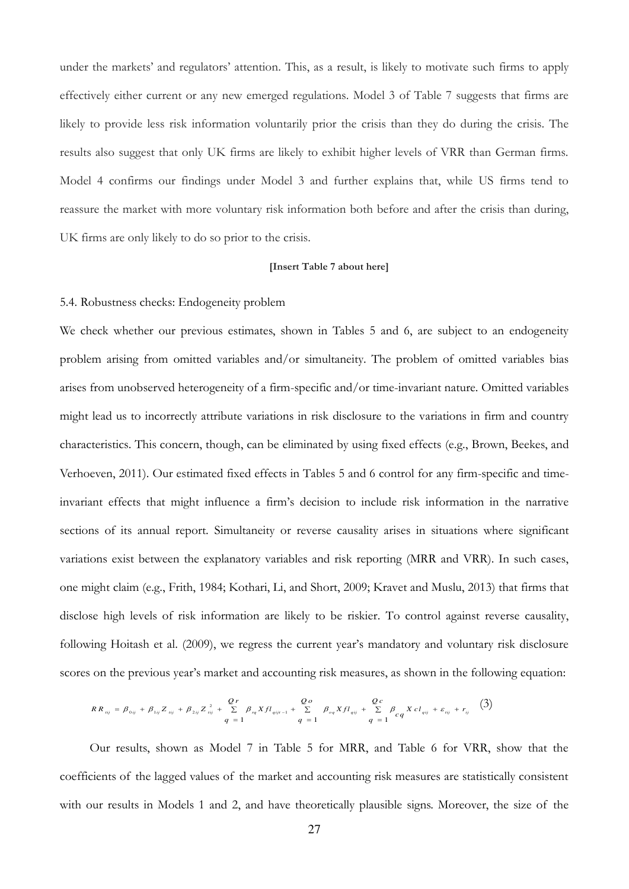under the markets' and regulators' attention. This, as a result, is likely to motivate such firms to apply effectively either current or any new emerged regulations. Model 3 of Table 7 suggests that firms are likely to provide less risk information voluntarily prior the crisis than they do during the crisis. The results also suggest that only UK firms are likely to exhibit higher levels of VRR than German firms. Model 4 confirms our findings under Model 3 and further explains that, while US firms tend to reassure the market with more voluntary risk information both before and after the crisis than during, UK firms are only likely to do so prior to the crisis.

#### **[Insert Table 7 about here]**

#### 5.4. Robustness checks: Endogeneity problem

We check whether our previous estimates, shown in Tables 5 and 6, are subject to an endogeneity problem arising from omitted variables and/or simultaneity. The problem of omitted variables bias arises from unobserved heterogeneity of a firm-specific and/or time-invariant nature. Omitted variables might lead us to incorrectly attribute variations in risk disclosure to the variations in firm and country characteristics. This concern, though, can be eliminated by using fixed effects (e.g., Brown, Beekes, and Verhoeven, 2011). Our estimated fixed effects in Tables 5 and 6 control for any firm-specific and timeinvariant effects that might influence a firm's decision to include risk information in the narrative sections of its annual report. Simultaneity or reverse causality arises in situations where significant variations exist between the explanatory variables and risk reporting (MRR and VRR). In such cases, one might claim (e.g., Frith, 1984; Kothari, Li, and Short, 2009; Kravet and Muslu, 2013) that firms that disclose high levels of risk information are likely to be riskier. To control against reverse causality, following Hoitash et al. (2009), we regress the current year's mandatory and voluntary risk disclosure scores on the previous year's market and accounting risk measures, as shown in the following equation:

$$
RR_{ij} = \beta_{0ij} + \beta_{1ij} Z_{ij} + \beta_{2ij} Z_{ij}^2 + \sum_{q=1}^{Qr} \beta_{rq} Xf l_{qijt-1} + \sum_{q=1}^{Qo} \beta_{oq} Xf l_{qij} + \sum_{q=1}^{Qc} \beta_{cq} Xc l_{qij} + \varepsilon_{ij} + r_{ij}
$$
(3)

Our results, shown as Model 7 in Table 5 for MRR, and Table 6 for VRR, show that the coefficients of the lagged values of the market and accounting risk measures are statistically consistent with our results in Models 1 and 2, and have theoretically plausible signs. Moreover, the size of the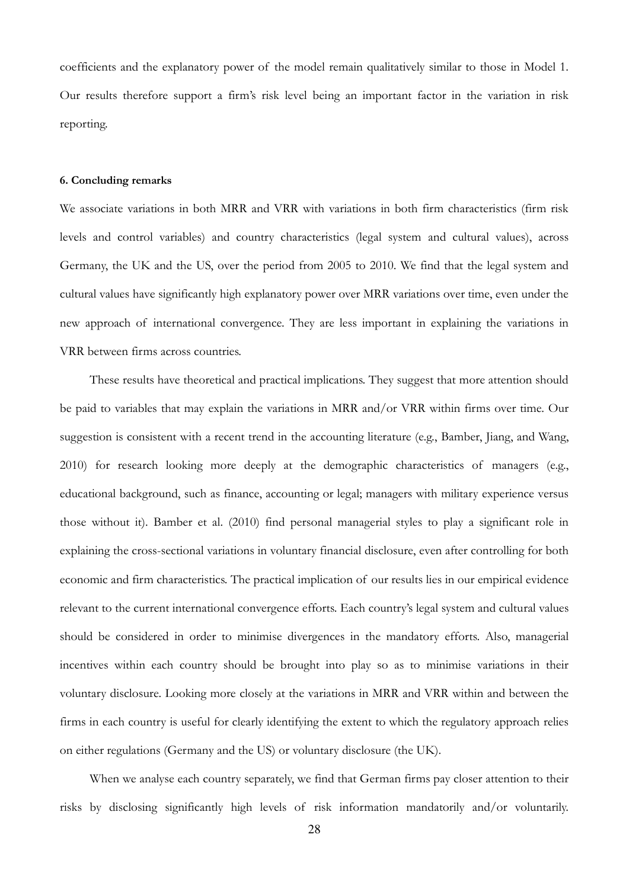coefficients and the explanatory power of the model remain qualitatively similar to those in Model 1. Our results therefore support a firm's risk level being an important factor in the variation in risk reporting.

#### **6. Concluding remarks**

We associate variations in both MRR and VRR with variations in both firm characteristics (firm risk levels and control variables) and country characteristics (legal system and cultural values), across Germany, the UK and the US, over the period from 2005 to 2010. We find that the legal system and cultural values have significantly high explanatory power over MRR variations over time, even under the new approach of international convergence. They are less important in explaining the variations in VRR between firms across countries.

These results have theoretical and practical implications. They suggest that more attention should be paid to variables that may explain the variations in MRR and/or VRR within firms over time. Our suggestion is consistent with a recent trend in the accounting literature (e.g., Bamber, Jiang, and Wang, 2010) for research looking more deeply at the demographic characteristics of managers (e.g., educational background, such as finance, accounting or legal; managers with military experience versus those without it). Bamber et al. (2010) find personal managerial styles to play a significant role in explaining the cross-sectional variations in voluntary financial disclosure, even after controlling for both economic and firm characteristics. The practical implication of our results lies in our empirical evidence relevant to the current international convergence efforts. Each country's legal system and cultural values should be considered in order to minimise divergences in the mandatory efforts. Also, managerial incentives within each country should be brought into play so as to minimise variations in their voluntary disclosure. Looking more closely at the variations in MRR and VRR within and between the firms in each country is useful for clearly identifying the extent to which the regulatory approach relies on either regulations (Germany and the US) or voluntary disclosure (the UK).

When we analyse each country separately, we find that German firms pay closer attention to their risks by disclosing significantly high levels of risk information mandatorily and/or voluntarily.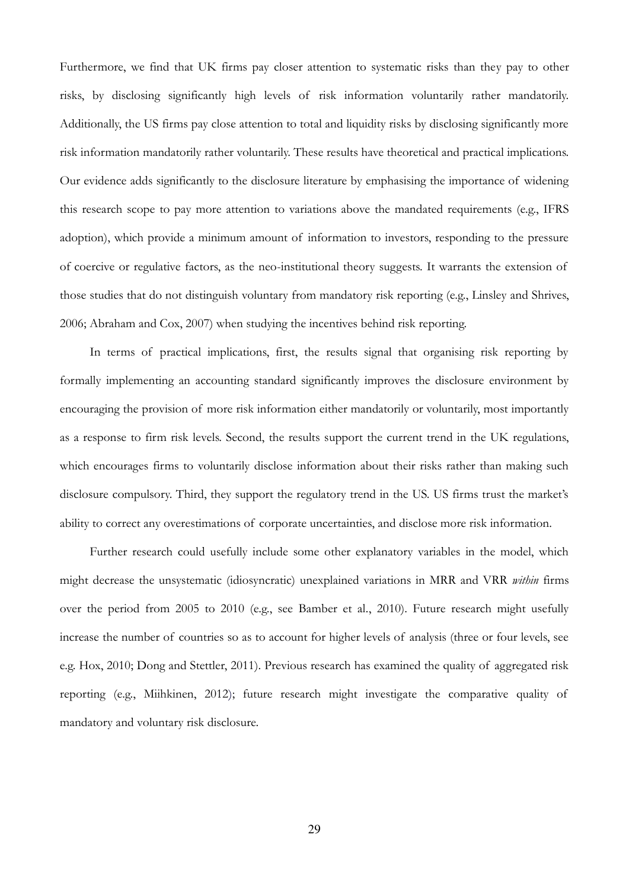Furthermore, we find that UK firms pay closer attention to systematic risks than they pay to other risks, by disclosing significantly high levels of risk information voluntarily rather mandatorily. Additionally, the US firms pay close attention to total and liquidity risks by disclosing significantly more risk information mandatorily rather voluntarily. These results have theoretical and practical implications. Our evidence adds significantly to the disclosure literature by emphasising the importance of widening this research scope to pay more attention to variations above the mandated requirements (e.g., IFRS adoption), which provide a minimum amount of information to investors, responding to the pressure of coercive or regulative factors, as the neo-institutional theory suggests. It warrants the extension of those studies that do not distinguish voluntary from mandatory risk reporting (e.g., Linsley and Shrives, 2006; Abraham and Cox, 2007) when studying the incentives behind risk reporting.

In terms of practical implications, first, the results signal that organising risk reporting by formally implementing an accounting standard significantly improves the disclosure environment by encouraging the provision of more risk information either mandatorily or voluntarily, most importantly as a response to firm risk levels. Second, the results support the current trend in the UK regulations, which encourages firms to voluntarily disclose information about their risks rather than making such disclosure compulsory. Third, they support the regulatory trend in the US. US firms trust the market's ability to correct any overestimations of corporate uncertainties, and disclose more risk information.

Further research could usefully include some other explanatory variables in the model, which might decrease the unsystematic (idiosyncratic) unexplained variations in MRR and VRR *within* firms over the period from 2005 to 2010 (e.g., see Bamber et al*.*, 2010). Future research might usefully increase the number of countries so as to account for higher levels of analysis (three or four levels, see e.g. Hox, 2010; Dong and Stettler, 2011). Previous research has examined the quality of aggregated risk reporting (e.g., Miihkinen, 2012); future research might investigate the comparative quality of mandatory and voluntary risk disclosure.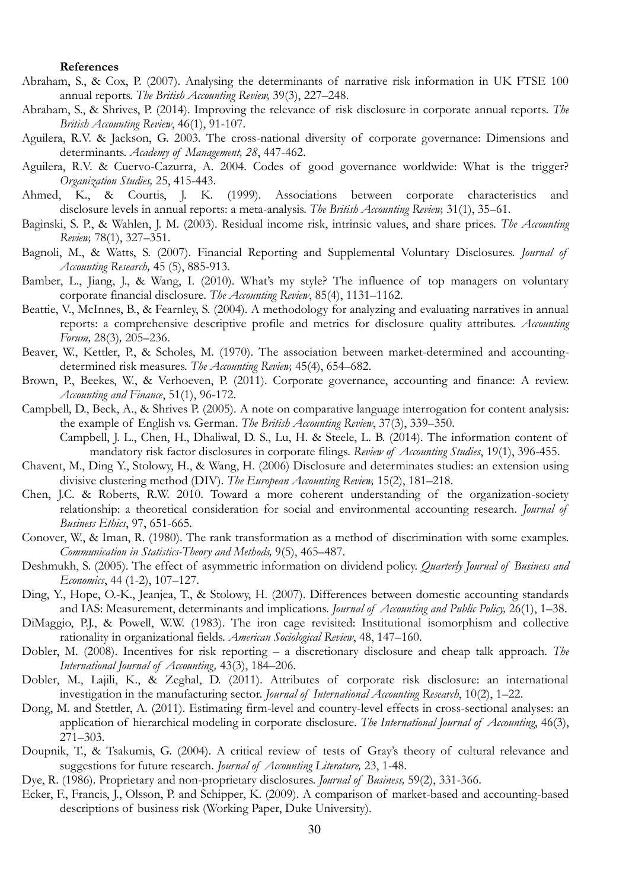### **References**

- Abraham, S., & Cox, P. (2007). Analysing the determinants of narrative risk information in UK FTSE 100 annual reports. *The British Accounting Review,* 39(3), 227–248.
- Abraham, S., & Shrives, P. (2014). Improving the relevance of risk disclosure in corporate annual reports. *The British Accounting Review*, 46(1), 91-107.
- Aguilera, R.V. & Jackson, G. 2003. The cross-national diversity of corporate governance: Dimensions and determinants. *Academy of Management, 28*, 447-462.
- Aguilera, R.V. & Cuervo-Cazurra, A. 2004. Codes of good governance worldwide: What is the trigger? *Organization Studies,* 25, 415-443.
- Ahmed, K., & Courtis, J. K. (1999). Associations between corporate characteristics and disclosure levels in annual reports: a meta-analysis. *The British Accounting Review,* 31(1), 35–61.
- Baginski, S. P., & Wahlen, J. M. (2003). Residual income risk, intrinsic values, and share prices. *The Accounting Review,* 78(1), 327–351.
- Bagnoli, M., & Watts, S. (2007). Financial Reporting and Supplemental Voluntary Disclosures. *Journal of Accounting Research,* 45 (5), 885-913.
- Bamber, L., Jiang, J., & Wang, I. (2010). What's my style? The influence of top managers on voluntary corporate financial disclosure. *The Accounting Review*, 85(4), 1131–1162.
- Beattie, V., McInnes, B., & Fearnley, S. (2004). A methodology for analyzing and evaluating narratives in annual reports: a comprehensive descriptive profile and metrics for disclosure quality attributes. *Accounting Forum,* 28(3)*,* 205–236.
- Beaver, W., Kettler, P., & Scholes, M. (1970). The association between market-determined and accountingdetermined risk measures. *The Accounting Review,* 45(4), 654–682.
- Brown, P., Beekes, W., & Verhoeven, P. (2011). Corporate governance, accounting and finance: A review. *Accounting and Finance*, 51(1), 96-172.
- Campbell, D., Beck, A., & Shrives P. (2005). [A note on comparative language interrogation for content analysis:](http://www.ncl.ac.uk/nubs/research/publication/70539)  [the example of English vs. German.](http://www.ncl.ac.uk/nubs/research/publication/70539) *The British Accounting Review*, 37(3), 339–350. Campbell, J. L., Chen, H., Dhaliwal, D. S., Lu, H. & Steele, L. B. (2014). The information content of mandatory risk factor disclosures in corporate filings. *Review of Accounting Studies*, 19(1), 396-455.
- Chavent, M., Ding Y., Stolowy, H., & Wang, H. (2006) Disclosure and determinates studies: an extension using divisive clustering method (DIV). *The European Accounting Review,* 15(2), 181–218.
- Chen, J.C. & Roberts, R.W. 2010. Toward a more coherent understanding of the organization-society relationship: a theoretical consideration for social and environmental accounting research. *Journal of Business Ethics*, 97, 651-665.
- Conover, W., & Iman, R. (1980). The rank transformation as a method of discrimination with some examples. *Communication in Statistics-Theory and Methods,* 9(5), 465–487.
- Deshmukh, S. (2005). The effect of asymmetric information on dividend policy. *Quarterly Journal of Business and Economics*, 44 (1-2), 107–127.
- Ding, Y., Hope, O.-K., Jeanjea, T., & Stolowy, H. (2007). Differences between domestic accounting standards and IAS: Measurement, determinants and implications. *Journal of Accounting and Public Policy,* 26(1), 1–38.
- DiMaggio, P.J., & Powell, W.W. (1983). The iron cage revisited: Institutional isomorphism and collective rationality in organizational fields. *American Sociological Review*, 48, 147–160.
- Dobler, M. (2008). Incentives for risk reporting a discretionary disclosure and cheap talk approach. *The International Journal of Accounting,* 43(3), 184–206.
- Dobler, M., Lajili, K., & Zeghal, D. (2011). Attributes of corporate risk disclosure: an international investigation in the manufacturing sector. *Journal of International Accounting Research*, 10(2), 1–22.
- Dong, M. and Stettler, A. (2011). Estimating firm-level and country-level effects in cross-sectional analyses: an application of hierarchical modeling in corporate disclosure. *The International Journal of Accounting*, 46(3), 271–303.
- Doupnik, T., & Tsakumis, G. (2004). A critical review of tests of Gray's theory of cultural relevance and suggestions for future research. *Journal of Accounting Literature,* 23, 1-48.
- Dye, R. (1986). Proprietary and non-proprietary disclosures. *Journal of Business,* 59(2), 331-366.
- Ecker, F., Francis, J., Olsson, P. and Schipper, K. (2009). A comparison of market-based and accounting-based descriptions of business risk (Working Paper, Duke University).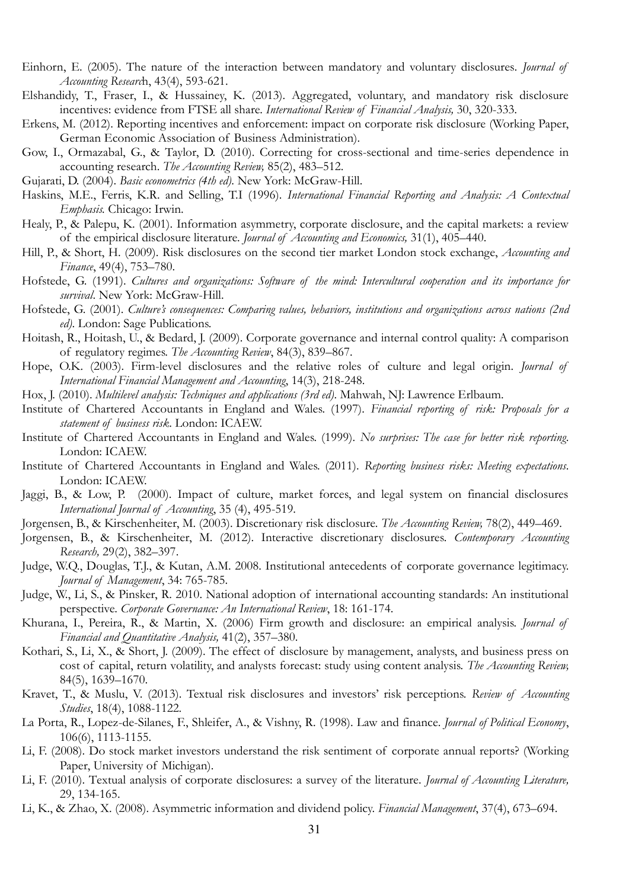- Einhorn, E. (2005). The nature of the interaction between mandatory and voluntary disclosures*. Journal of Accounting Researc*h, 43(4), 593-621.
- Elshandidy, T., Fraser, I., & Hussainey, K. (2013). Aggregated, voluntary, and mandatory risk disclosure incentives: evidence from FTSE all share. *International Review of Financial Analysis,* 30, 320-333*.*
- Erkens, M. (2012). Reporting incentives and enforcement: impact on corporate risk disclosure (Working Paper, German Economic Association of Business Administration).
- Gow, I., Ormazabal, G., & Taylor, D. (2010). Correcting for cross-sectional and time-series dependence in accounting research. *The Accounting Review,* 85(2), 483–512.
- Gujarati, D. (2004). *Basic econometrics (4th ed)*. New York: McGraw-Hill.
- Haskins, M.E., Ferris, K.R. and Selling, T.I (1996). *International Financial Reporting and Analysis: A Contextual Emphasis.* Chicago: Irwin.
- Healy, P., & Palepu, K. (2001). Information asymmetry, corporate disclosure, and the capital markets: a review of the empirical disclosure literature. *Journal of Accounting and Economics,* 31(1), 405–440.
- Hill, P., & Short, H. (2009). Risk disclosures on the second tier market London stock exchange, *Accounting and Finance*, 49(4), 753–780.
- Hofstede, G. (1991). *Cultures and organizations: Software of the mind: Intercultural cooperation and its importance for survival*. New York: McGraw-Hill.
- Hofstede, G. (2001). *Culture's consequences: Comparing values, behaviors, institutions and organizations across nations (2nd ed)*. London: Sage Publications.
- Hoitash, R., Hoitash, U., & Bedard, J. (2009). Corporate governance and internal control quality: A comparison of regulatory regimes. *The Accounting Review*, 84(3), 839–867.
- Hope, O.K. (2003). Firm-level disclosures and the relative roles of culture and legal origin. *Journal of International Financial Management and Accounting*, 14(3), 218-248.
- Hox, J. (2010). *Multilevel analysis: Techniques and applications (3rd ed)*. Mahwah, NJ: Lawrence Erlbaum.
- Institute of Chartered Accountants in England and Wales. (1997). *Financial reporting of risk: Proposals for a statement of business risk*. London: ICAEW.
- Institute of Chartered Accountants in England and Wales. (1999). *No surprises: The case for better risk reporting*. London: ICAEW.
- Institute of Chartered Accountants in England and Wales. (2011). *Reporting business risks: Meeting expectations*. London: ICAEW.
- Jaggi, B., & Low, P. (2000). Impact of culture, market forces, and legal system on financial disclosures *International Journal of Accounting*, 35 (4), 495-519.
- Jorgensen, B., & Kirschenheiter, M. (2003). Discretionary risk disclosure. *The Accounting Review,* 78(2), 449–469.
- Jorgensen, B., & Kirschenheiter, M. (2012). Interactive discretionary disclosures. *Contemporary Accounting Research,* 29(2), 382–397.
- Judge, W.Q., Douglas, T.J., & Kutan, A.M. 2008. Institutional antecedents of corporate governance legitimacy. *Journal of Management*, 34: 765-785.
- Judge, W., Li, S., & Pinsker, R. 2010. National adoption of international accounting standards: An institutional perspective. *Corporate Governance: An International Review*, 18: 161-174.
- Khurana, I., Pereira, R., & Martin, X. (2006) Firm growth and disclosure: an empirical analysis. *Journal of Financial and Quantitative Analysis,* 41(2), 357–380.
- Kothari, S., Li, X., & Short, J. (2009). The effect of disclosure by management, analysts, and business press on cost of capital, return volatility, and analysts forecast: study using content analysis. *The Accounting Review,*  84(5), 1639–1670.
- Kravet, T., & Muslu, V. (2013). Textual risk disclosures and investors' risk perceptions. *Review of Accounting Studies*, 18(4), 1088-1122.
- La Porta, R., Lopez-de-Silanes, F., Shleifer, A., & Vishny, R. (1998). Law and finance. *Journal of Political Economy*, 106(6), 1113-1155.
- Li, F. (2008). Do stock market investors understand the risk sentiment of corporate annual reports? (Working Paper, University of Michigan).
- Li, F. (2010). Textual analysis of corporate disclosures: a survey of the literature. *Journal of Accounting Literature,*  29, 134-165.
- Li, K., & Zhao, X. (2008). Asymmetric information and dividend policy. *Financial Management*, 37(4), 673–694.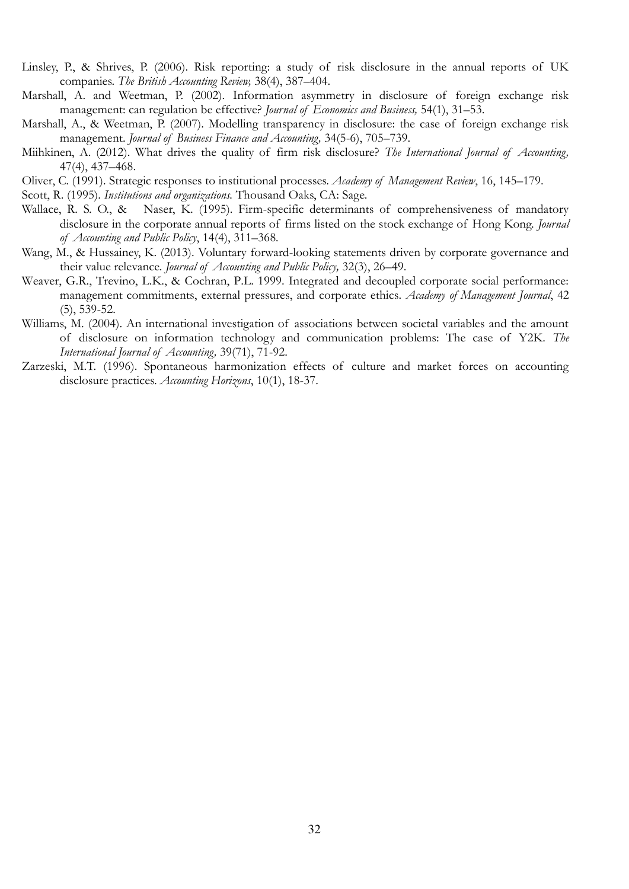- Linsley, P., & Shrives, P. (2006). Risk reporting: a study of risk disclosure in the annual reports of UK companies. *The British Accounting Review,* 38(4), 387–404.
- Marshall, A. and Weetman, P. (2002). Information asymmetry in disclosure of foreign exchange risk management: can regulation be effective? *Journal of Economics and Business,* 54(1), 31–53.
- Marshall, A., & Weetman, P. (2007). Modelling transparency in disclosure: the case of foreign exchange risk management. *Journal of Business Finance and Accounting,* 34(5-6), 705–739.
- Miihkinen, A. (2012). What drives the quality of firm risk disclosure? *The International Journal of Accounting,*  47(4), 437–468.
- Oliver, C. (1991). Strategic responses to institutional processes. *Academy of Management Review*, 16, 145–179.
- Scott, R. (1995). *Institutions and organizations.* Thousand Oaks, CA: Sage.
- Wallace, R. S. O., & Naser, K. (1995). Firm-specific determinants of comprehensiveness of mandatory disclosure in the corporate annual reports of firms listed on the stock exchange of Hong Kong. *Journal of Accounting and Public Policy*, 14(4), 311–368*.*
- Wang, M., & Hussainey, K. (2013). Voluntary forward-looking statements driven by corporate governance and their value relevance. *Journal of Accounting and Public Policy,* 32(3), 26–49.
- Weaver, G.R., Trevino, L.K., & Cochran, P.L. 1999. Integrated and decoupled corporate social performance: management commitments, external pressures, and corporate ethics. *Academy of Management Journal*, 42 (5), 539-52.
- Williams, M. (2004). An international investigation of associations between societal variables and the amount of disclosure on information technology and communication problems: The case of Y2K. *The International Journal of Accounting,* 39(71), 71-92.
- Zarzeski, M.T. (1996). Spontaneous harmonization effects of culture and market forces on accounting disclosure practices. *Accounting Horizons*, 10(1), 18-37.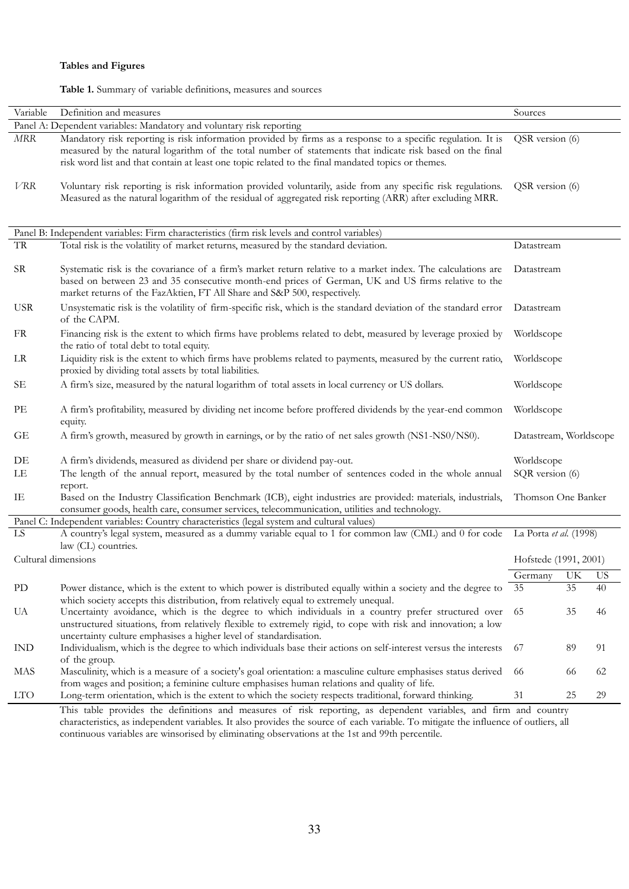# **Tables and Figures**

**Table 1.** Summary of variable definitions, measures and sources

| Variable    | Definition and measures                                                                                                                                                                                                                                                                        | Sources                |    |           |
|-------------|------------------------------------------------------------------------------------------------------------------------------------------------------------------------------------------------------------------------------------------------------------------------------------------------|------------------------|----|-----------|
|             | Panel A: Dependent variables: Mandatory and voluntary risk reporting                                                                                                                                                                                                                           |                        |    |           |
| $M{\rm RR}$ | Mandatory risk reporting is risk information provided by firms as a response to a specific regulation. It is<br>measured by the natural logarithm of the total number of statements that indicate risk based on the final                                                                      | QSR version (6)        |    |           |
| <i>VRR</i>  | risk word list and that contain at least one topic related to the final mandated topics or themes.<br>Voluntary risk reporting is risk information provided voluntarily, aside from any specific risk regulations.                                                                             | QSR version (6)        |    |           |
|             | Measured as the natural logarithm of the residual of aggregated risk reporting (ARR) after excluding MRR.                                                                                                                                                                                      |                        |    |           |
|             | Panel B: Independent variables: Firm characteristics (firm risk levels and control variables)                                                                                                                                                                                                  |                        |    |           |
| ${\rm TR}$  | Total risk is the volatility of market returns, measured by the standard deviation.                                                                                                                                                                                                            | Datastream             |    |           |
| ${\rm SR}$  | Systematic risk is the covariance of a firm's market return relative to a market index. The calculations are<br>based on between 23 and 35 consecutive month-end prices of German, UK and US firms relative to the<br>market returns of the FazAktien, FT All Share and S&P 500, respectively. | Datastream             |    |           |
| <b>USR</b>  | Unsystematic risk is the volatility of firm-specific risk, which is the standard deviation of the standard error<br>of the CAPM.                                                                                                                                                               | Datastream             |    |           |
| FR          | Financing risk is the extent to which firms have problems related to debt, measured by leverage proxied by<br>the ratio of total debt to total equity.                                                                                                                                         | Worldscope             |    |           |
| LR          | Liquidity risk is the extent to which firms have problems related to payments, measured by the current ratio,<br>proxied by dividing total assets by total liabilities.                                                                                                                        | Worldscope             |    |           |
| SЕ          | A firm's size, measured by the natural logarithm of total assets in local currency or US dollars.                                                                                                                                                                                              | Worldscope             |    |           |
| PE          | A firm's profitability, measured by dividing net income before proffered dividends by the year-end common<br>equity.                                                                                                                                                                           | Worldscope             |    |           |
| <b>GE</b>   | A firm's growth, measured by growth in earnings, or by the ratio of net sales growth (NS1-NS0/NS0).                                                                                                                                                                                            | Datastream, Worldscope |    |           |
| DE          | A firm's dividends, measured as dividend per share or dividend pay-out.                                                                                                                                                                                                                        | Worldscope             |    |           |
| LE          | The length of the annual report, measured by the total number of sentences coded in the whole annual<br>report.                                                                                                                                                                                | SQR version (6)        |    |           |
| IE          | Based on the Industry Classification Benchmark (ICB), eight industries are provided: materials, industrials,<br>consumer goods, health care, consumer services, telecommunication, utilities and technology.                                                                                   | Thomson One Banker     |    |           |
|             | Panel C: Independent variables: Country characteristics (legal system and cultural values)                                                                                                                                                                                                     |                        |    |           |
| LS          | A country's legal system, measured as a dummy variable equal to 1 for common law (CML) and 0 for code<br>law (CL) countries.                                                                                                                                                                   | La Porta et al. (1998) |    |           |
|             | Cultural dimensions                                                                                                                                                                                                                                                                            | Hofstede (1991, 2001)  |    |           |
|             |                                                                                                                                                                                                                                                                                                | Germany UK             |    | <b>US</b> |
| PD          | Power distance, which is the extent to which power is distributed equally within a society and the degree to<br>which society accepts this distribution, from relatively equal to extremely unequal.                                                                                           | 35                     | 35 | 40        |
| UA          | Uncertainty avoidance, which is the degree to which individuals in a country prefer structured over<br>unstructured situations, from relatively flexible to extremely rigid, to cope with risk and innovation; a low<br>uncertainty culture emphasises a higher level of standardisation.      | 65                     | 35 | 46        |
| <b>IND</b>  | Individualism, which is the degree to which individuals base their actions on self-interest versus the interests<br>of the group.                                                                                                                                                              | 67                     | 89 | 91        |
| MAS         | Masculinity, which is a measure of a society's goal orientation: a masculine culture emphasises status derived<br>from wages and position; a feminine culture emphasises human relations and quality of life.                                                                                  | -66                    | 66 | 62        |
| <b>LTO</b>  | Long-term orientation, which is the extent to which the society respects traditional, forward thinking.                                                                                                                                                                                        | 31                     | 25 | 29        |
|             | This table provides the definitions and measures of risk reporting, as dependent variables, and firm and country<br>characteristics, as independent variables. It also provides the source of each variable. To mitigate the influence of outliers, all                                        |                        |    |           |

continuous variables are winsorised by eliminating observations at the 1st and 99th percentile.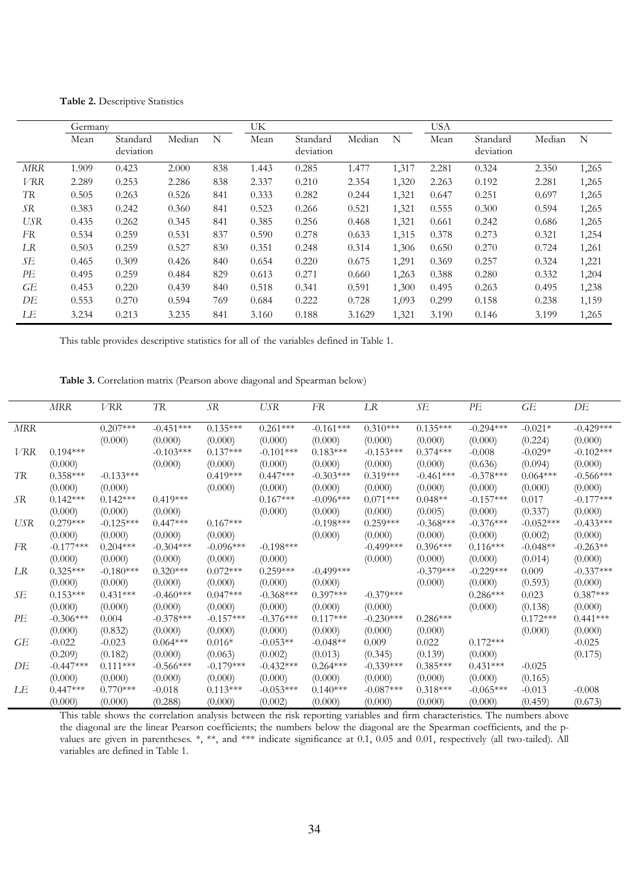**Table 2.** Descriptive Statistics

|            | Germany |                       |        |     | UK    |                       |        |       | <b>USA</b> |                       |        |       |
|------------|---------|-----------------------|--------|-----|-------|-----------------------|--------|-------|------------|-----------------------|--------|-------|
|            | Mean    | Standard<br>deviation | Median | N   | Mean  | Standard<br>deviation | Median | N     | Mean       | Standard<br>deviation | Median | N     |
| <b>MRR</b> | 1.909   | 0.423                 | 2.000  | 838 | 1.443 | 0.285                 | 1.477  | 1,317 | 2.281      | 0.324                 | 2.350  | 1,265 |
| VRR        | 2.289   | 0.253                 | 2.286  | 838 | 2.337 | 0.210                 | 2.354  | 1,320 | 2.263      | 0.192                 | 2.281  | 1,265 |
| TR         | 0.505   | 0.263                 | 0.526  | 841 | 0.333 | 0.282                 | 0.244  | 1,321 | 0.647      | 0.251                 | 0.697  | 1,265 |
| SR         | 0.383   | 0.242                 | 0.360  | 841 | 0.523 | 0.266                 | 0.521  | 1,321 | 0.555      | 0.300                 | 0.594  | 1,265 |
| <b>USR</b> | 0.435   | 0.262                 | 0.345  | 841 | 0.385 | 0.256                 | 0.468  | 1,321 | 0.661      | 0.242                 | 0.686  | 1,265 |
| FR         | 0.534   | 0.259                 | 0.531  | 837 | 0.590 | 0.278                 | 0.633  | 1,315 | 0.378      | 0.273                 | 0.321  | 1,254 |
| LR         | 0.503   | 0.259                 | 0.527  | 830 | 0.351 | 0.248                 | 0.314  | 1,306 | 0.650      | 0.270                 | 0.724  | 1,261 |
| SЕ         | 0.465   | 0.309                 | 0.426  | 840 | 0.654 | 0.220                 | 0.675  | 1,291 | 0.369      | 0.257                 | 0.324  | 1,221 |
| PE         | 0.495   | 0.259                 | 0.484  | 829 | 0.613 | 0.271                 | 0.660  | 1,263 | 0.388      | 0.280                 | 0.332  | 1,204 |
| GЕ         | 0.453   | 0.220                 | 0.439  | 840 | 0.518 | 0.341                 | 0.591  | 1,300 | 0.495      | 0.263                 | 0.495  | 1,238 |
| DE         | 0.553   | 0.270                 | 0.594  | 769 | 0.684 | 0.222                 | 0.728  | 1,093 | 0.299      | 0.158                 | 0.238  | 1,159 |
| LE         | 3.234   | 0.213                 | 3.235  | 841 | 3.160 | 0.188                 | 3.1629 | 1,321 | 3.190      | 0.146                 | 3.199  | 1,265 |

This table provides descriptive statistics for all of the variables defined in Table 1.

**Table 3.** Correlation matrix (Pearson above diagonal and Spearman below)

|             | <b>MRR</b>  | VRR         | <b>TR</b>   | <b>SR</b>   | <b>USR</b>  | FR          | LR           | SΕ          | PЕ          | GЕ          | DE          |
|-------------|-------------|-------------|-------------|-------------|-------------|-------------|--------------|-------------|-------------|-------------|-------------|
| $M{\rm RR}$ |             | $0.207***$  | $-0.451***$ | $0.135***$  | $0.261***$  | $-0.161***$ | $0.310***$   | $0.135***$  | $-0.294***$ | $-0.021*$   | $-0.429***$ |
|             |             | (0.000)     | (0.000)     | (0.000)     | (0.000)     | (0.000)     | (0.000)      | (0.000)     | (0.000)     | (0.224)     | (0.000)     |
| <b>VRR</b>  | $0.194***$  |             | $-0.103***$ | $0.137***$  | $-0.101***$ | $0.183***$  | $-0.153***$  | $0.374***$  | $-0.008$    | $-0.029*$   | $-0.102***$ |
|             | (0.000)     |             | (0.000)     | (0.000)     | (0.000)     | (0.000)     | (0.000)      | (0.000)     | (0.636)     | (0.094)     | (0.000)     |
| TR          | $0.358***$  | $-0.133***$ |             | $0.419***$  | $0.447***$  | $-0.303***$ | $0.319***$   | $-0.461***$ | $-0.378***$ | $0.064***$  | $-0.566***$ |
|             | (0.000)     | (0.000)     |             | (0.000)     | (0.000)     | (0.000)     | (0.000)      | (0.000)     | (0.000)     | (0.000)     | (0.000)     |
| SR          | $0.142***$  | $0.142***$  | $0.419***$  |             | $0.167***$  | $-0.096***$ | $0.071***$   | $0.048**$   | $-0.157***$ | 0.017       | $-0.177***$ |
|             |             |             |             |             |             |             |              |             |             |             |             |
|             | (0.000)     | (0.000)     | (0.000)     |             | (0.000)     | (0.000)     | (0.000)      | (0.005)     | (0.000)     | (0.337)     | (0.000)     |
| USR         | $0.279***$  | $-0.125***$ | $0.447***$  | $0.167***$  |             | $-0.198***$ | $0.259***$   | $-0.368***$ | $-0.376***$ | $-0.052***$ | $-0.433***$ |
|             | (0.000)     | (0.000)     | (0.000)     | (0.000)     |             | (0.000)     | (0.000)      | (0.000)     | (0.000)     | (0.002)     | (0.000)     |
| FR          | $-0.177***$ | $0.204***$  | $-0.304***$ | $-0.096***$ | $-0.198***$ |             | $-0.499$ *** | $0.396***$  | $0.116***$  | $-0.048**$  | $-0.263**$  |
|             | (0.000)     | (0.000)     | (0.000)     | (0.000)     | (0.000)     |             | (0.000)      | (0.000)     | (0.000)     | (0.014)     | (0.000)     |
| LR          | $0.325***$  | $-0.180***$ | $0.320***$  | $0.072***$  | $0.259***$  | $-0.499***$ |              | $-0.379***$ | $-0.229***$ | 0.009       | $-0.337***$ |
|             | (0.000)     | (0.000)     | (0.000)     | (0.000)     | (0.000)     | (0.000)     |              | (0.000)     | (0.000)     | (0.593)     | (0.000)     |
| SЕ          | $0.153***$  | $0.431***$  | $-0.460***$ | $0.047***$  | $-0.368***$ | $0.397***$  | $-0.379***$  |             | $0.286***$  | 0.023       | $0.387***$  |
|             | (0.000)     | (0.000)     | (0.000)     | (0.000)     | (0.000)     | (0.000)     | (0.000)      |             | (0.000)     | (0.138)     | (0.000)     |
| РE          | $-0.306***$ | 0.004       | $-0.378***$ | $-0.157***$ | $-0.376***$ | $0.117***$  | $-0.230***$  | $0.286***$  |             | $0.172***$  | $0.441***$  |
|             | (0.000)     | (0.832)     | (0.000)     | (0.000)     | (0.000)     | (0.000)     | (0.000)      | (0.000)     |             | (0.000)     | (0.000)     |
| GЕ          | $-0.022$    | $-0.023$    | $0.064***$  | $0.016*$    | $-0.053**$  | $-0.048**$  | 0.009        | 0.022       | $0.172***$  |             | $-0.025$    |
|             | (0.209)     | (0.182)     | (0.000)     | (0.063)     | (0.002)     | (0.013)     | (0.345)      | (0.139)     | (0.000)     |             | (0.175)     |
| DE          | $-0.447***$ | $0.111***$  | $-0.566***$ | $-0.179***$ | $-0.432***$ | $0.264***$  | $-0.339***$  | $0.385***$  | $0.431***$  | $-0.025$    |             |
|             | (0.000)     | (0.000)     | (0.000)     | (0.000)     | (0.000)     | (0.000)     | (0.000)      | (0.000)     | (0.000)     | (0.165)     |             |
| LE          | $0.447***$  | $0.770***$  | $-0.018$    | $0.113***$  | $-0.053***$ | $0.140***$  | $-0.087***$  | $0.318***$  | $-0.065***$ | $-0.013$    | $-0.008$    |
|             |             |             |             |             |             |             |              |             |             |             |             |
|             | (0.000)     | (0.000)     | (0.288)     | (0.000)     | (0.002)     | (0.000)     | (0.000)      | (0.000)     | (0.000)     | (0.459)     | (0.673)     |

This table shows the correlation analysis between the risk reporting variables and firm characteristics. The numbers above the diagonal are the linear Pearson coefficients; the numbers below the diagonal are the Spearman coefficients, and the pvalues are given in parentheses. \*, \*\*, and \*\*\* indicate significance at 0.1, 0.05 and 0.01, respectively (all two-tailed). All variables are defined in Table 1.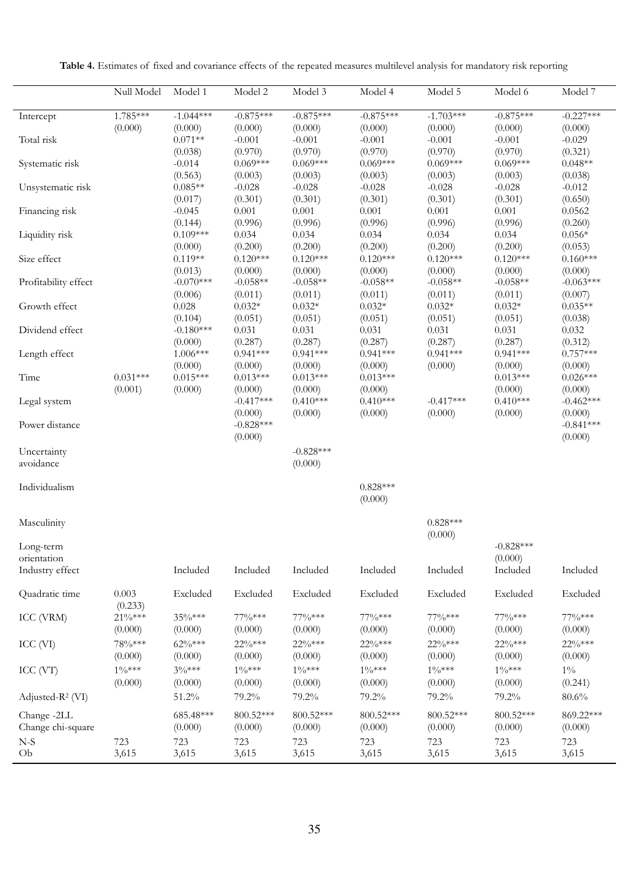| 1.785***<br>$-0.875***$<br>$-0.875***$<br>$-0.875***$<br>$-1.703***$<br>$-0.875***$<br>$-1.044***$<br>$-0.227***$<br>Intercept<br>(0.000)<br>(0.000)<br>(0.000)<br>(0.000)<br>(0.000)<br>(0.000)<br>(0.000)<br>(0.000)<br>$0.071**$<br>Total risk<br>$-0.001$<br>$-0.001$<br>$-0.001$<br>$-0.001$<br>$-0.001$<br>$-0.029$<br>(0.970)<br>(0.970)<br>(0.970)<br>(0.038)<br>(0.970)<br>(0.970)<br>(0.321)<br>$0.069***$<br>$0.069***$<br>$0.069***$<br>$0.048**$<br>$-0.014$<br>$0.069***$<br>$0.069***$<br>Systematic risk<br>(0.563)<br>(0.003)<br>(0.003)<br>(0.003)<br>(0.003)<br>(0.038)<br>(0.003)<br>$0.085**$<br>$-0.028$<br>$-0.028$<br>$-0.028$<br>$-0.028$<br>$-0.028$<br>$-0.012$<br>Unsystematic risk<br>(0.301)<br>(0.301)<br>(0.650)<br>(0.017)<br>(0.301)<br>(0.301)<br>(0.301)<br>0.001<br>0.001<br>0.001<br>0.001<br>0.001<br>0.0562<br>Financing risk<br>$-0.045$<br>(0.144)<br>(0.996)<br>(0.996)<br>(0.996)<br>(0.996)<br>(0.996)<br>(0.260)<br>$0.109***$<br>0.034<br>0.034<br>0.034<br>0.034<br>0.034<br>$0.056*$<br>Liquidity risk<br>(0.200)<br>(0.053)<br>(0.000)<br>(0.200)<br>(0.200)<br>(0.200)<br>(0.200)<br>$0.120***$<br>$0.120***$<br>$0.160***$<br>Size effect<br>$0.119**$<br>$0.120***$<br>$0.120***$<br>$0.120***$<br>(0.013)<br>(0.000)<br>(0.000)<br>(0.000)<br>(0.000)<br>(0.000)<br>(0.000)<br>$-0.058**$<br>$-0.063***$<br>$-0.070***$<br>$-0.058**$<br>$-0.058**$<br>$-0.058**$<br>$-0.058**$<br>Profitability effect<br>(0.006)<br>(0.011)<br>(0.011)<br>(0.011)<br>(0.011)<br>(0.011)<br>(0.007)<br>$0.035**$<br>Growth effect<br>0.028<br>$0.032*$<br>$0.032*$<br>$0.032*$<br>$0.032*$<br>$0.032*$<br>(0.051)<br>(0.051)<br>(0.038)<br>(0.104)<br>(0.051)<br>(0.051)<br>(0.051)<br>Dividend effect<br>$-0.180***$<br>0.031<br>0.031<br>0.031<br>0.031<br>0.031<br>0.032<br>(0.000)<br>(0.287)<br>(0.287)<br>(0.287)<br>(0.287)<br>(0.287)<br>(0.312)<br>$0.757***$<br>$1.006***$<br>$0.941***$<br>$0.941***$<br>$0.941***$<br>$0.941***$<br>$0.941***$<br>(0.000)<br>(0.000)<br>(0.000)<br>(0.000)<br>(0.000)<br>(0.000)<br>(0.000)<br>$0.031***$<br>$0.015***$<br>$0.013***$<br>$0.026***$<br>Time<br>$0.013***$<br>$0.013***$<br>$0.013***$<br>(0.001)<br>(0.000)<br>(0.000)<br>(0.000)<br>(0.000)<br>(0.000)<br>(0.000)<br>$0.410***$<br>$0.410***$<br>$-0.417***$<br>$0.410***$<br>$-0.417***$<br>$-0.462***$<br>Legal system<br>(0.000)<br>(0.000)<br>(0.000)<br>(0.000)<br>(0.000)<br>(0.000)<br>$-0.828***$<br>$-0.841***$<br>Power distance<br>(0.000)<br>(0.000)<br>$-0.828***$<br>Uncertainty<br>avoidance<br>(0.000)<br>Individualism<br>$0.828***$<br>(0.000)<br>$0.828***$<br>Masculinity<br>(0.000)<br>$-0.828***$<br>(0.000)<br>orientation<br>Included<br>Included<br>Industry effect<br>Included<br>Included<br>Included<br>Included<br>Included<br>0.003<br>Excluded<br>Excluded<br>Excluded<br>Excluded<br>Excluded<br>Excluded<br>Excluded<br>Quadratic time<br>(0.233)<br>$21\%***$<br>35%***<br>77%***<br>77%***<br>77% ***<br>77%***<br>77% ***<br>77%***<br>ICC (VRM)<br>(0.000)<br>(0.000)<br>(0.000)<br>(0.000)<br>(0.000)<br>(0.000)<br>(0.000)<br>(0.000)<br>78%***<br>$22\%***$<br>$22\%***$<br>$62\%***$<br>22%***<br>22%***<br>22%***<br>22%***<br>ICC (VI)<br>(0.000)<br>(0.000)<br>(0.000)<br>(0.000)<br>(0.000)<br>(0.000)<br>(0.000)<br>(0.000)<br>$1\%***$<br>$1\%***$<br>$1\%***$<br>$3\%***$<br>$1\%***$<br>$1\%***$<br>$1\%***$<br>$1\%$<br>ICC (VT)<br>(0.000)<br>(0.000)<br>(0.000)<br>(0.000)<br>(0.000)<br>(0.000)<br>(0.000)<br>(0.241)<br>$51.2\%$<br>79.2%<br>79.2%<br>79.2%<br>$80.6\%$<br>79.2%<br>79.2%<br>685.48***<br>800.52***<br>800.52***<br>800.52***<br>800.52***<br>800.52***<br>869.22***<br>Change -2LL<br>Change chi-square<br>(0.000)<br>(0.000)<br>(0.000)<br>(0.000)<br>(0.000)<br>(0.000)<br>(0.000)<br>$N-S$<br>723<br>723<br>723<br>723<br>723<br>723<br>723<br>723<br>3,615<br>3,615<br>3,615<br>3,615<br>3,615<br>3,615<br>3,615<br>3,615 |                              | Null Model | Model 1 | Model 2 | Model 3 | Model 4 | Model 5 | Model 6 | Model 7 |
|----------------------------------------------------------------------------------------------------------------------------------------------------------------------------------------------------------------------------------------------------------------------------------------------------------------------------------------------------------------------------------------------------------------------------------------------------------------------------------------------------------------------------------------------------------------------------------------------------------------------------------------------------------------------------------------------------------------------------------------------------------------------------------------------------------------------------------------------------------------------------------------------------------------------------------------------------------------------------------------------------------------------------------------------------------------------------------------------------------------------------------------------------------------------------------------------------------------------------------------------------------------------------------------------------------------------------------------------------------------------------------------------------------------------------------------------------------------------------------------------------------------------------------------------------------------------------------------------------------------------------------------------------------------------------------------------------------------------------------------------------------------------------------------------------------------------------------------------------------------------------------------------------------------------------------------------------------------------------------------------------------------------------------------------------------------------------------------------------------------------------------------------------------------------------------------------------------------------------------------------------------------------------------------------------------------------------------------------------------------------------------------------------------------------------------------------------------------------------------------------------------------------------------------------------------------------------------------------------------------------------------------------------------------------------------------------------------------------------------------------------------------------------------------------------------------------------------------------------------------------------------------------------------------------------------------------------------------------------------------------------------------------------------------------------------------------------------------------------------------------------------------------------------------------------------------------------------------------------------------------------------------------------------------------------------------------------------------------------------------------------------------------------------------------------------------------------------------------------------------------------------------------------------------------------------------------------------------------------------------------------------------------------------------------------------------------------------------------------------------------------------------------------------------------------------------------------------------------------------------------------------------------------------------------------------------------------------|------------------------------|------------|---------|---------|---------|---------|---------|---------|---------|
|                                                                                                                                                                                                                                                                                                                                                                                                                                                                                                                                                                                                                                                                                                                                                                                                                                                                                                                                                                                                                                                                                                                                                                                                                                                                                                                                                                                                                                                                                                                                                                                                                                                                                                                                                                                                                                                                                                                                                                                                                                                                                                                                                                                                                                                                                                                                                                                                                                                                                                                                                                                                                                                                                                                                                                                                                                                                                                                                                                                                                                                                                                                                                                                                                                                                                                                                                                                                                                                                                                                                                                                                                                                                                                                                                                                                                                                                                                                                                          |                              |            |         |         |         |         |         |         |         |
|                                                                                                                                                                                                                                                                                                                                                                                                                                                                                                                                                                                                                                                                                                                                                                                                                                                                                                                                                                                                                                                                                                                                                                                                                                                                                                                                                                                                                                                                                                                                                                                                                                                                                                                                                                                                                                                                                                                                                                                                                                                                                                                                                                                                                                                                                                                                                                                                                                                                                                                                                                                                                                                                                                                                                                                                                                                                                                                                                                                                                                                                                                                                                                                                                                                                                                                                                                                                                                                                                                                                                                                                                                                                                                                                                                                                                                                                                                                                                          |                              |            |         |         |         |         |         |         |         |
|                                                                                                                                                                                                                                                                                                                                                                                                                                                                                                                                                                                                                                                                                                                                                                                                                                                                                                                                                                                                                                                                                                                                                                                                                                                                                                                                                                                                                                                                                                                                                                                                                                                                                                                                                                                                                                                                                                                                                                                                                                                                                                                                                                                                                                                                                                                                                                                                                                                                                                                                                                                                                                                                                                                                                                                                                                                                                                                                                                                                                                                                                                                                                                                                                                                                                                                                                                                                                                                                                                                                                                                                                                                                                                                                                                                                                                                                                                                                                          |                              |            |         |         |         |         |         |         |         |
|                                                                                                                                                                                                                                                                                                                                                                                                                                                                                                                                                                                                                                                                                                                                                                                                                                                                                                                                                                                                                                                                                                                                                                                                                                                                                                                                                                                                                                                                                                                                                                                                                                                                                                                                                                                                                                                                                                                                                                                                                                                                                                                                                                                                                                                                                                                                                                                                                                                                                                                                                                                                                                                                                                                                                                                                                                                                                                                                                                                                                                                                                                                                                                                                                                                                                                                                                                                                                                                                                                                                                                                                                                                                                                                                                                                                                                                                                                                                                          |                              |            |         |         |         |         |         |         |         |
|                                                                                                                                                                                                                                                                                                                                                                                                                                                                                                                                                                                                                                                                                                                                                                                                                                                                                                                                                                                                                                                                                                                                                                                                                                                                                                                                                                                                                                                                                                                                                                                                                                                                                                                                                                                                                                                                                                                                                                                                                                                                                                                                                                                                                                                                                                                                                                                                                                                                                                                                                                                                                                                                                                                                                                                                                                                                                                                                                                                                                                                                                                                                                                                                                                                                                                                                                                                                                                                                                                                                                                                                                                                                                                                                                                                                                                                                                                                                                          |                              |            |         |         |         |         |         |         |         |
|                                                                                                                                                                                                                                                                                                                                                                                                                                                                                                                                                                                                                                                                                                                                                                                                                                                                                                                                                                                                                                                                                                                                                                                                                                                                                                                                                                                                                                                                                                                                                                                                                                                                                                                                                                                                                                                                                                                                                                                                                                                                                                                                                                                                                                                                                                                                                                                                                                                                                                                                                                                                                                                                                                                                                                                                                                                                                                                                                                                                                                                                                                                                                                                                                                                                                                                                                                                                                                                                                                                                                                                                                                                                                                                                                                                                                                                                                                                                                          |                              |            |         |         |         |         |         |         |         |
|                                                                                                                                                                                                                                                                                                                                                                                                                                                                                                                                                                                                                                                                                                                                                                                                                                                                                                                                                                                                                                                                                                                                                                                                                                                                                                                                                                                                                                                                                                                                                                                                                                                                                                                                                                                                                                                                                                                                                                                                                                                                                                                                                                                                                                                                                                                                                                                                                                                                                                                                                                                                                                                                                                                                                                                                                                                                                                                                                                                                                                                                                                                                                                                                                                                                                                                                                                                                                                                                                                                                                                                                                                                                                                                                                                                                                                                                                                                                                          |                              |            |         |         |         |         |         |         |         |
|                                                                                                                                                                                                                                                                                                                                                                                                                                                                                                                                                                                                                                                                                                                                                                                                                                                                                                                                                                                                                                                                                                                                                                                                                                                                                                                                                                                                                                                                                                                                                                                                                                                                                                                                                                                                                                                                                                                                                                                                                                                                                                                                                                                                                                                                                                                                                                                                                                                                                                                                                                                                                                                                                                                                                                                                                                                                                                                                                                                                                                                                                                                                                                                                                                                                                                                                                                                                                                                                                                                                                                                                                                                                                                                                                                                                                                                                                                                                                          |                              |            |         |         |         |         |         |         |         |
|                                                                                                                                                                                                                                                                                                                                                                                                                                                                                                                                                                                                                                                                                                                                                                                                                                                                                                                                                                                                                                                                                                                                                                                                                                                                                                                                                                                                                                                                                                                                                                                                                                                                                                                                                                                                                                                                                                                                                                                                                                                                                                                                                                                                                                                                                                                                                                                                                                                                                                                                                                                                                                                                                                                                                                                                                                                                                                                                                                                                                                                                                                                                                                                                                                                                                                                                                                                                                                                                                                                                                                                                                                                                                                                                                                                                                                                                                                                                                          |                              |            |         |         |         |         |         |         |         |
|                                                                                                                                                                                                                                                                                                                                                                                                                                                                                                                                                                                                                                                                                                                                                                                                                                                                                                                                                                                                                                                                                                                                                                                                                                                                                                                                                                                                                                                                                                                                                                                                                                                                                                                                                                                                                                                                                                                                                                                                                                                                                                                                                                                                                                                                                                                                                                                                                                                                                                                                                                                                                                                                                                                                                                                                                                                                                                                                                                                                                                                                                                                                                                                                                                                                                                                                                                                                                                                                                                                                                                                                                                                                                                                                                                                                                                                                                                                                                          |                              |            |         |         |         |         |         |         |         |
|                                                                                                                                                                                                                                                                                                                                                                                                                                                                                                                                                                                                                                                                                                                                                                                                                                                                                                                                                                                                                                                                                                                                                                                                                                                                                                                                                                                                                                                                                                                                                                                                                                                                                                                                                                                                                                                                                                                                                                                                                                                                                                                                                                                                                                                                                                                                                                                                                                                                                                                                                                                                                                                                                                                                                                                                                                                                                                                                                                                                                                                                                                                                                                                                                                                                                                                                                                                                                                                                                                                                                                                                                                                                                                                                                                                                                                                                                                                                                          |                              |            |         |         |         |         |         |         |         |
|                                                                                                                                                                                                                                                                                                                                                                                                                                                                                                                                                                                                                                                                                                                                                                                                                                                                                                                                                                                                                                                                                                                                                                                                                                                                                                                                                                                                                                                                                                                                                                                                                                                                                                                                                                                                                                                                                                                                                                                                                                                                                                                                                                                                                                                                                                                                                                                                                                                                                                                                                                                                                                                                                                                                                                                                                                                                                                                                                                                                                                                                                                                                                                                                                                                                                                                                                                                                                                                                                                                                                                                                                                                                                                                                                                                                                                                                                                                                                          |                              |            |         |         |         |         |         |         |         |
|                                                                                                                                                                                                                                                                                                                                                                                                                                                                                                                                                                                                                                                                                                                                                                                                                                                                                                                                                                                                                                                                                                                                                                                                                                                                                                                                                                                                                                                                                                                                                                                                                                                                                                                                                                                                                                                                                                                                                                                                                                                                                                                                                                                                                                                                                                                                                                                                                                                                                                                                                                                                                                                                                                                                                                                                                                                                                                                                                                                                                                                                                                                                                                                                                                                                                                                                                                                                                                                                                                                                                                                                                                                                                                                                                                                                                                                                                                                                                          |                              |            |         |         |         |         |         |         |         |
|                                                                                                                                                                                                                                                                                                                                                                                                                                                                                                                                                                                                                                                                                                                                                                                                                                                                                                                                                                                                                                                                                                                                                                                                                                                                                                                                                                                                                                                                                                                                                                                                                                                                                                                                                                                                                                                                                                                                                                                                                                                                                                                                                                                                                                                                                                                                                                                                                                                                                                                                                                                                                                                                                                                                                                                                                                                                                                                                                                                                                                                                                                                                                                                                                                                                                                                                                                                                                                                                                                                                                                                                                                                                                                                                                                                                                                                                                                                                                          |                              |            |         |         |         |         |         |         |         |
|                                                                                                                                                                                                                                                                                                                                                                                                                                                                                                                                                                                                                                                                                                                                                                                                                                                                                                                                                                                                                                                                                                                                                                                                                                                                                                                                                                                                                                                                                                                                                                                                                                                                                                                                                                                                                                                                                                                                                                                                                                                                                                                                                                                                                                                                                                                                                                                                                                                                                                                                                                                                                                                                                                                                                                                                                                                                                                                                                                                                                                                                                                                                                                                                                                                                                                                                                                                                                                                                                                                                                                                                                                                                                                                                                                                                                                                                                                                                                          |                              |            |         |         |         |         |         |         |         |
|                                                                                                                                                                                                                                                                                                                                                                                                                                                                                                                                                                                                                                                                                                                                                                                                                                                                                                                                                                                                                                                                                                                                                                                                                                                                                                                                                                                                                                                                                                                                                                                                                                                                                                                                                                                                                                                                                                                                                                                                                                                                                                                                                                                                                                                                                                                                                                                                                                                                                                                                                                                                                                                                                                                                                                                                                                                                                                                                                                                                                                                                                                                                                                                                                                                                                                                                                                                                                                                                                                                                                                                                                                                                                                                                                                                                                                                                                                                                                          |                              |            |         |         |         |         |         |         |         |
|                                                                                                                                                                                                                                                                                                                                                                                                                                                                                                                                                                                                                                                                                                                                                                                                                                                                                                                                                                                                                                                                                                                                                                                                                                                                                                                                                                                                                                                                                                                                                                                                                                                                                                                                                                                                                                                                                                                                                                                                                                                                                                                                                                                                                                                                                                                                                                                                                                                                                                                                                                                                                                                                                                                                                                                                                                                                                                                                                                                                                                                                                                                                                                                                                                                                                                                                                                                                                                                                                                                                                                                                                                                                                                                                                                                                                                                                                                                                                          |                              |            |         |         |         |         |         |         |         |
|                                                                                                                                                                                                                                                                                                                                                                                                                                                                                                                                                                                                                                                                                                                                                                                                                                                                                                                                                                                                                                                                                                                                                                                                                                                                                                                                                                                                                                                                                                                                                                                                                                                                                                                                                                                                                                                                                                                                                                                                                                                                                                                                                                                                                                                                                                                                                                                                                                                                                                                                                                                                                                                                                                                                                                                                                                                                                                                                                                                                                                                                                                                                                                                                                                                                                                                                                                                                                                                                                                                                                                                                                                                                                                                                                                                                                                                                                                                                                          |                              |            |         |         |         |         |         |         |         |
|                                                                                                                                                                                                                                                                                                                                                                                                                                                                                                                                                                                                                                                                                                                                                                                                                                                                                                                                                                                                                                                                                                                                                                                                                                                                                                                                                                                                                                                                                                                                                                                                                                                                                                                                                                                                                                                                                                                                                                                                                                                                                                                                                                                                                                                                                                                                                                                                                                                                                                                                                                                                                                                                                                                                                                                                                                                                                                                                                                                                                                                                                                                                                                                                                                                                                                                                                                                                                                                                                                                                                                                                                                                                                                                                                                                                                                                                                                                                                          |                              |            |         |         |         |         |         |         |         |
|                                                                                                                                                                                                                                                                                                                                                                                                                                                                                                                                                                                                                                                                                                                                                                                                                                                                                                                                                                                                                                                                                                                                                                                                                                                                                                                                                                                                                                                                                                                                                                                                                                                                                                                                                                                                                                                                                                                                                                                                                                                                                                                                                                                                                                                                                                                                                                                                                                                                                                                                                                                                                                                                                                                                                                                                                                                                                                                                                                                                                                                                                                                                                                                                                                                                                                                                                                                                                                                                                                                                                                                                                                                                                                                                                                                                                                                                                                                                                          | Length effect                |            |         |         |         |         |         |         |         |
|                                                                                                                                                                                                                                                                                                                                                                                                                                                                                                                                                                                                                                                                                                                                                                                                                                                                                                                                                                                                                                                                                                                                                                                                                                                                                                                                                                                                                                                                                                                                                                                                                                                                                                                                                                                                                                                                                                                                                                                                                                                                                                                                                                                                                                                                                                                                                                                                                                                                                                                                                                                                                                                                                                                                                                                                                                                                                                                                                                                                                                                                                                                                                                                                                                                                                                                                                                                                                                                                                                                                                                                                                                                                                                                                                                                                                                                                                                                                                          |                              |            |         |         |         |         |         |         |         |
|                                                                                                                                                                                                                                                                                                                                                                                                                                                                                                                                                                                                                                                                                                                                                                                                                                                                                                                                                                                                                                                                                                                                                                                                                                                                                                                                                                                                                                                                                                                                                                                                                                                                                                                                                                                                                                                                                                                                                                                                                                                                                                                                                                                                                                                                                                                                                                                                                                                                                                                                                                                                                                                                                                                                                                                                                                                                                                                                                                                                                                                                                                                                                                                                                                                                                                                                                                                                                                                                                                                                                                                                                                                                                                                                                                                                                                                                                                                                                          |                              |            |         |         |         |         |         |         |         |
|                                                                                                                                                                                                                                                                                                                                                                                                                                                                                                                                                                                                                                                                                                                                                                                                                                                                                                                                                                                                                                                                                                                                                                                                                                                                                                                                                                                                                                                                                                                                                                                                                                                                                                                                                                                                                                                                                                                                                                                                                                                                                                                                                                                                                                                                                                                                                                                                                                                                                                                                                                                                                                                                                                                                                                                                                                                                                                                                                                                                                                                                                                                                                                                                                                                                                                                                                                                                                                                                                                                                                                                                                                                                                                                                                                                                                                                                                                                                                          |                              |            |         |         |         |         |         |         |         |
|                                                                                                                                                                                                                                                                                                                                                                                                                                                                                                                                                                                                                                                                                                                                                                                                                                                                                                                                                                                                                                                                                                                                                                                                                                                                                                                                                                                                                                                                                                                                                                                                                                                                                                                                                                                                                                                                                                                                                                                                                                                                                                                                                                                                                                                                                                                                                                                                                                                                                                                                                                                                                                                                                                                                                                                                                                                                                                                                                                                                                                                                                                                                                                                                                                                                                                                                                                                                                                                                                                                                                                                                                                                                                                                                                                                                                                                                                                                                                          |                              |            |         |         |         |         |         |         |         |
|                                                                                                                                                                                                                                                                                                                                                                                                                                                                                                                                                                                                                                                                                                                                                                                                                                                                                                                                                                                                                                                                                                                                                                                                                                                                                                                                                                                                                                                                                                                                                                                                                                                                                                                                                                                                                                                                                                                                                                                                                                                                                                                                                                                                                                                                                                                                                                                                                                                                                                                                                                                                                                                                                                                                                                                                                                                                                                                                                                                                                                                                                                                                                                                                                                                                                                                                                                                                                                                                                                                                                                                                                                                                                                                                                                                                                                                                                                                                                          |                              |            |         |         |         |         |         |         |         |
|                                                                                                                                                                                                                                                                                                                                                                                                                                                                                                                                                                                                                                                                                                                                                                                                                                                                                                                                                                                                                                                                                                                                                                                                                                                                                                                                                                                                                                                                                                                                                                                                                                                                                                                                                                                                                                                                                                                                                                                                                                                                                                                                                                                                                                                                                                                                                                                                                                                                                                                                                                                                                                                                                                                                                                                                                                                                                                                                                                                                                                                                                                                                                                                                                                                                                                                                                                                                                                                                                                                                                                                                                                                                                                                                                                                                                                                                                                                                                          |                              |            |         |         |         |         |         |         |         |
|                                                                                                                                                                                                                                                                                                                                                                                                                                                                                                                                                                                                                                                                                                                                                                                                                                                                                                                                                                                                                                                                                                                                                                                                                                                                                                                                                                                                                                                                                                                                                                                                                                                                                                                                                                                                                                                                                                                                                                                                                                                                                                                                                                                                                                                                                                                                                                                                                                                                                                                                                                                                                                                                                                                                                                                                                                                                                                                                                                                                                                                                                                                                                                                                                                                                                                                                                                                                                                                                                                                                                                                                                                                                                                                                                                                                                                                                                                                                                          |                              |            |         |         |         |         |         |         |         |
|                                                                                                                                                                                                                                                                                                                                                                                                                                                                                                                                                                                                                                                                                                                                                                                                                                                                                                                                                                                                                                                                                                                                                                                                                                                                                                                                                                                                                                                                                                                                                                                                                                                                                                                                                                                                                                                                                                                                                                                                                                                                                                                                                                                                                                                                                                                                                                                                                                                                                                                                                                                                                                                                                                                                                                                                                                                                                                                                                                                                                                                                                                                                                                                                                                                                                                                                                                                                                                                                                                                                                                                                                                                                                                                                                                                                                                                                                                                                                          |                              |            |         |         |         |         |         |         |         |
|                                                                                                                                                                                                                                                                                                                                                                                                                                                                                                                                                                                                                                                                                                                                                                                                                                                                                                                                                                                                                                                                                                                                                                                                                                                                                                                                                                                                                                                                                                                                                                                                                                                                                                                                                                                                                                                                                                                                                                                                                                                                                                                                                                                                                                                                                                                                                                                                                                                                                                                                                                                                                                                                                                                                                                                                                                                                                                                                                                                                                                                                                                                                                                                                                                                                                                                                                                                                                                                                                                                                                                                                                                                                                                                                                                                                                                                                                                                                                          |                              |            |         |         |         |         |         |         |         |
|                                                                                                                                                                                                                                                                                                                                                                                                                                                                                                                                                                                                                                                                                                                                                                                                                                                                                                                                                                                                                                                                                                                                                                                                                                                                                                                                                                                                                                                                                                                                                                                                                                                                                                                                                                                                                                                                                                                                                                                                                                                                                                                                                                                                                                                                                                                                                                                                                                                                                                                                                                                                                                                                                                                                                                                                                                                                                                                                                                                                                                                                                                                                                                                                                                                                                                                                                                                                                                                                                                                                                                                                                                                                                                                                                                                                                                                                                                                                                          |                              |            |         |         |         |         |         |         |         |
|                                                                                                                                                                                                                                                                                                                                                                                                                                                                                                                                                                                                                                                                                                                                                                                                                                                                                                                                                                                                                                                                                                                                                                                                                                                                                                                                                                                                                                                                                                                                                                                                                                                                                                                                                                                                                                                                                                                                                                                                                                                                                                                                                                                                                                                                                                                                                                                                                                                                                                                                                                                                                                                                                                                                                                                                                                                                                                                                                                                                                                                                                                                                                                                                                                                                                                                                                                                                                                                                                                                                                                                                                                                                                                                                                                                                                                                                                                                                                          |                              |            |         |         |         |         |         |         |         |
|                                                                                                                                                                                                                                                                                                                                                                                                                                                                                                                                                                                                                                                                                                                                                                                                                                                                                                                                                                                                                                                                                                                                                                                                                                                                                                                                                                                                                                                                                                                                                                                                                                                                                                                                                                                                                                                                                                                                                                                                                                                                                                                                                                                                                                                                                                                                                                                                                                                                                                                                                                                                                                                                                                                                                                                                                                                                                                                                                                                                                                                                                                                                                                                                                                                                                                                                                                                                                                                                                                                                                                                                                                                                                                                                                                                                                                                                                                                                                          |                              |            |         |         |         |         |         |         |         |
|                                                                                                                                                                                                                                                                                                                                                                                                                                                                                                                                                                                                                                                                                                                                                                                                                                                                                                                                                                                                                                                                                                                                                                                                                                                                                                                                                                                                                                                                                                                                                                                                                                                                                                                                                                                                                                                                                                                                                                                                                                                                                                                                                                                                                                                                                                                                                                                                                                                                                                                                                                                                                                                                                                                                                                                                                                                                                                                                                                                                                                                                                                                                                                                                                                                                                                                                                                                                                                                                                                                                                                                                                                                                                                                                                                                                                                                                                                                                                          |                              |            |         |         |         |         |         |         |         |
|                                                                                                                                                                                                                                                                                                                                                                                                                                                                                                                                                                                                                                                                                                                                                                                                                                                                                                                                                                                                                                                                                                                                                                                                                                                                                                                                                                                                                                                                                                                                                                                                                                                                                                                                                                                                                                                                                                                                                                                                                                                                                                                                                                                                                                                                                                                                                                                                                                                                                                                                                                                                                                                                                                                                                                                                                                                                                                                                                                                                                                                                                                                                                                                                                                                                                                                                                                                                                                                                                                                                                                                                                                                                                                                                                                                                                                                                                                                                                          |                              |            |         |         |         |         |         |         |         |
|                                                                                                                                                                                                                                                                                                                                                                                                                                                                                                                                                                                                                                                                                                                                                                                                                                                                                                                                                                                                                                                                                                                                                                                                                                                                                                                                                                                                                                                                                                                                                                                                                                                                                                                                                                                                                                                                                                                                                                                                                                                                                                                                                                                                                                                                                                                                                                                                                                                                                                                                                                                                                                                                                                                                                                                                                                                                                                                                                                                                                                                                                                                                                                                                                                                                                                                                                                                                                                                                                                                                                                                                                                                                                                                                                                                                                                                                                                                                                          | Long-term                    |            |         |         |         |         |         |         |         |
|                                                                                                                                                                                                                                                                                                                                                                                                                                                                                                                                                                                                                                                                                                                                                                                                                                                                                                                                                                                                                                                                                                                                                                                                                                                                                                                                                                                                                                                                                                                                                                                                                                                                                                                                                                                                                                                                                                                                                                                                                                                                                                                                                                                                                                                                                                                                                                                                                                                                                                                                                                                                                                                                                                                                                                                                                                                                                                                                                                                                                                                                                                                                                                                                                                                                                                                                                                                                                                                                                                                                                                                                                                                                                                                                                                                                                                                                                                                                                          |                              |            |         |         |         |         |         |         |         |
|                                                                                                                                                                                                                                                                                                                                                                                                                                                                                                                                                                                                                                                                                                                                                                                                                                                                                                                                                                                                                                                                                                                                                                                                                                                                                                                                                                                                                                                                                                                                                                                                                                                                                                                                                                                                                                                                                                                                                                                                                                                                                                                                                                                                                                                                                                                                                                                                                                                                                                                                                                                                                                                                                                                                                                                                                                                                                                                                                                                                                                                                                                                                                                                                                                                                                                                                                                                                                                                                                                                                                                                                                                                                                                                                                                                                                                                                                                                                                          |                              |            |         |         |         |         |         |         |         |
|                                                                                                                                                                                                                                                                                                                                                                                                                                                                                                                                                                                                                                                                                                                                                                                                                                                                                                                                                                                                                                                                                                                                                                                                                                                                                                                                                                                                                                                                                                                                                                                                                                                                                                                                                                                                                                                                                                                                                                                                                                                                                                                                                                                                                                                                                                                                                                                                                                                                                                                                                                                                                                                                                                                                                                                                                                                                                                                                                                                                                                                                                                                                                                                                                                                                                                                                                                                                                                                                                                                                                                                                                                                                                                                                                                                                                                                                                                                                                          |                              |            |         |         |         |         |         |         |         |
|                                                                                                                                                                                                                                                                                                                                                                                                                                                                                                                                                                                                                                                                                                                                                                                                                                                                                                                                                                                                                                                                                                                                                                                                                                                                                                                                                                                                                                                                                                                                                                                                                                                                                                                                                                                                                                                                                                                                                                                                                                                                                                                                                                                                                                                                                                                                                                                                                                                                                                                                                                                                                                                                                                                                                                                                                                                                                                                                                                                                                                                                                                                                                                                                                                                                                                                                                                                                                                                                                                                                                                                                                                                                                                                                                                                                                                                                                                                                                          |                              |            |         |         |         |         |         |         |         |
|                                                                                                                                                                                                                                                                                                                                                                                                                                                                                                                                                                                                                                                                                                                                                                                                                                                                                                                                                                                                                                                                                                                                                                                                                                                                                                                                                                                                                                                                                                                                                                                                                                                                                                                                                                                                                                                                                                                                                                                                                                                                                                                                                                                                                                                                                                                                                                                                                                                                                                                                                                                                                                                                                                                                                                                                                                                                                                                                                                                                                                                                                                                                                                                                                                                                                                                                                                                                                                                                                                                                                                                                                                                                                                                                                                                                                                                                                                                                                          |                              |            |         |         |         |         |         |         |         |
|                                                                                                                                                                                                                                                                                                                                                                                                                                                                                                                                                                                                                                                                                                                                                                                                                                                                                                                                                                                                                                                                                                                                                                                                                                                                                                                                                                                                                                                                                                                                                                                                                                                                                                                                                                                                                                                                                                                                                                                                                                                                                                                                                                                                                                                                                                                                                                                                                                                                                                                                                                                                                                                                                                                                                                                                                                                                                                                                                                                                                                                                                                                                                                                                                                                                                                                                                                                                                                                                                                                                                                                                                                                                                                                                                                                                                                                                                                                                                          |                              |            |         |         |         |         |         |         |         |
|                                                                                                                                                                                                                                                                                                                                                                                                                                                                                                                                                                                                                                                                                                                                                                                                                                                                                                                                                                                                                                                                                                                                                                                                                                                                                                                                                                                                                                                                                                                                                                                                                                                                                                                                                                                                                                                                                                                                                                                                                                                                                                                                                                                                                                                                                                                                                                                                                                                                                                                                                                                                                                                                                                                                                                                                                                                                                                                                                                                                                                                                                                                                                                                                                                                                                                                                                                                                                                                                                                                                                                                                                                                                                                                                                                                                                                                                                                                                                          |                              |            |         |         |         |         |         |         |         |
|                                                                                                                                                                                                                                                                                                                                                                                                                                                                                                                                                                                                                                                                                                                                                                                                                                                                                                                                                                                                                                                                                                                                                                                                                                                                                                                                                                                                                                                                                                                                                                                                                                                                                                                                                                                                                                                                                                                                                                                                                                                                                                                                                                                                                                                                                                                                                                                                                                                                                                                                                                                                                                                                                                                                                                                                                                                                                                                                                                                                                                                                                                                                                                                                                                                                                                                                                                                                                                                                                                                                                                                                                                                                                                                                                                                                                                                                                                                                                          |                              |            |         |         |         |         |         |         |         |
|                                                                                                                                                                                                                                                                                                                                                                                                                                                                                                                                                                                                                                                                                                                                                                                                                                                                                                                                                                                                                                                                                                                                                                                                                                                                                                                                                                                                                                                                                                                                                                                                                                                                                                                                                                                                                                                                                                                                                                                                                                                                                                                                                                                                                                                                                                                                                                                                                                                                                                                                                                                                                                                                                                                                                                                                                                                                                                                                                                                                                                                                                                                                                                                                                                                                                                                                                                                                                                                                                                                                                                                                                                                                                                                                                                                                                                                                                                                                                          |                              |            |         |         |         |         |         |         |         |
|                                                                                                                                                                                                                                                                                                                                                                                                                                                                                                                                                                                                                                                                                                                                                                                                                                                                                                                                                                                                                                                                                                                                                                                                                                                                                                                                                                                                                                                                                                                                                                                                                                                                                                                                                                                                                                                                                                                                                                                                                                                                                                                                                                                                                                                                                                                                                                                                                                                                                                                                                                                                                                                                                                                                                                                                                                                                                                                                                                                                                                                                                                                                                                                                                                                                                                                                                                                                                                                                                                                                                                                                                                                                                                                                                                                                                                                                                                                                                          |                              |            |         |         |         |         |         |         |         |
|                                                                                                                                                                                                                                                                                                                                                                                                                                                                                                                                                                                                                                                                                                                                                                                                                                                                                                                                                                                                                                                                                                                                                                                                                                                                                                                                                                                                                                                                                                                                                                                                                                                                                                                                                                                                                                                                                                                                                                                                                                                                                                                                                                                                                                                                                                                                                                                                                                                                                                                                                                                                                                                                                                                                                                                                                                                                                                                                                                                                                                                                                                                                                                                                                                                                                                                                                                                                                                                                                                                                                                                                                                                                                                                                                                                                                                                                                                                                                          | Adjusted-R <sup>2</sup> (VI) |            |         |         |         |         |         |         |         |
|                                                                                                                                                                                                                                                                                                                                                                                                                                                                                                                                                                                                                                                                                                                                                                                                                                                                                                                                                                                                                                                                                                                                                                                                                                                                                                                                                                                                                                                                                                                                                                                                                                                                                                                                                                                                                                                                                                                                                                                                                                                                                                                                                                                                                                                                                                                                                                                                                                                                                                                                                                                                                                                                                                                                                                                                                                                                                                                                                                                                                                                                                                                                                                                                                                                                                                                                                                                                                                                                                                                                                                                                                                                                                                                                                                                                                                                                                                                                                          |                              |            |         |         |         |         |         |         |         |
|                                                                                                                                                                                                                                                                                                                                                                                                                                                                                                                                                                                                                                                                                                                                                                                                                                                                                                                                                                                                                                                                                                                                                                                                                                                                                                                                                                                                                                                                                                                                                                                                                                                                                                                                                                                                                                                                                                                                                                                                                                                                                                                                                                                                                                                                                                                                                                                                                                                                                                                                                                                                                                                                                                                                                                                                                                                                                                                                                                                                                                                                                                                                                                                                                                                                                                                                                                                                                                                                                                                                                                                                                                                                                                                                                                                                                                                                                                                                                          |                              |            |         |         |         |         |         |         |         |
|                                                                                                                                                                                                                                                                                                                                                                                                                                                                                                                                                                                                                                                                                                                                                                                                                                                                                                                                                                                                                                                                                                                                                                                                                                                                                                                                                                                                                                                                                                                                                                                                                                                                                                                                                                                                                                                                                                                                                                                                                                                                                                                                                                                                                                                                                                                                                                                                                                                                                                                                                                                                                                                                                                                                                                                                                                                                                                                                                                                                                                                                                                                                                                                                                                                                                                                                                                                                                                                                                                                                                                                                                                                                                                                                                                                                                                                                                                                                                          |                              |            |         |         |         |         |         |         |         |
|                                                                                                                                                                                                                                                                                                                                                                                                                                                                                                                                                                                                                                                                                                                                                                                                                                                                                                                                                                                                                                                                                                                                                                                                                                                                                                                                                                                                                                                                                                                                                                                                                                                                                                                                                                                                                                                                                                                                                                                                                                                                                                                                                                                                                                                                                                                                                                                                                                                                                                                                                                                                                                                                                                                                                                                                                                                                                                                                                                                                                                                                                                                                                                                                                                                                                                                                                                                                                                                                                                                                                                                                                                                                                                                                                                                                                                                                                                                                                          | Ob                           |            |         |         |         |         |         |         |         |

**Table 4.** Estimates of fixed and covariance effects of the repeated measures multilevel analysis for mandatory risk reporting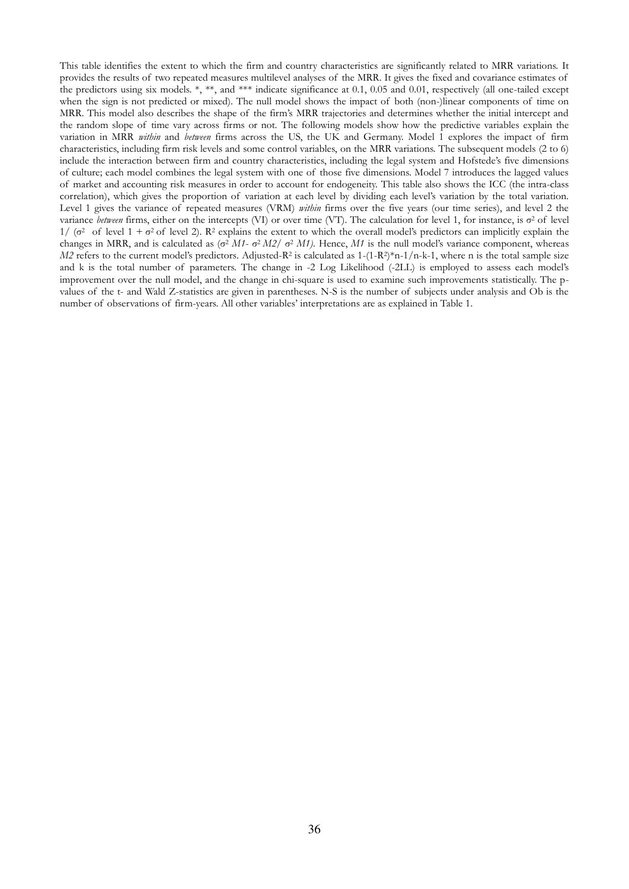This table identifies the extent to which the firm and country characteristics are significantly related to MRR variations. It provides the results of two repeated measures multilevel analyses of the MRR. It gives the fixed and covariance estimates of the predictors using six models. \*, \*\*, and \*\*\* indicate significance at 0.1, 0.05 and 0.01, respectively (all one-tailed except when the sign is not predicted or mixed). The null model shows the impact of both (non-)linear components of time on MRR. This model also describes the shape of the firm's MRR trajectories and determines whether the initial intercept and the random slope of time vary across firms or not. The following models show how the predictive variables explain the variation in MRR *within* and *between* firms across the US, the UK and Germany. Model 1 explores the impact of firm characteristics, including firm risk levels and some control variables, on the MRR variations. The subsequent models (2 to 6) include the interaction between firm and country characteristics, including the legal system and Hofstede's five dimensions of culture; each model combines the legal system with one of those five dimensions. Model 7 introduces the lagged values of market and accounting risk measures in order to account for endogeneity. This table also shows the ICC (the intra-class correlation), which gives the proportion of variation at each level by dividing each level's variation by the total variation. Level 1 gives the variance of repeated measures (VRM) *within* firms over the five years (our time series), and level 2 the variance *between* firms, either on the intercepts (VI) or over time (VT). The calculation for level 1, for instance, is  $\sigma^2$  of level  $1/$  (σ<sup>2</sup> of level  $1 + σ<sup>2</sup>$  of level 2). R<sup>2</sup> explains the extent to which the overall model's predictors can implicitly explain the changes in MRR, and is calculated as (σ<sup>2</sup> M1- σ<sup>2</sup> M2/ σ<sup>2</sup> M1). Hence, M1 is the null model's variance component, whereas  $M2$  refers to the current model's predictors. Adjusted-R<sup>2</sup> is calculated as  $1-(1-R^2)^*n-1/n-k-1$ , where n is the total sample size and k is the total number of parameters. The change in -2 Log Likelihood (-2LL) is employed to assess each model's improvement over the null model, and the change in chi-square is used to examine such improvements statistically. The pvalues of the t- and Wald Z-statistics are given in parentheses. N-S is the number of subjects under analysis and Ob is the number of observations of firm-years. All other variables' interpretations are as explained in Table 1.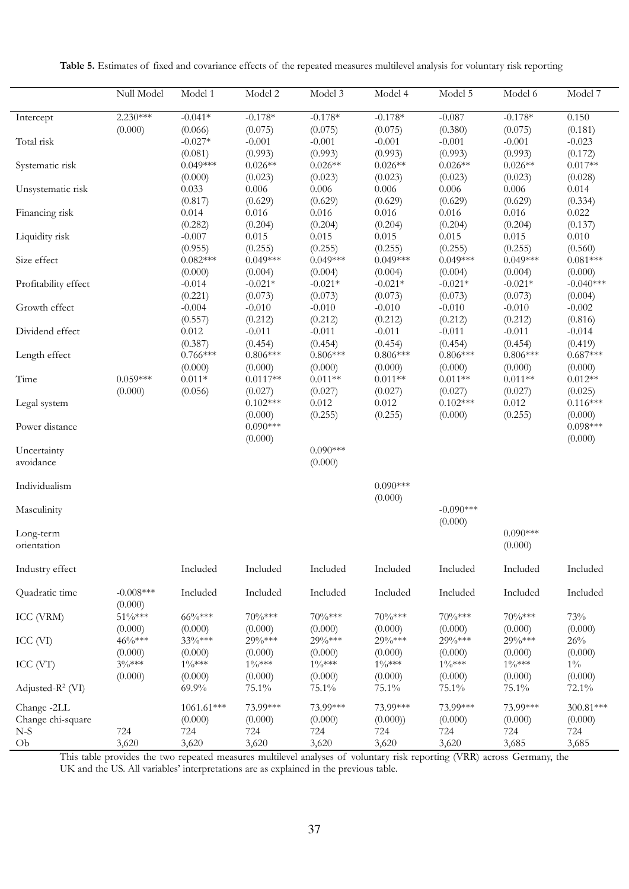|                              | Null Model   | Model 1             | Model 2             | Model 3             | Model 4             | Model 5             | Model 6             | Model 7             |
|------------------------------|--------------|---------------------|---------------------|---------------------|---------------------|---------------------|---------------------|---------------------|
| Intercept                    | $2.230***$   | $-0.041*$           | $-0.178*$           | $-0.178*$           | $-0.178*$           | $-0.087$            | $-0.178*$           | 0.150               |
|                              | (0.000)      | (0.066)             | (0.075)             | (0.075)             | (0.075)             | (0.380)             | (0.075)             | (0.181)             |
| Total risk                   |              | $-0.027*$           | $-0.001$            | $-0.001$            | $-0.001$            | $-0.001$            | $-0.001$            | $-0.023$            |
|                              |              | (0.081)             | (0.993)             | (0.993)             | (0.993)             | (0.993)             | (0.993)             | (0.172)             |
| Systematic risk              |              | $0.049***$          | $0.026**$           | $0.026**$           | $0.026**$           | $0.026**$           | $0.026**$           | $0.017**$           |
|                              |              | (0.000)             | (0.023)             | (0.023)             | (0.023)             | (0.023)             | (0.023)             | (0.028)             |
| Unsystematic risk            |              | 0.033               | $0.006\,$           | 0.006               | 0.006               | $0.006\,$           | $0.006\,$           | 0.014               |
|                              |              | (0.817)             | (0.629)             | (0.629)             | (0.629)             | (0.629)             | (0.629)             | (0.334)             |
| Financing risk               |              | 0.014               | 0.016               | 0.016               | 0.016               | 0.016               | 0.016               | 0.022               |
|                              |              | (0.282)             | (0.204)             | (0.204)             | (0.204)             | (0.204)             | (0.204)             | (0.137)             |
| Liquidity risk               |              | $-0.007$            | 0.015               | 0.015               | 0.015               | 0.015               | 0.015               | 0.010               |
|                              |              | (0.955)             | (0.255)             | (0.255)             | (0.255)             | (0.255)             | (0.255)             | (0.560)             |
| Size effect                  |              | $0.082***$          | $0.049***$          | $0.049***$          | $0.049***$          | $0.049***$          | $0.049***$          | $0.081***$          |
|                              |              | (0.000)             | (0.004)             | (0.004)             | (0.004)             | (0.004)             | (0.004)             | (0.000)             |
| Profitability effect         |              | $-0.014$<br>(0.221) | $-0.021*$           | $-0.021*$           | $-0.021*$           | $-0.021*$           | $-0.021*$           | $-0.040***$         |
| Growth effect                |              | $-0.004$            | (0.073)<br>$-0.010$ | (0.073)<br>$-0.010$ | (0.073)<br>$-0.010$ | (0.073)<br>$-0.010$ | (0.073)<br>$-0.010$ | (0.004)<br>$-0.002$ |
|                              |              | (0.557)             | (0.212)             | (0.212)             | (0.212)             | (0.212)             | (0.212)             | (0.816)             |
| Dividend effect              |              | 0.012               | $-0.011$            | $-0.011$            | $-0.011$            | $-0.011$            | $-0.011$            | $-0.014$            |
|                              |              | (0.387)             | (0.454)             | (0.454)             | (0.454)             | (0.454)             | (0.454)             | (0.419)             |
| Length effect                |              | $0.766***$          | $0.806***$          | $0.806***$          | $0.806***$          | $0.806***$          | $0.806***$          | $0.687***$          |
|                              |              | (0.000)             | (0.000)             | (0.000)             | (0.000)             | (0.000)             | (0.000)             | (0.000)             |
| Time                         | $0.059***$   | $0.011*$            | $0.0117**$          | $0.011**$           | $0.011**$           | $0.011**$           | $0.011**$           | $0.012**$           |
|                              | (0.000)      | (0.056)             | (0.027)             | (0.027)             | (0.027)             | (0.027)             | (0.027)             | (0.025)             |
| Legal system                 |              |                     | $0.102***$          | 0.012               | 0.012               | $0.102***$          | 0.012               | $0.116***$          |
|                              |              |                     | (0.000)             | (0.255)             | (0.255)             | (0.000)             | (0.255)             | (0.000)             |
| Power distance               |              |                     | $0.090***$          |                     |                     |                     |                     | $0.098***$          |
|                              |              |                     | (0.000)             |                     |                     |                     |                     | (0.000)             |
| Uncertainty                  |              |                     |                     | $0.090***$          |                     |                     |                     |                     |
| avoidance                    |              |                     |                     | (0.000)             |                     |                     |                     |                     |
|                              |              |                     |                     |                     |                     |                     |                     |                     |
| Individualism                |              |                     |                     |                     | $0.090***$          |                     |                     |                     |
|                              |              |                     |                     |                     | (0.000)             |                     |                     |                     |
| Masculinity                  |              |                     |                     |                     |                     | $-0.090***$         |                     |                     |
|                              |              |                     |                     |                     |                     | (0.000)             | $0.090***$          |                     |
| Long-term<br>orientation     |              |                     |                     |                     |                     |                     | (0.000)             |                     |
|                              |              |                     |                     |                     |                     |                     |                     |                     |
| Industry effect              |              | Included            | Included            | Included            | Included            | Included            | Included            | Included            |
|                              |              |                     |                     |                     |                     |                     |                     |                     |
| Quadratic time               | $-0.008$ *** | Included            | Included            | Included            | Included            | Included            | Included            | Included            |
|                              | (0.000)      |                     |                     |                     |                     |                     |                     |                     |
| ICC (VRM)                    | $51\%***$    | $66\%***$           | $70\%***$           | $70\%***$           | 70%***              | 70%***              | 70%***              | 73%                 |
|                              | (0.000)      | (0.000)             | (0.000)             | (0.000)             | (0.000)             | (0.000)             | (0.000)             | (0.000)             |
| ICC (VI)                     | 46%***       | 33%***              | 29%***              | 29%***              | 29%***              | 29%***              | 29%***              | 26%                 |
|                              | (0.000)      | (0.000)             | (0.000)             | (0.000)             | (0.000)             | (0.000)             | (0.000)             | (0.000)             |
| ICC (VT)                     | $3\%***$     | $1\%***$            | $1\%***$            | $1\%***$            | $1\%***$            | $1\%***$            | $1\%***$            | $1\%$               |
|                              | (0.000)      | (0.000)             | (0.000)             | (0.000)             | (0.000)             | (0.000)             | (0.000)             | (0.000)             |
| Adjusted-R <sup>2</sup> (VI) |              | 69.9%               | 75.1%               | 75.1%               | 75.1%               | 75.1%               | 75.1%               | 72.1%               |
| Change -2LL                  |              | 1061.61***          | 73.99***            | 73.99***            | 73.99***            | 73.99***            | 73.99***            | 300.81***           |
| Change chi-square            |              | (0.000)             | (0.000)             | (0.000)             | (0.000)             | (0.000)             | (0.000)             | (0.000)             |
| $N-S$                        | 724          | 724                 | 724                 | 724                 | 724                 | 724                 | 724                 | 724                 |
| Ob                           | 3,620        | 3,620               | 3,620               | 3,620               | 3,620               | 3,620               | 3,685               | 3,685               |

**Table 5.** Estimates of fixed and covariance effects of the repeated measures multilevel analysis for voluntary risk reporting

This table provides the two repeated measures multilevel analyses of voluntary risk reporting (VRR) across Germany, the UK and the US. All variables' interpretations are as explained in the previous table.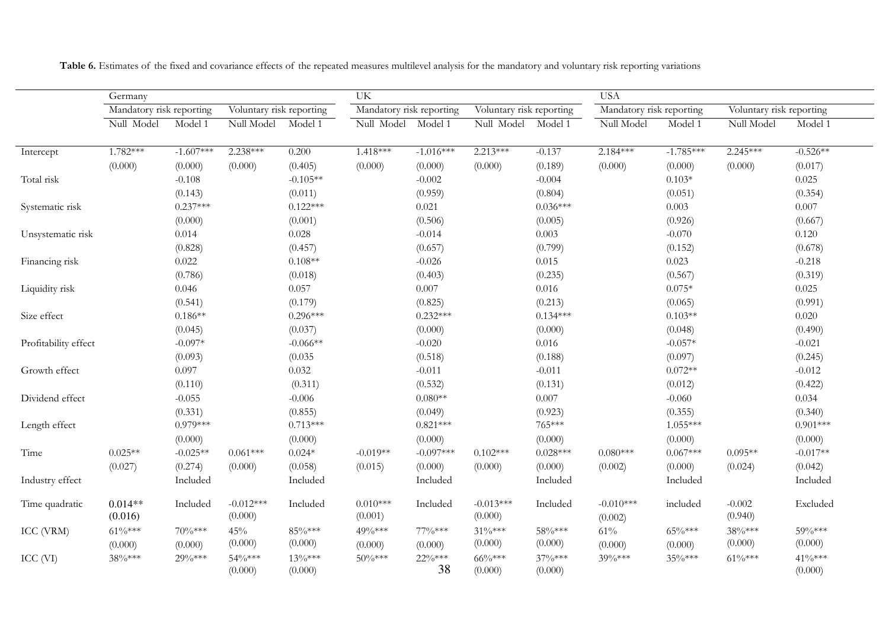|                      | Germany                  |             |                          |                      | <b>UK</b>                |                 |                          |                   | <b>USA</b>               |             |                     |                          |  |  |
|----------------------|--------------------------|-------------|--------------------------|----------------------|--------------------------|-----------------|--------------------------|-------------------|--------------------------|-------------|---------------------|--------------------------|--|--|
|                      | Mandatory risk reporting |             | Voluntary risk reporting |                      | Mandatory risk reporting |                 | Voluntary risk reporting |                   | Mandatory risk reporting |             |                     | Voluntary risk reporting |  |  |
|                      | Null Model               | Model 1     | Null Model               | Model 1              | Null Model Model 1       |                 | Null Model               | Model 1           | Null Model               | Model 1     | Null Model          | Model 1                  |  |  |
| Intercept            | $1.782***$               | $-1.607***$ | 2.238***                 | 0.200                | $1.418***$               | $-1.016***$     | $2.213***$               | $-0.137$          | $2.184***$               | $-1.785***$ | $2.245***$          | $-0.526**$               |  |  |
|                      | (0.000)                  | (0.000)     | (0.000)                  | (0.405)              | (0.000)                  | (0.000)         | (0.000)                  | (0.189)           | (0.000)                  | (0.000)     | (0.000)             | (0.017)                  |  |  |
| Total risk           |                          | $-0.108$    |                          | $-0.105**$           |                          | $-0.002$        |                          | $-0.004$          |                          | $0.103*$    |                     | 0.025                    |  |  |
|                      |                          | (0.143)     |                          | (0.011)              |                          | (0.959)         |                          | (0.804)           |                          | (0.051)     |                     | (0.354)                  |  |  |
| Systematic risk      |                          | $0.237***$  |                          | $0.122***$           |                          | 0.021           |                          | $0.036***$        |                          | 0.003       |                     | 0.007                    |  |  |
|                      |                          | (0.000)     |                          | (0.001)              |                          | (0.506)         |                          | (0.005)           |                          | (0.926)     |                     | (0.667)                  |  |  |
| Unsystematic risk    |                          | 0.014       |                          | 0.028                |                          | $-0.014$        |                          | 0.003             |                          | $-0.070$    |                     | 0.120                    |  |  |
|                      |                          | (0.828)     |                          | (0.457)              |                          | (0.657)         |                          | (0.799)           |                          | (0.152)     |                     | (0.678)                  |  |  |
| Financing risk       |                          | 0.022       |                          | $0.108**$            |                          | $-0.026$        |                          | 0.015             |                          | 0.023       |                     | $-0.218$                 |  |  |
|                      |                          | (0.786)     |                          | (0.018)              |                          | (0.403)         |                          | (0.235)           |                          | (0.567)     |                     | (0.319)                  |  |  |
| Liquidity risk       |                          | 0.046       |                          | 0.057                |                          | 0.007           |                          | $0.016\,$         |                          | $0.075*$    |                     | 0.025                    |  |  |
|                      |                          | (0.541)     |                          | (0.179)              |                          | (0.825)         |                          | (0.213)           |                          | (0.065)     |                     | (0.991)                  |  |  |
| Size effect          |                          | $0.186**$   |                          | $0.296***$           |                          | $0.232***$      |                          | $0.134***$        |                          | $0.103**$   |                     | 0.020                    |  |  |
|                      |                          | (0.045)     |                          | (0.037)              |                          | (0.000)         |                          | (0.000)           |                          | (0.048)     |                     | (0.490)                  |  |  |
| Profitability effect |                          | $-0.097*$   |                          | $-0.066**$           |                          | $-0.020$        |                          | 0.016             |                          | $-0.057*$   |                     | $-0.021$                 |  |  |
|                      |                          | (0.093)     |                          | (0.035)              |                          | (0.518)         |                          | (0.188)           |                          | (0.097)     |                     | (0.245)                  |  |  |
| Growth effect        |                          | 0.097       |                          | 0.032                |                          | $-0.011$        |                          | $-0.011$          |                          | $0.072**$   |                     | $-0.012$                 |  |  |
|                      |                          | (0.110)     |                          | (0.311)              |                          | (0.532)         |                          | (0.131)           |                          | (0.012)     |                     | (0.422)                  |  |  |
| Dividend effect      |                          | $-0.055$    |                          | $-0.006$             |                          | $0.080**$       |                          | 0.007             |                          | $-0.060$    |                     | 0.034                    |  |  |
|                      |                          | (0.331)     |                          | (0.855)              |                          | (0.049)         |                          | (0.923)           |                          | (0.355)     |                     | (0.340)                  |  |  |
| Length effect        |                          | $0.979***$  |                          | $0.713***$           |                          | $0.821***$      |                          | 765***            |                          | $1.055***$  |                     | $0.901***$               |  |  |
|                      |                          | (0.000)     |                          | (0.000)              |                          | (0.000)         |                          | (0.000)           |                          | (0.000)     |                     | (0.000)                  |  |  |
| Time                 | $0.025**$                | $-0.025**$  | $0.061***$               | $0.024*$             | $-0.019**$               | $-0.097***$     | $0.102***$               | $0.028***$        | $0.080***$               | $0.067***$  | $0.095**$           | $-0.017**$               |  |  |
|                      | (0.027)                  | (0.274)     | (0.000)                  | (0.058)              | (0.015)                  | (0.000)         | (0.000)                  | (0.000)           | (0.002)                  | (0.000)     | (0.024)             | (0.042)                  |  |  |
| Industry effect      |                          | Included    |                          | Included             |                          | Included        |                          | Included          |                          | Included    |                     | Included                 |  |  |
| Time quadratic       | $0.014**$<br>(0.016)     | Included    | $-0.012***$<br>(0.000)   | Included             | $0.010***$<br>(0.001)    | Included        | $-0.013***$<br>(0.000)   | Included          | $-0.010***$<br>(0.002)   | included    | $-0.002$<br>(0.940) | Excluded                 |  |  |
| ICC (VRM)            | $61\%***$                | $70\%***$   | 45%                      | 85%***               | 49%***                   | 77%***          | $31\%***$                | 58%***            | 61%                      | $65\%***$   | 38%***              | 59%***                   |  |  |
|                      | (0.000)                  | (0.000)     | (0.000)                  | (0.000)              | (0.000)                  | (0.000)         | (0.000)                  | (0.000)           | (0.000)                  | (0.000)     | (0.000)             | (0.000)                  |  |  |
| ICC (VI)             | 38%***                   | 29%***      | 54%***<br>(0.000)        | $13\%***$<br>(0.000) | $50\%***$                | $22\%***$<br>38 | $66\%***$<br>(0.000)     | 37%***<br>(0.000) | 39%***                   | 35%***      | $61\%***$           | 41%***<br>(0.000)        |  |  |

Table 6. Estimates of the fixed and covariance effects of the repeated measures multilevel analysis for the mandatory and voluntary risk reporting variations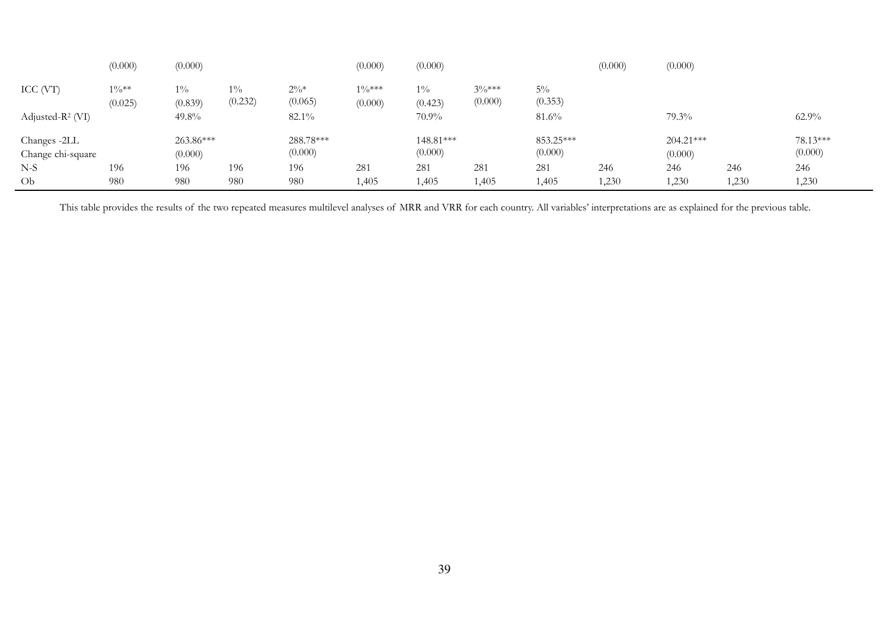|                                   | (0.000)            | (0.000)                      |                  |                            | (0.000)             | (0.000)                   |                     |                           | (0.000) | (0.000)                |       |                     |
|-----------------------------------|--------------------|------------------------------|------------------|----------------------------|---------------------|---------------------------|---------------------|---------------------------|---------|------------------------|-------|---------------------|
| ICC (VT)<br>Adjusted- $R^2$ (VI)  | $1\%**$<br>(0.025) | $1\%$<br>(0.839)<br>$49.8\%$ | $1\%$<br>(0.232) | $2\%*$<br>(0.065)<br>82.1% | $1\%***$<br>(0.000) | $1\%$<br>(0.423)<br>70.9% | $3\%***$<br>(0.000) | $5\%$<br>(0.353)<br>81.6% |         | $79.3\%$               |       | $62.9\%$            |
| Changes -2LL<br>Change chi-square |                    | 263.86***<br>(0.000)         |                  | 288.78***<br>(0.000)       |                     | 148.81***<br>(0.000)      |                     | 853.25***<br>(0.000)      |         | $204.21***$<br>(0.000) |       | 78.13***<br>(0.000) |
| $N-S$                             | 196                | 196                          | 196              | 196                        | 281                 | 281                       | 281                 | 281                       | 246     | 246                    | 246   | 246                 |
| Ob                                | 980                | 980                          | 980              | 980                        | 1,405               | 1,405                     | 1,405               | 1,405                     | 1,230   | 1,230                  | 1,230 | 1,230               |

This table provides the results of the two repeated measures multilevel analyses of MRR and VRR for each country. All variables' interpretations are as explained for the previous table.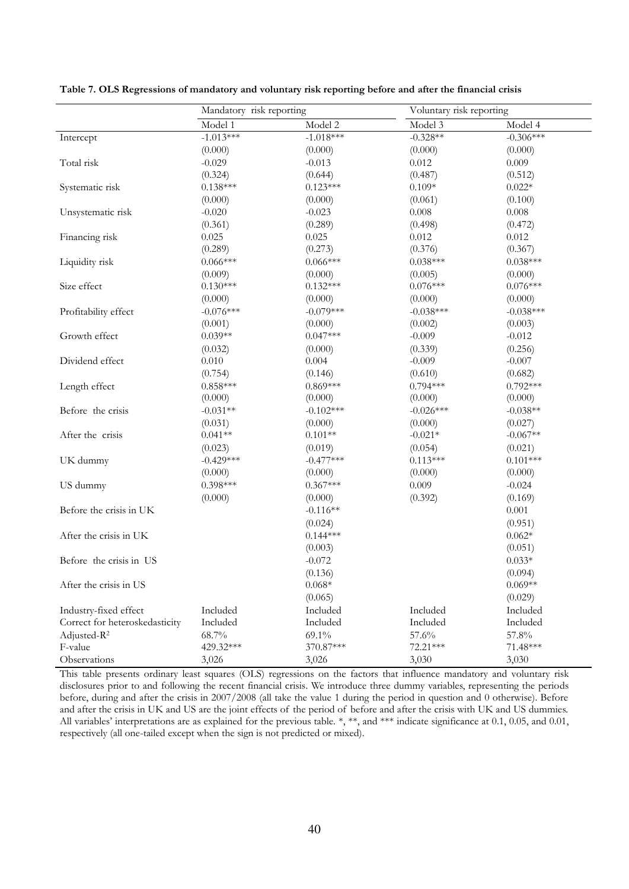|                                | Mandatory risk reporting |             | Voluntary risk reporting |             |  |  |  |
|--------------------------------|--------------------------|-------------|--------------------------|-------------|--|--|--|
|                                | Model 1                  | Model 2     | Model 3                  | Model 4     |  |  |  |
| Intercept                      | $-1.013***$              | $-1.018***$ | $-0.328**$               | $-0.306***$ |  |  |  |
|                                | (0.000)                  | (0.000)     | (0.000)                  | (0.000)     |  |  |  |
| Total risk                     | $-0.029$                 | $-0.013$    | 0.012                    | 0.009       |  |  |  |
|                                | (0.324)                  | (0.644)     | (0.487)                  | (0.512)     |  |  |  |
| Systematic risk                | $0.138***$               | $0.123***$  | $0.109*$                 | $0.022*$    |  |  |  |
|                                | (0.000)                  | (0.000)     | (0.061)                  | (0.100)     |  |  |  |
| Unsystematic risk              | $-0.020$                 | $-0.023$    | 0.008                    | 0.008       |  |  |  |
|                                | (0.361)                  | (0.289)     | (0.498)                  | (0.472)     |  |  |  |
| Financing risk                 | 0.025                    | 0.025       | 0.012                    | 0.012       |  |  |  |
|                                | (0.289)                  | (0.273)     | (0.376)                  | (0.367)     |  |  |  |
| Liquidity risk                 | $0.066***$               | $0.066***$  | $0.038***$               | $0.038***$  |  |  |  |
|                                | (0.009)                  | (0.000)     | (0.005)                  | (0.000)     |  |  |  |
| Size effect                    | $0.130***$               | $0.132***$  | $0.076***$               | $0.076***$  |  |  |  |
|                                | (0.000)                  | (0.000)     | (0.000)                  | (0.000)     |  |  |  |
| Profitability effect           | $-0.076***$              | $-0.079***$ | $-0.038***$              | $-0.038***$ |  |  |  |
|                                | (0.001)                  | (0.000)     | (0.002)                  | (0.003)     |  |  |  |
| Growth effect                  | $0.039**$                | $0.047***$  | $-0.009$                 | $-0.012$    |  |  |  |
|                                | (0.032)                  | (0.000)     | (0.339)                  | (0.256)     |  |  |  |
| Dividend effect                | 0.010                    | 0.004       | $-0.009$                 | $-0.007$    |  |  |  |
|                                | (0.754)                  | (0.146)     | (0.610)                  | (0.682)     |  |  |  |
| Length effect                  | $0.858***$               | $0.869***$  | $0.794***$               | $0.792***$  |  |  |  |
|                                | (0.000)                  | (0.000)     | (0.000)                  | (0.000)     |  |  |  |
| Before the crisis              | $-0.031**$               | $-0.102***$ | $-0.026***$              | $-0.038**$  |  |  |  |
|                                | (0.031)                  | (0.000)     | (0.000)                  | (0.027)     |  |  |  |
| After the crisis               | $0.041**$                | $0.101**$   | $-0.021*$                | $-0.067**$  |  |  |  |
|                                | (0.023)                  | (0.019)     | (0.054)                  | (0.021)     |  |  |  |
| UK dummy                       | $-0.429***$              | $-0.477***$ | $0.113***$               | $0.101***$  |  |  |  |
|                                | (0.000)                  | (0.000)     | (0.000)                  | (0.000)     |  |  |  |
| US dummy                       | $0.398***$               | $0.367***$  | 0.009                    | $-0.024$    |  |  |  |
|                                | (0.000)                  | (0.000)     | (0.392)                  | (0.169)     |  |  |  |
| Before the crisis in UK        |                          | $-0.116**$  |                          | 0.001       |  |  |  |
|                                |                          | (0.024)     |                          | (0.951)     |  |  |  |
| After the crisis in UK         |                          | $0.144***$  |                          | $0.062*$    |  |  |  |
|                                |                          | (0.003)     |                          | (0.051)     |  |  |  |
| Before the crisis in US        |                          | $-0.072$    |                          | $0.033*$    |  |  |  |
|                                |                          | (0.136)     |                          | (0.094)     |  |  |  |
| After the crisis in US         |                          | $0.068*$    |                          | $0.069**$   |  |  |  |
|                                |                          | (0.065)     |                          | (0.029)     |  |  |  |
| Industry-fixed effect          | Included                 | Included    | Included                 | Included    |  |  |  |
| Correct for heteroskedasticity | Included                 | Included    | Included                 | Included    |  |  |  |
| Adjusted-R <sup>2</sup>        | 68.7%                    | 69.1%       | 57.6%                    | 57.8%       |  |  |  |
| F-value                        | 429.32***                | 370.87***   | 72.21 ***                | 71.48***    |  |  |  |
| Observations                   | 3,026                    | 3,026       | 3,030                    | 3,030       |  |  |  |

**Table 7. OLS Regressions of mandatory and voluntary risk reporting before and after the financial crisis** 

This table presents ordinary least squares (OLS) regressions on the factors that influence mandatory and voluntary risk disclosures prior to and following the recent financial crisis. We introduce three dummy variables, representing the periods before, during and after the crisis in 2007/2008 (all take the value 1 during the period in question and 0 otherwise). Before and after the crisis in UK and US are the joint effects of the period of before and after the crisis with UK and US dummies. All variables' interpretations are as explained for the previous table. \*, \*\*, and \*\*\* indicate significance at 0.1, 0.05, and 0.01, respectively (all one-tailed except when the sign is not predicted or mixed).